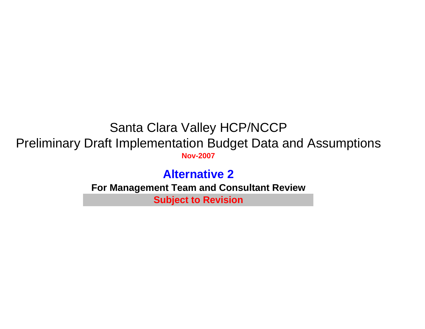# Santa Clara Valley HCP/NCCP Preliminary Draft Implementation Budget Data and Assumptions **Nov-2007**

# **Alternative 2For Management Team and Consultant Review Subject to Revision**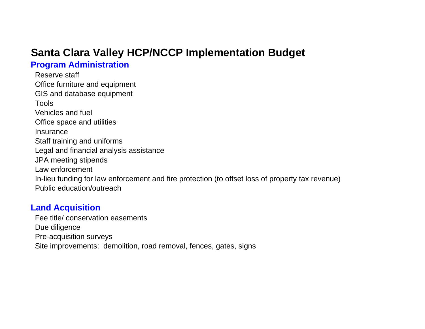# **Santa Clara Valley HCP/NCCP Implementation Budget**

## **Program Administration**

Reserve staffOffice furniture and equipment GIS and database equipment ToolsVehicles and fuelOffice space and utilities **Insurance** Staff training and uniforms Legal and financial analysis assistance JPA meeting stipends Law enforcementIn-lieu funding for law enforcement and fire protection (to offset loss of property tax revenue) Public education/outreach

## **Land Acquisition**

Fee title/ conservation easementsDue diligence Pre-acquisition surveys Site improvements: demolition, road removal, fences, gates, signs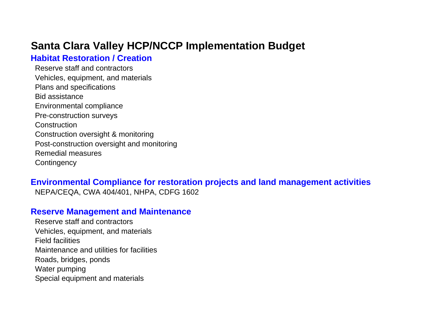# **Santa Clara Valley HCP/NCCP Implementation Budget**

## **Habitat Restoration / Creation**

Reserve staff and contractorsVehicles, equipment, and materials Plans and specifications Bid assistanceEnvironmental compliance Pre-construction surveys **Construction** Construction oversight & monitoring Post-construction oversight and monitoring Remedial measures**Contingency** 

## **Environmental Compliance for restoration projects and land management activities**

NEPA/CEQA, CWA 404/401, NHPA, CDFG 1602

## **Reserve Management and Maintenance**

Reserve staff and contractorsVehicles, equipment, and materials Field facilitiesMaintenance and utilities for facilitiesRoads, bridges, ponds Water pumping Special equipment and materials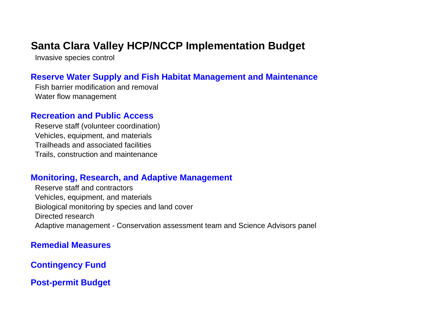# **Santa Clara Valley HCP/NCCP Implementation Budget**

Invasive species control

## **Reserve Water Supply and Fish Habitat Management and Maintenance**

Fish barrier modification and removalWater flow management

## **Recreation and Public Access**

Reserve staff (volunteer coordination) Vehicles, equipment, and materials Trailheads and associated facilitiesTrails, construction and maintenance

## **Monitoring, Research, and Adaptive Management**

Reserve staff and contractorsVehicles, equipment, and materials Biological monitoring by species and land cover Directed researchAdaptive management - Conservation assessment team and Science Advisors panel

## **Remedial Measures**

**Contingency Fund**

**Post-permit Budget**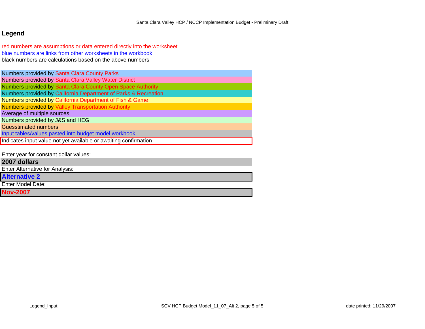## **Legend**

red numbers are assumptions or data entered directly into the worksheet blue numbers are links from other worksheets in the workbook black numbers are calculations based on the above numbers

|                                 | Numbers provided by Santa Clara County Parks                     |
|---------------------------------|------------------------------------------------------------------|
|                                 | Numbers provided by Santa Clara Valley Water District            |
|                                 | Numbers provided by Santa Clara County Open Space Authority      |
|                                 | Numbers provided by California Department of Parks & Recreation  |
|                                 | Numbers provided by California Department of Fish & Game         |
|                                 | <b>Numbers provided by Valley Transportation Authority</b>       |
| Average of multiple sources     |                                                                  |
| Numbers provided by J&S and HEG |                                                                  |
| <b>Guesstimated numbers</b>     |                                                                  |
|                                 | Input tables/values pasted into budget model workbook            |
|                                 | Indicates input value not yet available or awaiting confirmation |
|                                 |                                                                  |

Enter year for constant dollar values:

## **2007 dollars**

Enter Alternative for Analysis:

**Alternative 2**

Enter Model Date:

**Nov-2007**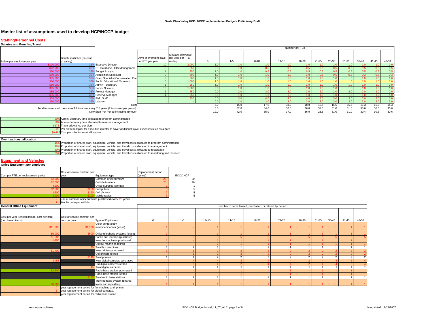| <b>Staffing/Personnel Costs</b><br><b>Salaries and Benefits, Travel</b> |                                                      |                                                                                                                                 |                                              |                                                 |                          |                |                                                          |                 |                               |                |                |                               |                |              |                   |
|-------------------------------------------------------------------------|------------------------------------------------------|---------------------------------------------------------------------------------------------------------------------------------|----------------------------------------------|-------------------------------------------------|--------------------------|----------------|----------------------------------------------------------|-----------------|-------------------------------|----------------|----------------|-------------------------------|----------------|--------------|-------------------|
|                                                                         |                                                      |                                                                                                                                 |                                              |                                                 |                          |                |                                                          |                 | Number of FTEs                |                |                |                               |                |              |                   |
|                                                                         | Benefit multiplier (percent<br>of salary)            |                                                                                                                                 | Days of overnight travel<br>per FTE per year | Mileage allowance<br>per year per FTE<br>miles) | $\mathbf{0}$             | $1 - 5$        | $6 - 10$                                                 | $11 - 15$       | 16-20                         | $21 - 25$      | 26-30          | $31 - 35$                     | 36-40          | $41 - 45$    | 46-50             |
| Salary per employee per year                                            | 35%                                                  | <b>Executive Director</b>                                                                                                       | 10.                                          | 2.001                                           | 1.0                      | 1.0            | 1.0                                                      | 1.0             |                               | 1.0            |                |                               | 1.0            | 1.0          | 1.0               |
| \$72,0                                                                  | 35%                                                  | IT - Database / GIS Management                                                                                                  | 3                                            | 251                                             | 0.0                      | 1.0            | 0.5                                                      | 0.5             | 0.5                           | 0.5            | 0.5            | $\Omega$                      | 0.5            | 0.5          | 0.5               |
| \$70.0                                                                  | 35%                                                  | <b>Budget Analyst</b>                                                                                                           |                                              |                                                 |                          |                | 0.5                                                      | 0.5             |                               | 0.5            |                |                               |                |              | $\frac{0.5}{0.3}$ |
|                                                                         |                                                      | 35% Acquisition Specialist                                                                                                      |                                              |                                                 |                          |                |                                                          | 1. <sub>C</sub> |                               | 0.5            |                |                               |                |              |                   |
|                                                                         | 35%                                                  | Grant Specialist/Conservation Plar                                                                                              | 5.                                           |                                                 | 1 <sup>c</sup>           | 1 <sup>c</sup> | 10                                                       | 1.0             | 10                            | 1.0            |                |                               | 10             |              | 1.0               |
|                                                                         | 35%<br>35%                                           | Public Education & Outreach                                                                                                     | $5^{\circ}$                                  | 1.000                                           |                          | 10             | 10                                                       | 4.0             |                               | 4 <sub>1</sub> |                |                               | 10             |              | 1.0               |
| <b>ROS N</b>                                                            |                                                      | Admin - Secretary                                                                                                               | $\blacktriangleleft$<br>10 <sup>1</sup>      | 250<br>1.000                                    | 1.0<br>0 <sub>0</sub>    | 10             | 1.0<br>1.0                                               | 1.0<br>1.0      | 1.0<br>10                     | 1.0<br>1.0     | 10<br>10       | 10<br>1 <sub>0</sub>          | 1.0<br>1.0     | 1.0<br>10    | 1.0<br>1.0        |
|                                                                         | 35%<br>35 <sup>°</sup>                               | Senior Scientist<br>Project Manager                                                                                             | $5^{\circ}$                                  |                                                 | 0 <sup>0</sup>           | 20             | 30                                                       | 3.0             | $\overline{3}$ $\overline{0}$ | 2.0            | $\overline{2}$ |                               | 2.0            | 20           | 2.0               |
| \$85.00                                                                 |                                                      | 35% Reserve Manager                                                                                                             | $\overline{1}$                               | 250                                             | 0.0                      | 1.0            | 1.0                                                      | 1.0             | 1.0                           | 1.0            | 1.0            | 1 <sub>0</sub>                | 1.0            | 1.0          | 1.0               |
| \$65.00                                                                 | 35%                                                  | <b>Field Staff</b>                                                                                                              | 3                                            | 25f                                             | 0 <sup>c</sup>           | 3.0            | 4.0                                                      | 4.0             | 4.0                           | 3.0            | 3.0            | $\overline{3}$ $\overline{0}$ | 3.0            | 3.0          | 3.0               |
| \$50.00                                                                 |                                                      | 35% Laborer                                                                                                                     |                                              |                                                 | 0.0                      | 2.0            | 2.0                                                      | 3.0             | 3.0                           | 3.0            | 3.0            |                               | 3.0            | 3.0          | 3.0               |
|                                                                         |                                                      | Total                                                                                                                           |                                              |                                                 | 6.0                      | 16.0           | 17.0                                                     | 18.0            | 18.0                          | 15.5           | 15.5           | 15.5                          | 15.3           | 15.3         | 15.3              |
|                                                                         |                                                      | Total turnover staff: assumes full turnover every 2.5 years (2 turnovers per period)<br>New Staff Per Period including turnover |                                              |                                                 | 6.0<br>12.0              | 32.0<br>42.0   | 34.0<br>35.0                                             | 36.0<br>37.0    | 36.0<br>36.0                  | 31.0<br>28.5   | 31.0<br>31.0   | 31.0<br>31.0                  | 30.6<br>30.4   | 30.6<br>30.6 | 30.6<br>30.6      |
|                                                                         |                                                      | 50% Admin-Secretary time allocated to program administration                                                                    |                                              |                                                 |                          |                |                                                          |                 |                               |                |                |                               |                |              |                   |
| 50 <sup>°</sup>                                                         |                                                      | Admin-Secretary time allocated to reserve management                                                                            |                                              |                                                 |                          |                |                                                          |                 |                               |                |                |                               |                |              |                   |
|                                                                         | \$175 Travel allowance per diem                      | 3.00 Per diem multiplier for executive director to cover additional travel expenses such as airfare                             |                                              |                                                 |                          |                |                                                          |                 |                               |                |                |                               |                |              |                   |
|                                                                         | \$0.485 Cost per mile for travel allowance           |                                                                                                                                 |                                              |                                                 |                          |                |                                                          |                 |                               |                |                |                               |                |              |                   |
|                                                                         |                                                      |                                                                                                                                 |                                              |                                                 |                          |                |                                                          |                 |                               |                |                |                               |                |              |                   |
| Overhead cost allocation                                                |                                                      |                                                                                                                                 |                                              |                                                 |                          |                |                                                          |                 |                               |                |                |                               |                |              |                   |
|                                                                         |                                                      | 15% Proportion of shared staff, equipment, vehicle, and travel costs allocated to program administration                        |                                              |                                                 |                          |                |                                                          |                 |                               |                |                |                               |                |              |                   |
| 40%                                                                     |                                                      | Proportion of shared staff, equipment, vehicle, and travel costs allocated to management                                        |                                              |                                                 |                          |                |                                                          |                 |                               |                |                |                               |                |              |                   |
|                                                                         |                                                      | 20% Proportion of shared staff, equipment, vehicle, and travel costs allocated to restoration                                   |                                              |                                                 |                          |                |                                                          |                 |                               |                |                |                               |                |              |                   |
| 25'                                                                     |                                                      | Proportion of shared staff, equipment, vehicle, and travel costs allocated to monitoring and research                           |                                              |                                                 |                          |                |                                                          |                 |                               |                |                |                               |                |              |                   |
| <b>Equipment and Vehicles</b>                                           |                                                      |                                                                                                                                 |                                              |                                                 |                          |                |                                                          |                 |                               |                |                |                               |                |              |                   |
| Office Equipment per employee                                           |                                                      |                                                                                                                                 |                                              |                                                 |                          |                |                                                          |                 |                               |                |                |                               |                |              |                   |
|                                                                         |                                                      |                                                                                                                                 |                                              |                                                 |                          |                |                                                          |                 |                               |                |                |                               |                |              |                   |
|                                                                         | Cost of service contract per                         |                                                                                                                                 | Replacement Period                           |                                                 |                          |                |                                                          |                 |                               |                |                |                               |                |              |                   |
| Cost per FTE per replacement period                                     | year                                                 | Equipment type                                                                                                                  | years)                                       | ECCC HCP                                        |                          |                |                                                          |                 |                               |                |                |                               |                |              |                   |
|                                                                         |                                                      | Common office furniture                                                                                                         |                                              | 20                                              |                          |                |                                                          |                 |                               |                |                |                               |                |              |                   |
|                                                                         |                                                      | Cubicle furniture                                                                                                               |                                              | 20                                              |                          |                |                                                          |                 |                               |                |                |                               |                |              |                   |
| -850                                                                    |                                                      | Office supplies (annual)                                                                                                        |                                              | $\overline{1}$                                  |                          |                |                                                          |                 |                               |                |                |                               |                |              |                   |
| \$2.50                                                                  |                                                      | Computers                                                                                                                       |                                              | -5                                              |                          |                |                                                          |                 |                               |                |                |                               |                |              |                   |
|                                                                         |                                                      | Cell phones                                                                                                                     |                                              | -5                                              |                          |                |                                                          |                 |                               |                |                |                               |                |              |                   |
|                                                                         |                                                      | Mobile radios<br>unit of common office furniture purchased every 20 years                                                       |                                              | 5                                               |                          |                |                                                          |                 |                               |                |                |                               |                |              |                   |
|                                                                         | Mobile radio per vehicle                             |                                                                                                                                 |                                              |                                                 |                          |                |                                                          |                 |                               |                |                |                               |                |              |                   |
| <b>General Office Equipment</b>                                         |                                                      |                                                                                                                                 |                                              |                                                 |                          |                | Number of items leased, purchased, or retired, by period |                 |                               |                |                |                               |                |              |                   |
|                                                                         |                                                      |                                                                                                                                 |                                              |                                                 |                          |                |                                                          |                 |                               |                |                |                               |                |              |                   |
|                                                                         |                                                      |                                                                                                                                 |                                              |                                                 |                          |                |                                                          |                 |                               |                |                |                               |                |              |                   |
| Cost per year (leased items) / cost per item                            | Cost of service contract per                         |                                                                                                                                 |                                              |                                                 |                          |                |                                                          |                 |                               |                |                |                               |                |              |                   |
| (purchased items)                                                       | item per year                                        | Type of Equipment                                                                                                               | $\mathbf 0$                                  | $1 - 5$                                         | $6 - 10$                 | $11 - 15$      | 16-20                                                    | $21 - 25$       | 26-30                         | $31 - 35$      | 36-40          | 41-45                         | 46-50          |              |                   |
|                                                                         |                                                      | Color printer/copy                                                                                                              |                                              |                                                 |                          |                |                                                          |                 |                               |                |                |                               |                |              |                   |
| \$11,00                                                                 | \$1,100                                              | machine/scanner (lease)                                                                                                         |                                              |                                                 |                          |                |                                                          |                 |                               |                |                |                               |                |              |                   |
| \$6.00                                                                  | SAN                                                  | Office telephone systems (lease)                                                                                                |                                              |                                                 |                          |                |                                                          |                 |                               |                |                |                               |                |              |                   |
|                                                                         |                                                      | Books and journals (purchase)                                                                                                   |                                              |                                                 |                          |                |                                                          |                 |                               |                |                |                               |                |              |                   |
|                                                                         |                                                      | New fax machines purchased                                                                                                      |                                              |                                                 |                          |                |                                                          |                 |                               |                |                |                               |                |              |                   |
|                                                                         |                                                      | Old fax machines retired                                                                                                        |                                              |                                                 |                          |                |                                                          |                 |                               |                |                |                               |                |              |                   |
|                                                                         |                                                      | Total fax machines                                                                                                              |                                              |                                                 |                          |                | $\overline{1}$                                           |                 |                               |                |                |                               |                |              |                   |
|                                                                         |                                                      | New printers purchased                                                                                                          |                                              |                                                 |                          |                |                                                          |                 |                               |                |                |                               |                |              |                   |
|                                                                         |                                                      | Old printers retired                                                                                                            |                                              |                                                 |                          |                |                                                          |                 |                               |                |                |                               |                |              |                   |
|                                                                         |                                                      | <b>Total printers</b>                                                                                                           | $\overline{1}$                               | $\overline{1}$                                  | $\overline{\phantom{a}}$ | $\overline{2}$ | $\overline{2}$                                           | -2              | $\overline{2}$                |                |                | $\overline{\phantom{a}}$      |                |              |                   |
|                                                                         |                                                      | New digital cameras purchased                                                                                                   |                                              |                                                 |                          |                |                                                          |                 |                               |                |                |                               |                |              |                   |
|                                                                         |                                                      | Old digital cameras retired<br>Total digital cameras                                                                            |                                              | $\overline{2}$                                  | $\mathcal{P}$            | $\overline{2}$ | $\overline{2}$                                           |                 | $\mathcal{L}$                 |                |                | $\mathcal{P}$                 |                |              |                   |
|                                                                         |                                                      | Radio base station purchased                                                                                                    |                                              |                                                 |                          |                |                                                          |                 |                               |                |                |                               |                |              |                   |
|                                                                         |                                                      | Radio base station retired                                                                                                      |                                              |                                                 |                          |                |                                                          |                 |                               |                |                |                               |                |              |                   |
|                                                                         |                                                      | Total radio base stations                                                                                                       | 1                                            | $\overline{1}$                                  | $\overline{1}$           | $\overline{1}$ | $\overline{1}$                                           | $\overline{1}$  | $\overline{1}$                | $\overline{1}$ | $\overline{1}$ | $\overline{1}$                | $\overline{1}$ |              |                   |
|                                                                         |                                                      | Trunked radio system (shared                                                                                                    |                                              |                                                 |                          |                |                                                          |                 |                               |                |                |                               |                |              |                   |
|                                                                         |                                                      | tower and repeaters)                                                                                                            |                                              |                                                 |                          |                |                                                          |                 |                               |                |                |                               |                |              |                   |
|                                                                         | year replacement period for fax machine and printer. |                                                                                                                                 |                                              |                                                 |                          |                |                                                          |                 |                               |                |                |                               |                |              |                   |
|                                                                         | year replacement period for digital cameras.         |                                                                                                                                 |                                              |                                                 |                          |                |                                                          |                 |                               |                |                |                               |                |              |                   |
|                                                                         | vear replacement period for radio base station.      |                                                                                                                                 |                                              |                                                 |                          |                |                                                          |                 |                               |                |                |                               |                |              |                   |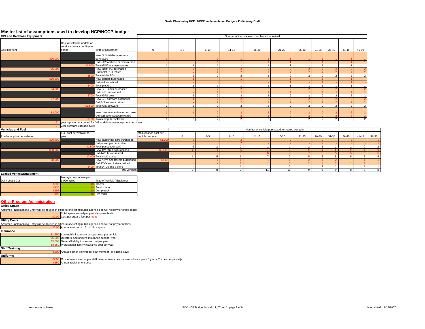#### **Santa Clara Valley HCP / NCCP Implementation Budget - Preliminary Draft**

### **Master list of assumptions used to develop HCP/NCCP budget**

| master not or assumptions asculto acteivity non moon bauget<br><b>GIS and Database Equipment</b>                                                                                                                                                                                                                                                                    |                                                                                                                                                                                                                                |                                                                   |                                          |                |                         |                | Number of items leased, purchased, or retired    |                |                |                |                          |                |                |                |
|---------------------------------------------------------------------------------------------------------------------------------------------------------------------------------------------------------------------------------------------------------------------------------------------------------------------------------------------------------------------|--------------------------------------------------------------------------------------------------------------------------------------------------------------------------------------------------------------------------------|-------------------------------------------------------------------|------------------------------------------|----------------|-------------------------|----------------|--------------------------------------------------|----------------|----------------|----------------|--------------------------|----------------|----------------|----------------|
| Cost per item                                                                                                                                                                                                                                                                                                                                                       | Cost of software update or<br>service contract per 5-year<br>period                                                                                                                                                            | Type of Equipment                                                 | $\mathbf{0}$                             | $1 - 5$        | $6 - 10$                | $11 - 15$      | 16-20                                            | 21-25          | 26-30          | 31-35          | 36-40                    | 41-45          | 46-50          |                |
| \$10.00                                                                                                                                                                                                                                                                                                                                                             |                                                                                                                                                                                                                                | New GIS/database servers<br>purchased                             |                                          |                |                         |                |                                                  |                |                |                |                          |                |                |                |
|                                                                                                                                                                                                                                                                                                                                                                     |                                                                                                                                                                                                                                | Old GIS/database servers retired                                  |                                          |                |                         |                |                                                  |                |                |                |                          |                |                |                |
|                                                                                                                                                                                                                                                                                                                                                                     |                                                                                                                                                                                                                                | Total GIS/database servers                                        |                                          | 1              |                         | $\mathbf{1}$   |                                                  |                |                | $\overline{1}$ |                          |                |                |                |
|                                                                                                                                                                                                                                                                                                                                                                     |                                                                                                                                                                                                                                | New tablet PC purchased                                           |                                          |                |                         |                |                                                  |                |                |                |                          |                |                |                |
|                                                                                                                                                                                                                                                                                                                                                                     |                                                                                                                                                                                                                                | Old tablet PCs retired                                            |                                          |                |                         |                |                                                  |                |                |                |                          |                |                |                |
|                                                                                                                                                                                                                                                                                                                                                                     |                                                                                                                                                                                                                                | <b>Total tablet PCs</b>                                           |                                          | $\overline{2}$ | $\overline{2}$          | $\overline{2}$ | $\mathcal{P}$                                    | $\overline{2}$ | $\overline{2}$ | $\overline{2}$ | $\mathcal{P}$            | $\mathcal{P}$  |                |                |
|                                                                                                                                                                                                                                                                                                                                                                     |                                                                                                                                                                                                                                | New plotters purchased<br>Old plotters retired                    |                                          |                |                         |                |                                                  |                |                |                |                          |                |                |                |
|                                                                                                                                                                                                                                                                                                                                                                     |                                                                                                                                                                                                                                | <b>Total plotters</b>                                             |                                          | 1              |                         | $\mathbf{1}$   |                                                  |                | 1              |                |                          |                |                |                |
| \$4.00                                                                                                                                                                                                                                                                                                                                                              |                                                                                                                                                                                                                                | New GPS units purchased                                           |                                          |                |                         |                |                                                  |                |                |                |                          |                |                |                |
|                                                                                                                                                                                                                                                                                                                                                                     |                                                                                                                                                                                                                                | Old GPS units retired                                             |                                          |                |                         |                |                                                  |                |                |                |                          |                |                |                |
|                                                                                                                                                                                                                                                                                                                                                                     | \$70                                                                                                                                                                                                                           | <b>Total GPS units</b>                                            |                                          | $\overline{2}$ | $\overline{2}$          | $\overline{2}$ | $\overline{2}$                                   | $\overline{2}$ | $\overline{2}$ | $\overline{2}$ | $\overline{2}$           | $\mathcal{P}$  |                |                |
|                                                                                                                                                                                                                                                                                                                                                                     |                                                                                                                                                                                                                                | New GIS software purchased                                        |                                          |                |                         |                |                                                  |                |                |                |                          |                |                |                |
|                                                                                                                                                                                                                                                                                                                                                                     |                                                                                                                                                                                                                                | Old GIS software retired                                          |                                          |                |                         |                |                                                  |                |                |                |                          |                |                |                |
|                                                                                                                                                                                                                                                                                                                                                                     | \$1,500                                                                                                                                                                                                                        | <b>Total GIS software</b>                                         | $\mathbf{1}$                             | $\overline{2}$ | 2                       | 2              | 2                                                | 2              | 2              | $\overline{2}$ | 2                        | 2              |                |                |
| \$3.00                                                                                                                                                                                                                                                                                                                                                              |                                                                                                                                                                                                                                | <b>New computer software purchased</b>                            |                                          |                |                         |                |                                                  |                |                |                |                          |                |                |                |
|                                                                                                                                                                                                                                                                                                                                                                     |                                                                                                                                                                                                                                | Old computer software retired                                     |                                          |                |                         |                |                                                  |                |                |                |                          |                |                |                |
|                                                                                                                                                                                                                                                                                                                                                                     | \$700                                                                                                                                                                                                                          | Total computer software                                           |                                          | $\overline{2}$ | $\overline{2}$          | $\overline{2}$ | 2                                                | $\overline{2}$ | $\overline{2}$ | $\overline{2}$ | $\mathcal{P}$            | 2              |                |                |
| 5.                                                                                                                                                                                                                                                                                                                                                                  |                                                                                                                                                                                                                                | year replacement period for GIS and database equipment purchased. |                                          |                |                         |                |                                                  |                |                |                |                          |                |                |                |
| 3.                                                                                                                                                                                                                                                                                                                                                                  | year software upgrade cycle                                                                                                                                                                                                    |                                                                   |                                          |                |                         |                |                                                  |                |                |                |                          |                |                |                |
| <b>Vehicles and Fuel</b>                                                                                                                                                                                                                                                                                                                                            |                                                                                                                                                                                                                                |                                                                   |                                          |                |                         |                | Number of vehicle purchased, or retired per year |                |                |                |                          |                |                |                |
| Purchase price per vehicle                                                                                                                                                                                                                                                                                                                                          | Fuel cost per vehicle per<br>year                                                                                                                                                                                              |                                                                   | Maintenance cost per<br>vehicle per year | $\mathbf{0}$   | $1 - 5$                 | $6 - 10$       | $11 - 15$                                        | 16-20          | $21 - 25$      | 26-30          | $31 - 35$                | 36-40          | $41 - 45$      | 46-50          |
|                                                                                                                                                                                                                                                                                                                                                                     |                                                                                                                                                                                                                                | Vew passenger cars purchased                                      |                                          |                |                         |                |                                                  |                |                |                |                          |                |                |                |
|                                                                                                                                                                                                                                                                                                                                                                     |                                                                                                                                                                                                                                | Old passenger cars retired<br>Total passenger cars                |                                          | $\overline{2}$ | $\overline{2}$          | $\overline{2}$ | $\overline{\phantom{a}}$                         | $\overline{2}$ | $\overline{2}$ | $\overline{2}$ | $\overline{\phantom{a}}$ | $\overline{2}$ | $\overline{2}$ | $\overline{2}$ |
|                                                                                                                                                                                                                                                                                                                                                                     |                                                                                                                                                                                                                                | New 4WD trucks purchased                                          |                                          |                |                         |                |                                                  |                |                |                |                          |                |                |                |
|                                                                                                                                                                                                                                                                                                                                                                     |                                                                                                                                                                                                                                | Old 4WD trucks retired                                            |                                          |                |                         |                |                                                  |                |                |                |                          |                |                |                |
|                                                                                                                                                                                                                                                                                                                                                                     |                                                                                                                                                                                                                                | Total 4WD trucks                                                  |                                          | $\mathbf{1}$   | 5                       | 6              | $\overline{7}$                                   | $\overline{7}$ | 5 <sup>1</sup> | 5              | 5                        | 5              | 5              | 5              |
|                                                                                                                                                                                                                                                                                                                                                                     |                                                                                                                                                                                                                                | New ATVs and trailers purchased                                   |                                          |                |                         |                |                                                  |                |                |                |                          |                |                |                |
|                                                                                                                                                                                                                                                                                                                                                                     |                                                                                                                                                                                                                                | Old ATVs and trailers retired                                     |                                          |                |                         |                |                                                  |                |                |                |                          |                |                |                |
|                                                                                                                                                                                                                                                                                                                                                                     |                                                                                                                                                                                                                                | <b>Total ATVs and trailers</b>                                    |                                          |                | $\mathbf{1}$            | $\overline{1}$ | $\overline{2}$                                   | $\overline{2}$ | $\overline{2}$ | $\overline{2}$ | $\overline{2}$           | $\mathbf{1}$   | $\overline{1}$ | $\overline{1}$ |
|                                                                                                                                                                                                                                                                                                                                                                     |                                                                                                                                                                                                                                | <b>Total vehicles</b>                                             |                                          | $\overline{3}$ | $\overline{\mathbf{8}}$ | $\overline{9}$ | 11                                               | 11             | 9              | $\overline{9}$ | $\overline{9}$           | $^{\circ}$     | 8              | 8              |
| <b>Leased Vehicle/Equipment</b>                                                                                                                                                                                                                                                                                                                                     |                                                                                                                                                                                                                                |                                                                   |                                          |                |                         |                |                                                  |                |                |                |                          |                |                |                |
|                                                                                                                                                                                                                                                                                                                                                                     | Average days of use per                                                                                                                                                                                                        |                                                                   |                                          |                |                         |                |                                                  |                |                |                |                          |                |                |                |
| Daily Lease Cost                                                                                                                                                                                                                                                                                                                                                    | 1,000 acres                                                                                                                                                                                                                    | Type of Vehicle / Equipment                                       |                                          |                |                         |                |                                                  |                |                |                |                          |                |                |                |
|                                                                                                                                                                                                                                                                                                                                                                     |                                                                                                                                                                                                                                | Tractor                                                           |                                          |                |                         |                |                                                  |                |                |                |                          |                |                |                |
|                                                                                                                                                                                                                                                                                                                                                                     |                                                                                                                                                                                                                                | Small tractor                                                     |                                          |                |                         |                |                                                  |                |                |                |                          |                |                |                |
| S19                                                                                                                                                                                                                                                                                                                                                                 |                                                                                                                                                                                                                                | Dump truck<br>Fire truck                                          |                                          |                |                         |                |                                                  |                |                |                |                          |                |                |                |
| <b>Other Program Administration</b><br>Office Space<br>Assumes Implementing Entity will be housed in office(s) of existing public agencies so will not pay for office space<br>\$0.0<br><b>Utility Costs</b><br>Assumes Implementing Entity will be housed in office(s) of existing public agencies so will not pay for utilities<br>Insurance<br>\$1.75<br>\$5,500 | Total space leased per period (square feet)<br>Cost per square foot per month<br>Annual cost per sq. ft. of office space<br>Automobile insurance cost per year per vehicle<br>Directors' and officers' insurance cost per year |                                                                   |                                          |                |                         |                |                                                  |                |                |                |                          |                |                |                |
| \$5,500                                                                                                                                                                                                                                                                                                                                                             | General liability insurance cost per year<br>\$8,250 Professional liability insurance cost per year                                                                                                                            |                                                                   |                                          |                |                         |                |                                                  |                |                |                |                          |                |                |                |
| <b>Staff Training</b>                                                                                                                                                                                                                                                                                                                                               |                                                                                                                                                                                                                                |                                                                   |                                          |                |                         |                |                                                  |                |                |                |                          |                |                |                |

**0** Annual cost of training per staff member (excluding travel) **Uniforms**

\$500 Cost of new uniforms per staff member (assumes turnover of once per 2.5 years [2 times per period])<br>\$150 Annual replacement cost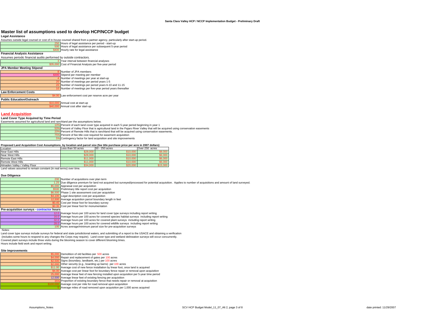#### **Legal Assistance**

| LGUAI ASSISIAIIUG                                                                                                           |  |  |  |  |  |  |
|-----------------------------------------------------------------------------------------------------------------------------|--|--|--|--|--|--|
| Assumes outside legal counsel or cost of in-house counsel shared from a partner agency, particularly after start-up period. |  |  |  |  |  |  |
| 250 Hours of legal assistance per period - start-up                                                                         |  |  |  |  |  |  |
| 500 Hours of legal assistance per subsequent 5-year period                                                                  |  |  |  |  |  |  |
| \$400 Hourly rate for legal assistance                                                                                      |  |  |  |  |  |  |
|                                                                                                                             |  |  |  |  |  |  |

#### **Financial Analysis Assistance**

| Assumes periodic financial audits performed by outside contractors. |                                                             |
|---------------------------------------------------------------------|-------------------------------------------------------------|
|                                                                     | 3 Year interval between financial analyses                  |
|                                                                     | \$35,000 Cost of Financial Analysis per five-year period    |
| JPA Member Meeting Stipend                                          |                                                             |
|                                                                     | 8 Number of JPA members                                     |
|                                                                     | \$300 Stipend per meeting per member                        |
|                                                                     | Number of meetings per year at start-up                     |
|                                                                     | 20 Number of meetings per period years 1-5                  |
|                                                                     | 20 Number of meetings per period years 6-10 and 11-15       |
|                                                                     | 10 Number of meetings per five-year period years thereafter |
| <b>Law Enforcement Costs</b>                                        |                                                             |
|                                                                     | Law enforcement cost per reserve acre per year              |
| <b>Public Education/Outreach</b>                                    |                                                             |
|                                                                     | \$10,000 Annual cost at start-up                            |

Annual cost after start-up

### **Land Acquisition**

#### **Land Cover Type Acquired by Time Period**

Easements assumed for agricultural land and ranchland per the assumptions below.

5%

10% Percent of each land cover type acquired in each 5-year period beginning in year 1 50% Percent of Valley Floor that is agricultural land in the Pajaro River Valley that will be acquired using conservation easements Percent of Remote Hills that is ranchland that will be acquired using conservation easements.

20%75%Percent of fee title cost required for easement acquisition

Contingency factor for land acquisition and site improvements

#### **Proposed Land Acquisition Cost Assumptions, by location and parcel size (fee title purchase price per acre in 2007 dollars)**

| Location                      | Less than 50 acres | 50 - 250 acres | Over 250 acres |
|-------------------------------|--------------------|----------------|----------------|
| Near East Hills               | \$28,000           | \$10,000       | \$8.000        |
| Near West Hills               | \$28,000           | \$10,000       | \$6,000        |
| <b>Remote East Hills</b>      | \$11,000           | \$10,000       | \$6,000        |
| <b>Remote West Hills</b>      | \$11,000           | \$10,000       | \$6,000        |
| Almaden Valley / Valley Floor | \$34,000           | \$20,000       | \$15,000       |

Land values assumed to remain constant (in real terms) over time.

#### **Due Diligence**

| Due Diliyence                              |                                                                                                                                                                  |
|--------------------------------------------|------------------------------------------------------------------------------------------------------------------------------------------------------------------|
|                                            | 200 Number of acquisitions over plan term                                                                                                                        |
|                                            | .25 Due diligence premium for land not acquired but surveyed/processed for potential acquisition. Applies to number of acquisitions and amount of land surveyed. |
|                                            | \$5,000 Appraisal cost per acquisition                                                                                                                           |
|                                            | \$500 Preliminary title report cost per acquisition                                                                                                              |
|                                            | \$6,500 Phase 1 site assessment cost per acquisition                                                                                                             |
|                                            | 0 Legal description cost per acquisition                                                                                                                         |
|                                            | <b>Average acquisition parcel boundary length in feet</b>                                                                                                        |
|                                            | \$0.45 Cost per linear foot for boundary survey                                                                                                                  |
|                                            | \$0.35 Cost per linear foot for monumentation                                                                                                                    |
| Pre-acquisition surveys - contractor hours |                                                                                                                                                                  |
|                                            | 12.0 Average hours per 100 acres for land cover type surveys including report writing                                                                            |
|                                            | 16.0 Average hours per 100 acres for covered species habitat surveys including report writing                                                                    |
|                                            | 32.0 Average hours per 100 acres for covered plant surveys including report writing                                                                              |
|                                            | 28.0 Average hours per 100 acres for covered wildlife surveys including report writing                                                                           |
|                                            | 100 Acres average/minimum parcel size for pre-acquisition surveys                                                                                                |

#### Notes:

 Land cover type surveys include surveys for federal and state jurisdictional waters, and submitting of a report to the USACE and obtaining a verification (includes some hours to respond to any changes the Corps may require). Land cover type and wetland delineation surveys will occur concurrently. Covered plant surveys include three visits during the blooming season to cover different blooming times. Hours include field work and report writing.

#### **Site Improvements**

| Demolition of old facilities per 500 acres                                                  |
|---------------------------------------------------------------------------------------------|
| \$4,000 Repair and replacement of gates per 100 acres                                       |
| \$2,500 Signs (boundary, landbank, etc.) per 100 acres                                      |
| \$2,000 Other security (e.g., boarding up barns) per 100 acres                              |
| \$11.00 Average cost of new fence installation by linear foot, once land is acquired        |
| \$4.00 Average cost per linear foot for boundary fence repair or removal upon acquisition   |
| 25,000 Average linear feet of new fencing installed upon acquisition per 5-year time period |
| 12,500 Average linear feet of existing fencing per acquisition                              |
| 35% Proportion of existing boundary fence that needs repair or removal at acquisition       |
| Average cost per mile for road removal upon acquisition                                     |
| Average miles of road removed upon acquisition per 1,000 acres acquired                     |
|                                                                                             |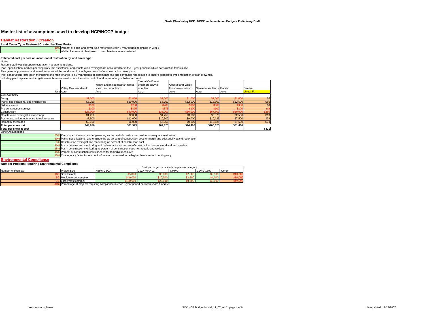#### **Habitat Restoration / Creation**

#### **Land Cover Type Restored/Created by Time Period**

10% Percent of each land cover type restored in each 5-year period beginning in year 1 Width of stream (in feet) used to calculate total acres restored

#### **Estimated cost per acre or linear foot of restoration by land cover type**

Notes:

Reserve staff would prepare restoration management plans.

Plan, specification, and engineering work, bid assistance, and construction oversight are accounted for in the 5-year period in which construction takes place.

Five years of post-construction maintenance will be conducted in the 5-year period after construction takes place.

Post-construction restoration monitoring and maintenance is a 5-year period of staff monitoring and contractor remediation to ensure successful implementation of plan drawings,

| including plant replacement, irrigation maintenance, week control, erosion control, and repair of any substandard work. |                     |                                   |                    |                           |                         |          |                   |
|-------------------------------------------------------------------------------------------------------------------------|---------------------|-----------------------------------|--------------------|---------------------------|-------------------------|----------|-------------------|
|                                                                                                                         |                     |                                   | Central California |                           |                         |          |                   |
|                                                                                                                         |                     | Willow and mixed riparian forest. | sycamore alluvial  | <b>Coastal and Vallev</b> |                         |          |                   |
|                                                                                                                         | Valley Oak Woodland | scrub, and woodland               | woodland           | Freshwater marsh          | Seasonal wetlands Ponds |          | Stream            |
|                                                                                                                         | Unit Acre           | Acre                              | Acre               | Acre                      | Acre                    | Acre     | <b>Linear Ft.</b> |
| <b>Cost Category</b>                                                                                                    |                     |                                   |                    |                           |                         |          |                   |
| Design                                                                                                                  | \$1,000             | \$1,00                            | \$1,00             | \$1,000                   | \$1.00                  | \$1,00   | \$5               |
| Plans, specifications, and engineering                                                                                  | \$6,250             | \$10,000                          | \$8,750            | \$12,000                  | \$13,500                | \$12,500 | \$65              |
| <b>Bid assistance</b>                                                                                                   |                     | \$20                              | \$20               | \$30                      | \$30                    | \$30     | \$0               |
| Pre-construction surveys                                                                                                |                     | \$37                              | \$37               |                           |                         | \$10     | n/a               |
| Construction                                                                                                            | \$25,000            | \$40.00                           | \$35.00            | \$60,00                   | \$67.50                 | \$50,000 | \$260             |
| Construction oversight & monitoring                                                                                     | \$1,250             | \$2,000                           | \$1,750            | \$3,000                   | \$3.375                 | \$2,500  | \$13              |
| Post-construction monitoring & maintenance                                                                              | \$7,500             | \$12,000                          | \$10,500           | \$9,000                   | \$10,125                | \$7,500  | \$39              |
| Remedial measures                                                                                                       | \$3,750             | \$6,000                           | \$5,250            | \$9,000                   | \$10,125                | \$7,500  | \$39              |
| Total per acre cost                                                                                                     | \$44.950            | \$71.575                          | \$62,825           | \$94,400                  | \$106.025               | \$81.400 |                   |
| <b>Total per linear ft cost</b>                                                                                         |                     |                                   |                    |                           |                         |          | \$421             |

Other Assumptions:

25%Plans, specifications, and engineering as percent of construction cost for non-aquatic restoration.

20%Plans, specifications, and engineering as percent of construction cost for marsh and seasonal wetland restoration.

5%Construction oversight and monitoring as percent of construction cost.

30%Post - construction monitoring and maintenance as percent of construction cost for woodland and riparian

15%Post - construction monitoring as percent of construction cost.- for aquatic and wetland.

 $-15$ Percent of construction costs needed for remedial measures

15%Contingency factor for restoration/creation; assumed to be higher than standard contingency

#### **Environmental Compliance**

#### **Number Projects Requiring Environmental Compliance**

|                    |                     | Cost per project size and compliance category |             |             |                  |       |          |
|--------------------|---------------------|-----------------------------------------------|-------------|-------------|------------------|-------|----------|
| Number of Proiects | Project size        | <b>NEPA/CEQA</b>                              | CWA 404/401 | <b>NHPA</b> | <b>CDFG 1602</b> | Other |          |
|                    | Small/simple        |                                               |             | ،ں          |                  |       |          |
|                    | Medium/more complex |                                               |             | טיס,טי      |                  |       |          |
|                    | Large/most complex  |                                               |             | יטט,סנ      |                  |       | 9 I U.UU |
| $\cdots$           |                     | --                                            | .           |             |                  |       |          |

10% Percentage of projects requiring compliance in each 5-year period between years 1 and 50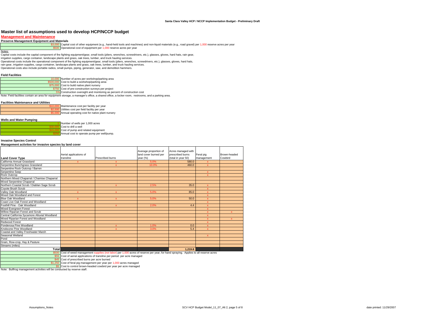#### **Management and Maintenance**

#### **Preserve Management Equipment and Materials**

<mark>\$3,000 I</mark> Capital cost of other equipment (e.g., hand-held tools and machines) and non-liquid materials (e.g., road gravel) per 1,000 reserve acres per year<br><mark>\$5000 |</mark>Operational cost of equipment per 1,000 reserve acres p

Notes:

Capital costs include the capital component of fire fighting equipment/gear, small tools (pliers, wrenches, screwdrivers, etc.), glasses, gloves, hard hats, rain gear,

irrigation supplies, cargo container, landscape plants and grass, oak trees, lumber, and truck hauling services.

Operational costs include the operational component of fire fighting equipment/gear, small tools (pliers, wrenches, screwdrivers, etc.), glasses, gloves, hard hats,

rain gear, irrigation supplies, cargo container, landscape plants and grass, oak trees, lumber, and truck hauling services.

Operational costs also include portable radios, small pumps, piping, generator, saw, and demolition hammers.

#### **Field Facilities**

| 10,000 Number of acres per workshop/parking area                                                                                                 |
|--------------------------------------------------------------------------------------------------------------------------------------------------|
| \$500,000 Cost to build a workshop/parking area                                                                                                  |
| \$75,000 Cost to build native plant nursery                                                                                                      |
| \$750 Cost of pre-construction surveys per project                                                                                               |
| 5% Construction oversight and monitoring as percent of construction cost                                                                         |
| Note: Field facilities contain an area for equipment storage, a manager's office, a shared office, a locker room, restrooms, and a parking area. |

#### **Facilities Maintenance and Utilities**

Maintenance cost per facility per year Utilities cost per field facility per year Annual operating cost for native plant nursery

#### **Wells and Water Pumping**

| Number of wells per 1,000 acres            |
|--------------------------------------------|
| Cost to drill a well                       |
| Cost of pump and related equipment         |
| Annual cost to operate pump per well/pump. |

#### **Invasive Species Control**

#### **Management activites for invasive species by land cover**

|                                               |                        |                                                                                                                                         | Average proportion of | Acres managed with |              |              |
|-----------------------------------------------|------------------------|-----------------------------------------------------------------------------------------------------------------------------------------|-----------------------|--------------------|--------------|--------------|
|                                               | Aerial applications of |                                                                                                                                         | land cover burned per | prescribed burns   | Feral pig    | Brown-headed |
| <b>Land Cover Type</b>                        | transline              | <b>Prescribed burns</b>                                                                                                                 | year (%)              | (total in year 50) | management   | Cowbird      |
| California Annual Grassland                   | $\mathbf{x}$           | x                                                                                                                                       | 5.0%                  | 580.0              | $\mathbf{x}$ |              |
| Serpentine Bunchgrass Grassland               |                        | $\mathbf x$                                                                                                                             | 10.0%                 | 460.0              | $\mathbf{x}$ |              |
| Serpentine Rock Outcrop / Barren              |                        |                                                                                                                                         |                       |                    |              |              |
| Serpentine Seep                               |                        |                                                                                                                                         |                       |                    | $\mathbf{x}$ |              |
| <b>Rock Outcrop</b>                           |                        |                                                                                                                                         |                       |                    | $\mathbf{x}$ |              |
| Northern Mixed Chaparral / Chamise Chaparral  |                        |                                                                                                                                         |                       |                    |              |              |
| Mixed Serpentine Chaparral                    |                        |                                                                                                                                         |                       |                    |              |              |
| Northern Coastal Scrub / Diablan Sage Scrub   |                        | x                                                                                                                                       | 2.5%                  | 35.0               | $\mathbf{x}$ |              |
| Coyote Brush Scrub                            |                        |                                                                                                                                         |                       |                    | $\mathbf{x}$ |              |
| Valley Oak Woodland                           | $\mathbf{x}$           | $\mathbf{x}$                                                                                                                            | 5.0%                  | 85.0               | $\mathbf x$  |              |
| Mixed Oak Woodland and Forest                 |                        |                                                                                                                                         |                       |                    | $\mathbf x$  |              |
| Blue Oak Woodland                             | x                      | $\mathbf x$                                                                                                                             | 5.0%                  | 50.0               | $\mathbf x$  |              |
| Coast Live Oak Forest and Woodland            |                        |                                                                                                                                         |                       |                    | $\mathbf x$  |              |
| Foothill Pine - Oak Woodland                  |                        | X                                                                                                                                       | 2.0%                  | 4.4                | $\mathbf x$  |              |
| <b>Mixed Evergreen Forest</b>                 |                        |                                                                                                                                         |                       |                    | $\mathbf{x}$ |              |
| Willow Riparian Forest and Scrub              |                        |                                                                                                                                         |                       |                    | $\mathbf x$  |              |
| Central California Sycamore Alluvial Woodland |                        |                                                                                                                                         |                       |                    | $\mathbf{x}$ |              |
| Mixed Riparian Forest and Woodland            |                        |                                                                                                                                         |                       |                    | x            | x            |
| Redwood Forest                                |                        |                                                                                                                                         |                       |                    | $\mathbf x$  |              |
| Ponderosa Pine Woodland                       |                        | X                                                                                                                                       | 1.0%                  | 0.0                | $\mathbf{x}$ |              |
| Knobcone Pine Woodland                        |                        |                                                                                                                                         | 3.0%                  | 5.4                | $\mathbf{x}$ |              |
| Coastal and Valley Freshwater Marsh           |                        |                                                                                                                                         |                       |                    |              |              |
| Seasonal Wetland                              |                        |                                                                                                                                         |                       |                    | $\mathbf{x}$ |              |
| Pond                                          |                        |                                                                                                                                         |                       |                    |              |              |
| Grain, Row-crop, Hay & Pasture                |                        |                                                                                                                                         |                       |                    |              |              |
| Streams (miles)                               |                        |                                                                                                                                         |                       |                    |              |              |
| Total                                         |                        |                                                                                                                                         |                       | 1.219.8            |              |              |
|                                               |                        | \$500 Cost of weed management supplies (not labor) per 1,000 acres of reserve per year, for hand spraying. Applies to all reserve acres |                       |                    |              |              |
|                                               |                        | \$55 Cost of aerial applications of transline per period per acre managed                                                               |                       |                    |              |              |

45 Cost of prescribed burns per acre burned

\$1,250 Cost of feral pig management per year per 1,000 acres managed \$5 Cost to control brown-headed cowbird per year per acre managed

Note: Bullfrog management activities will be conducted by reserve staff.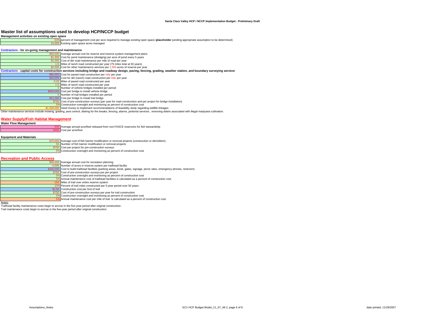#### **Management activities on existing open space**

|                                                     | Master list of assumptions used to develop HCP/NCCP budget                                                                                                                                      |
|-----------------------------------------------------|-------------------------------------------------------------------------------------------------------------------------------------------------------------------------------------------------|
| Management activities on existing open space        |                                                                                                                                                                                                 |
|                                                     | 50% percent of management cost per acre required to manage existing open space (placeholder pending appropriate assumption to be determined)                                                    |
|                                                     | 10,000 Existing open space acres managed                                                                                                                                                        |
|                                                     |                                                                                                                                                                                                 |
| Contractors for on-going management and maintenance |                                                                                                                                                                                                 |
|                                                     | \$50,000 Average annual cost for reserve and reserve system management plans                                                                                                                    |
|                                                     | \$1,500 Cost for pond maintenance (dredging) per acre of pond every 5 years                                                                                                                     |
|                                                     | \$1,000 Cost of dirt road maintenance per mile of road per year                                                                                                                                 |
|                                                     | 1.5 Miles of ranch road constructed per year (75 miles total at 50 years)                                                                                                                       |
|                                                     | \$2,500 Cost for other maintenance services per 1,000 acres of reserve per year                                                                                                                 |
|                                                     | Contractors - capital costs for construction services including bridge and roadway design, paving, fencing, grading, weather station, and boundary surveying services                           |
|                                                     | \$80,000 Cost for paved road construction per mile per year                                                                                                                                     |
|                                                     | \$40,000 Cost for dirt (ranch) road construction per mile per year                                                                                                                              |
|                                                     | 0.25 Miles of paved road constructed per year                                                                                                                                                   |
|                                                     | 1.5 Miles of ranch road constructed per year                                                                                                                                                    |
|                                                     | 3 Number of vehicle bridges installed per period                                                                                                                                                |
|                                                     | \$600,000 Cost per bridge to install vehicle bridge                                                                                                                                             |
|                                                     | 3 Number of trail bridges installed per period                                                                                                                                                  |
|                                                     | \$21,000 Cost per bridge to install trail bridge                                                                                                                                                |
|                                                     | \$750 Cost of pre-construction surveys (per year for road construction and per project for bridge installation)                                                                                 |
|                                                     | 5% Construction oversight and monitoring as percent of construction cost                                                                                                                        |
|                                                     | \$1,500,000 Seed money to implement recommendations of feasibility study regarding wildlife linkages                                                                                            |
|                                                     | Other maintenance services include mowing, grading, pest control, disking for fire breaks, fencing, alarms, janitorial services, removing debris associated with illegal marijuana cultivation. |

#### **Water Supply/Fish Habitat Management**

|  | <b>Water Flow Management</b> |
|--|------------------------------|
|  |                              |

 Average annual acre/feet released from non-FASCE reservoirs for fish stewardship Cost per acre/foot

#### **Equipment and Materials**

| \$70,000 Average cost of fish barrier modification or removal projects (construction or demolition) |
|-----------------------------------------------------------------------------------------------------|
| 55 Number of fish barrier modification or removal projects                                          |
| \$750 Cost per project for pre-construction surveys                                                 |
| 5% Construction oversight and monitoring as percent of construction cost                            |
|                                                                                                     |

#### **Recreation and Public Access**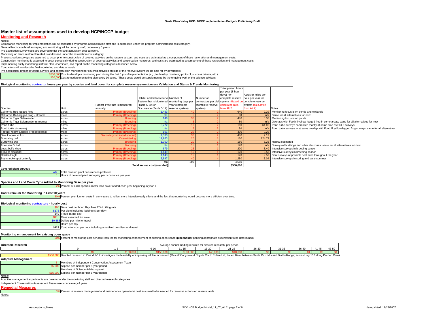#### **Monitoring and Research**

<u>Notes:</u><br>Compliance monitoring for implementation will be conducted by program administration staff and is addressed under the program administration cost category.

General landscape level surveying and monitoring will be done by staff, once every 5 years.

Pre-acquisition survey costs are covered under the land acquisition cost category.

Monitoring on lands restored/created is addressed under the restoration cost category.<br>Preconstruction surveys are assumed to occur prior to construction of covered activites on the reserve sustem. and costs are estimated

Construction monitoring is assumed to occur periodically during construction of covered activities and conservation measures, and costs are estimated as a component of those restoration and management costs.

Implementing entity monitoring staff will plan, coordinate, and report on the monitoring categories described below.<br>Contractors will conduct the field monitoring and data analysis.<br>Pre-acquistiion, preconstruction surveys

Cost to develop a monitoring plan during the first 5 yrs of implementation (e.g., to develop monitoing protocol, success criteria, etc.)

Cost to update monitoring plan every 10 years. These costs would be supplemented by the ongoing work of the science advisors.

#### **Biological monitoring contractor hours per year by species and land cover for complete reserve system (covers Validation and Status & Trends Monitoring)**

|                                       |       |                                |                                              |                |                                                          | Total person hours |                    |                                                                                                               |
|---------------------------------------|-------|--------------------------------|----------------------------------------------|----------------|----------------------------------------------------------|--------------------|--------------------|---------------------------------------------------------------------------------------------------------------|
|                                       |       |                                |                                              |                |                                                          | per year (8 hour   |                    |                                                                                                               |
|                                       |       |                                |                                              |                |                                                          | days) for          | Acres or miles per |                                                                                                               |
|                                       |       |                                | Habitat added to Reserve Number of           |                | Number of                                                | complete reserve   | hour per year for  |                                                                                                               |
|                                       |       |                                | System that is Monitored monitoring days per |                | contractors per visit system - Based on complete reserve |                    |                    |                                                                                                               |
|                                       |       | Habitat Type that is monitored | (Table 5-20) or                              | year (complete | (complete reserve calculated ratio                       |                    | system (calculated |                                                                                                               |
| Species                               | Unit  | annually                       | Occurrence (Table 5-17) reserve system)      |                | system)                                                  | from Alt 2         | from Alt 2)        | Notes                                                                                                         |
| California Red-legged Frog            | acres | <b>Primary (Breeding</b>       | .463                                         |                |                                                          | 640                |                    | 2.29 Monitoring focus is on ponds and wetlands                                                                |
| California Red-legged Frog - streams  | miles | Primary (Breeding)             | n/a                                          |                |                                                          | 80                 |                    | $n/a$ Same for all alternatives for now                                                                       |
| California Tiger Salamander           | acres | <b>Rreedin</b>                 | 146                                          |                |                                                          | 480                |                    | 0.30 Monitoring focus is on ponds                                                                             |
| California Tiger Salamander (streams) | miles | <b>Breeding</b>                | n/a                                          |                |                                                          | 80                 |                    | n/a Overlaps with Foothill yellow-legged frog in some areas; same for all alternatives for now                |
| Pond turtle                           | acres | <b>Primary (Breeding</b>       | 9.772                                        |                |                                                          | 160                |                    | 61.08 Pond turtle surveys conducted mostly at same time as CRLF surveys                                       |
| Pond turtle (streams)                 | miles | <b>Primary (Breeding</b>       | n/a                                          |                |                                                          | 80                 |                    | n/a Pond turtle surveys in streams overlap with Foothill yellow-legged frog surveys; same for all alternative |
| Foothill Yellow-Legged Frog (streams) | miles | <b>Primary (Breeding</b>       | 101                                          |                |                                                          | 400                | 0.25               |                                                                                                               |
| San Joaquin kit fox                   | acres | Secondary habitat (dispersa    | 4.380                                        |                |                                                          | 480                | 9.13               |                                                                                                               |
| Burrowing owl                         | acres | Overwinte                      | 19,963                                       |                |                                                          | 160                | 124,77             |                                                                                                               |
| Burrowing owl                         | acres | <b>Breedir</b>                 | 1.000                                        |                |                                                          | 160                |                    | 6.25 Habitat estimated                                                                                        |
| Townsend's bat                        | acres | Roosti                         | n/a                                          |                |                                                          | 120                |                    | n/a Surveys of buildings and other structures; same for all alternatives for now                              |
| Least bell's vireo                    | acres | <b>Primary (Breeding</b>       | 679                                          |                |                                                          | 200                |                    | 3.40 Intensive surveys in breeding season                                                                     |
| Tricolor blackbird                    | acres | <b>Primary (Breeding</b>       | .149                                         |                |                                                          | 120                |                    | 9.58 Intensive surveys in breeding season                                                                     |
| Golden Eagle                          | acres | <b>Primary (Breeding</b>       | 1.143                                        |                |                                                          | 120                |                    | 9.53 Spot surveys of possible nest sites throughout the year                                                  |
| Bay checkerspot butterfly             | acres | <b>Primary (Breeding</b>       | 3.897                                        |                |                                                          | 1.280              |                    | 3.04 Intensive surveys in spring and early summer                                                             |
|                                       |       |                                | Total                                        | 300            |                                                          | 4.560              |                    |                                                                                                               |
|                                       |       |                                | Total annual cost (rounded)                  |                |                                                          | \$560,000          |                    |                                                                                                               |
| <b>Covered plant survevs</b>          |       |                                |                                              |                |                                                          |                    |                    |                                                                                                               |

228 Total covered plant occurrences protected

5 Hours of covered plant surveying per occurrence per year

#### **Species and Land Cover Type Added to Monitoring Base per year**

2% Percent of each species and/or land cover added each year beginning in year 1

#### **Cost Premium for Monitoring in First 10 years**

30% Percent premium on costs in early years to reflect more intensive early efforts and the fact that monitoring would become more efficient over time.

| Biological monitoring contractors hourly cost |                                                      |
|-----------------------------------------------|------------------------------------------------------|
|                                               | \$95 Base cost per hour, Bay Area ES-II billing rate |
|                                               | \$175 Per diem including lodging (\$ per day)        |
|                                               | \$49 Travel (\$ per day)                             |
| 100 <sub>1</sub>                              | Miles assumed for travel                             |
|                                               | \$0.485 Dollars per mile for travel                  |

8 Hours per day

**\$123** Contractor cost per hour including amortized per diem and travel

#### **Monitoring enhancement for existing open space**

50% percent of monitoring cost per acre required for monitoring enhancement of existing open space (**placeholder** pending appropriate assumption to be determined)

| <b>Directed Research</b>                                                                                 |                                               |                                                                                                                                                                                                                                |           | Average annual funding required for directed research, per period. |          |           |       |           |           |       |       |
|----------------------------------------------------------------------------------------------------------|-----------------------------------------------|--------------------------------------------------------------------------------------------------------------------------------------------------------------------------------------------------------------------------------|-----------|--------------------------------------------------------------------|----------|-----------|-------|-----------|-----------|-------|-------|
|                                                                                                          |                                               |                                                                                                                                                                                                                                | $6 - 11$  | $11 - 15$                                                          | 16-20    | $21 - 25$ | 26-30 | $31 - 35$ | $36 - 40$ | 41-45 | 46-50 |
|                                                                                                          |                                               | \$150,000                                                                                                                                                                                                                      | \$150,000 | \$100,000                                                          | \$40,000 | \$40,000  |       |           |           |       |       |
|                                                                                                          |                                               | Directed research in Period 1-5 to investigate the feasibility of improving wildlife movement (Metcalf Canyon and Coyote Crk to Tulare Hill; Pajaro River between Santa Cruz Mts and Diablo Range; across Hwy 152 along Pacheo |           |                                                                    |          |           |       |           |           |       |       |
| <b>Adaptive Management</b>                                                                               |                                               |                                                                                                                                                                                                                                |           |                                                                    |          |           |       |           |           |       |       |
|                                                                                                          |                                               | Members of Independent Conservation Assessment Team                                                                                                                                                                            |           |                                                                    |          |           |       |           |           |       |       |
|                                                                                                          | \$5,000 Stipend per member per 5-year period  |                                                                                                                                                                                                                                |           |                                                                    |          |           |       |           |           |       |       |
|                                                                                                          | Members of Science Advisors panel             |                                                                                                                                                                                                                                |           |                                                                    |          |           |       |           |           |       |       |
|                                                                                                          | \$15,000 Stipend per member per 5-year period |                                                                                                                                                                                                                                |           |                                                                    |          |           |       |           |           |       |       |
| Notes:                                                                                                   |                                               |                                                                                                                                                                                                                                |           |                                                                    |          |           |       |           |           |       |       |
| Adaptive management experiments are covered under the monitoring staff and directed research categories. |                                               |                                                                                                                                                                                                                                |           |                                                                    |          |           |       |           |           |       |       |

Independent Conservation Assessment Team meets once every 4 years.

**Remedial Measures**

**Notes** 

3% Percent of reserve management and maintenance operational cost assumed to be needed for remedial actions on reserve lands.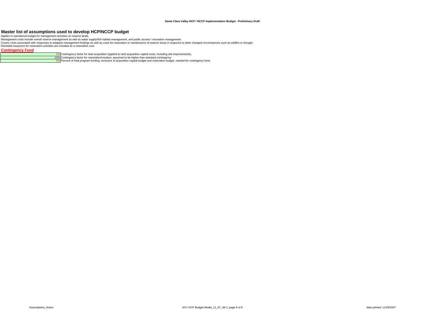#### **Santa Clara Valley HCP / NCCP Implementation Budget - Preliminary Draft**

Master list of assumptions used to develop HCP/NCCP budget<br>Applies to operational budget for management activities on reserve lands.<br>Management costs include overall reserve management as well as water supply/fish habitat

Remedial measures for restoration activities are included as a restoration cost.

#### **Contingency Fund**

<mark>. 5%.</mark> Contingency factor for land acquisition (applied to land acquisition capital costs, including site improvements).<br>15%. Contingency factor for restoration/creation; assumed to be higher than standard contingency<br>-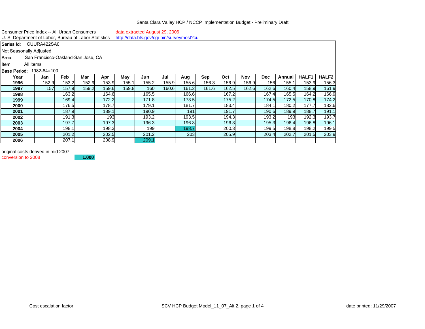|   | Consumer Price Index -- All Urban Consumers |  |  |  |  |     | data extracted August 29, 2006 |  |  |  |  |
|---|---------------------------------------------|--|--|--|--|-----|--------------------------------|--|--|--|--|
| . |                                             |  |  |  |  | ___ |                                |  |  |  |  |

U. S. Department of Labor, Bureau of Labor Statistics <http://data.bls.gov/cgi-bin/surveymost?cu>

**Series Id:** CUURA422SA0

Not Seasonally Adjusted

Area: San Francisco-Oakland-San Jose, CA

Item: All items

## 1982-84=100

| <b>Base Period:</b> | 1982-84=100 |       |       |       |       |            |       |       |       |       |       |            |        |       |       |
|---------------------|-------------|-------|-------|-------|-------|------------|-------|-------|-------|-------|-------|------------|--------|-------|-------|
| Year                | Jan         | Feb   | Mar   | Apr   | Mav   | Jun        | Jul   | Aug   | Sep   | Oct   | Nov   | <b>Dec</b> | Annual | HALF1 | HALF2 |
| 1996                | 152.9       | 153.2 | 152.9 | 153.9 | 155.1 | 155.2      | 155.9 | 155.6 | 156.3 | 156.9 | 156.9 | 156        | 155.   | 153.9 | 156.3 |
| 1997                | 157         | 157.9 | 159.2 | 159.6 | 159.8 | <b>160</b> | 160.6 | 161.2 | 161.6 | 162.5 | 162.6 | 162.6      | 160.4  | 158.9 | 161.9 |
| 1998                |             | 163.2 |       | 164.6 |       | 165.5      |       | 166.6 |       | 167.2 |       | 167.4      | 165.5  | 164.2 | 166.9 |
| 1999                |             | 169.4 |       | 172.2 |       | 171.8      |       | 173.5 |       | 175.2 |       | 174.5      | 172.5  | 170.8 | 174.2 |
| 2000                |             | 176.5 |       | 178.7 |       | 179.1      |       | 181.7 |       | 183.4 |       | 184.1      | 180.2  | 177.7 | 182.6 |
| 2001                |             | 187.9 |       | 189.1 |       | 190.9      |       | 191   |       | 191.7 |       | 190.6      | 189.9  | 188.7 | 191.1 |
| 2002                |             | 191.3 |       | 193   |       | 193.2      |       | 193.5 |       | 194.3 |       | 193.2      | 193    | 192.3 | 193.7 |
| 2003                |             | 197.7 |       | 197.3 |       | 196.3      |       | 196.3 |       | 196.3 |       | 195.3      | 196.4  | 196.8 | 196.1 |
| 2004                |             | 198.1 |       | 198.3 |       | 199        |       | 198.7 |       | 200.3 |       | 199.5      | 198.8  | 198.2 | 199.5 |
| 2005                |             | 201.2 |       | 202.5 |       | 201.2      |       | 203   |       | 205.9 |       | 203.4      | 202.7  | 201.5 | 203.9 |
| 2006                |             | 207.1 |       | 208.9 |       | 209.1      |       |       |       |       |       |            |        |       |       |

original costs derived in mid 2007

conversion to 2008

**1.000**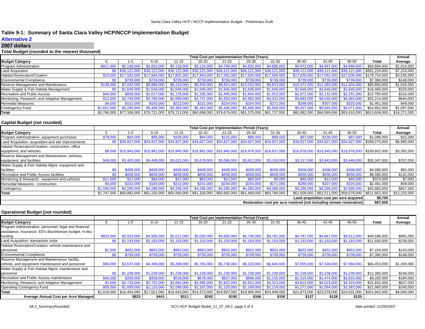## **Table 9-1: Summary of Santa Clara Valley HCP/NCCP Implementation Budget**

## **Alternative 2**

#### **2007 dollars**

### **Total Budget (rounded to the nearest thousand)**

|                                               |             |                               |                                                                          |             |             | <b>Total Cost per Implementation Period (Years)</b>                     |             |                                                                                                                      |                           |                                        |              |                                                            | Annual       |
|-----------------------------------------------|-------------|-------------------------------|--------------------------------------------------------------------------|-------------|-------------|-------------------------------------------------------------------------|-------------|----------------------------------------------------------------------------------------------------------------------|---------------------------|----------------------------------------|--------------|------------------------------------------------------------|--------------|
| <b>Budget Category</b>                        |             | 1-5                           | $6 - 10$                                                                 | 11-15       | 16-20       | $21 - 25$                                                               | 26-30       | $31 - 35$                                                                                                            | 36-40                     | 41-45                                  | 46-50        | Total                                                      | Average      |
| Program Administration                        | \$911,000   | \$5,148,00                    | \$5,003,000                                                              | \$5.118,000 | \$5.124,000 | \$4.789.000                                                             | \$4.832,000 | \$4,890,000                                                                                                          | \$4,873,000               | \$4,997,000                            | \$4,999,000  | \$50,684,000                                               | \$1,014,000  |
| Land Acquisition                              |             | \$0 \$36.121.000 \$36.121.000 |                                                                          |             |             | $\frac{1536,121,000}{1536,121,000}$ $\frac{1536,121,000}{1536,121,000}$ |             | \$36,121,000                                                                                                         | \$36,121,000              | $\frac{1}{2}$ \$36.121.000             | \$36,121,000 | $9 - $361,210,000$                                         | \$7,224,000  |
| <b>Habitat Restoration/Creation</b>           |             | $\frac{1}{2}$ \$17.592.000    | \$17,844,000   \$17,802,000   \$17,843,000   \$17,592,000   \$17,630,000 |             |             |                                                                         |             | \$17,589,000                                                                                                         | \$17.630.000 \$17.592.000 |                                        | \$17,630,000 | \$176,754,000                                              | \$3,535,000  |
| <b>Environmental Compliance</b>               | \$0         | \$739,000                     | \$739,000                                                                | \$739,000   | \$739,000   | \$739,000                                                               | \$739,000   | \$739,000                                                                                                            | \$739,000                 | \$739,000                              | \$739,000    | \$7,390,000                                                | \$148,000    |
| Reserve Management and Maintenance            | \$138,000   | \$7,042,000                   | \$8,996,000                                                              | \$8,319,000 | \$9,459,000 | \$8,824,000 \$10,032,000                                                |             | \$9,833,000                                                                                                          |                           | \$10,373,000 \$11,380,000 \$11,404,000 |              | \$95,800,000                                               | \$1,916,000  |
| Water Supply & Fish Habitat Management        | \$0         | \$1.646.000                   | \$1,646,000                                                              | \$1,646,000 | \$1,646,000 | \$1.646.000                                                             | \$1,646,000 | \$1.646.000                                                                                                          | \$1,646,000               | \$1,646,000                            | \$1,646,000  | \$16.460.000                                               | \$329,000    |
| Recreation and Public Access                  | \$40,000    | \$858,000                     | \$1.017.000                                                              | \$1.176.000 | \$1,335,000 | \$1.495.000                                                             | \$1.654.000 | \$1,813,000                                                                                                          | \$1.972,000               |                                        | \$2,291,000  | \$15,783,000                                               | \$316,000    |
| Monitoring, Research, and Adaptive Management | \$12.000    | \$2.745.000                   | \$2.766.000                                                              | \$2,696,000 | \$2.747.000 | \$2.833.000                                                             | \$2,982,000 | \$3.331.000                                                                                                          | \$3,683,000               | \$4,035,000                            | \$4,384,000  | \$32.214.000                                               | \$644,000    |
| <b>Remedial Measures</b>                      | \$4,000     | \$152,000                     | \$183,000                                                                | \$212,000   | \$231.000   | \$234,000                                                               | \$254,000   | \$271.000                                                                                                            | \$288,000                 | \$307,000                              | \$325,000    | \$2.461.000                                                | \$49,000     |
| Contingency Fund                              | \$1.651.000 | \$5,295,000                   | \$5,406,000                                                              | \$5,384,000 | \$5,453,000 | \$5,406,000                                                             | \$5.485.000 | \$5,504,000                                                                                                          | \$5,557,000               | \$5,640,000                            | \$4,071,000  | \$54,852,000                                               | \$1,097,000  |
| Total                                         |             |                               |                                                                          |             |             |                                                                         |             | \$2,766,000   \$77,338,000   \$79,721,000   \$79,213,000   \$80,698,000   \$79,679,000   \$81,375,000   \$81,737,000 |                           |                                        |              | \$82,882,000   \$84,589,000   \$83,610,000   \$813,608,000 | \$16,272,000 |

### **Capital Budget (not rounded)**

|                                                     |             |             |                                                                                                                |             |             | <b>Total Cost per Implementation Period (Years)</b> |                         |             |                                                                       |                                                      |             |                                                            | Annual       |
|-----------------------------------------------------|-------------|-------------|----------------------------------------------------------------------------------------------------------------|-------------|-------------|-----------------------------------------------------|-------------------------|-------------|-----------------------------------------------------------------------|------------------------------------------------------|-------------|------------------------------------------------------------|--------------|
| <b>Budget Category</b>                              |             | $1 - 5$     | $6 - 10$                                                                                                       | $11 - 15$   | 16-20       | $21 - 25$                                           | 26-30                   | $31 - 35$   | 36-40                                                                 | 41-45                                                | 46-50       | Total                                                      | Average      |
| Program Administration: equipment purchases         | \$79,000    | \$94,000    | \$95,000                                                                                                       | \$106.000   | \$94,000    | \$131.000                                           | \$86,000                | \$99,000    | \$87,000                                                              | \$130,000                                            | \$87,000    | \$1.088.000                                                | \$22,000     |
| Land Acquisition: acquisition and site improvements |             |             | \$0   \$34,927,000   \$34,927,000   \$34,927,000   \$34,927,000   \$34,927,000   \$34,927,000   \$34,927,000   |             |             |                                                     |                         |             |                                                                       |                                                      |             | \$34,927,000 \$34,927,000 \$34,927,000 \$349,270,000       | \$6,985,000  |
| Habitat Restoration/Creation: construction, office  |             |             |                                                                                                                |             |             |                                                     |                         |             |                                                                       |                                                      |             |                                                            |              |
| equipment, and vehicles                             |             |             | \$9,000 \$16,940,000 \$16,981,000 \$16,940,000 \$16,981,000 \$16,940,000 \$16,978,000 \$16,937,000             |             |             |                                                     |                         |             |                                                                       | \$16,978,000 \$16,940,000 \$16,978,000 \$169,602,000 |             |                                                            | \$3,392,000  |
| Reserve Management and Maintenance: vehicles,       |             |             |                                                                                                                |             |             |                                                     |                         |             |                                                                       |                                                      |             |                                                            |              |
| equipment, and facilities                           | \$48,000    | \$3,405,000 | \$4,498,000                                                                                                    | \$3,021,000 | \$3,678,000 |                                                     | \$3,086,000 \$3,812,000 | \$3,193,000 | \$3,317,000                                                           | \$3,843,000                                          | \$3,446,000 | \$35,347,000                                               | \$707,000    |
| Water Supply & Fish Habitat Mgmt: equipment and     |             |             |                                                                                                                |             |             |                                                     |                         |             |                                                                       |                                                      |             |                                                            |              |
| facilities                                          | \$0         | \$408,000   | \$408,000                                                                                                      | \$408,000   | \$408,000   | \$408,000                                           | \$408,000               | \$408,000   | \$408,000                                                             | \$408,000                                            | \$408,000   | \$4,080,000                                                | \$82,000     |
| Recreation and Public Access facilities             | \$0         | \$658,000   | \$658,000                                                                                                      | \$658,000   | \$658,000   | \$658,000                                           | \$658,000               | \$658,000   | \$658,000                                                             | \$658,000                                            | \$658,000   | \$6,580,000                                                | \$132,000    |
| Monitoring & Research: equipment and vehicles       | \$11,000    | \$12,000    | \$64,000                                                                                                       | \$11,000    | \$63,000    | \$12,000                                            | \$60,000                | \$9,000     | \$60,000                                                              | \$12,000                                             | \$60,000    | \$374,000                                                  | \$7,000      |
| Remedial Measures: construction                     | \$4,000     | \$152,000   | \$183,000                                                                                                      | \$212,000   | \$231,000   | \$234.000                                           | \$254,000               | \$271,000   | \$288,000                                                             | \$307,000                                            | \$325,000   | \$2,461,000                                                | \$49,000     |
| Contingency                                         | \$1,596,000 | \$4,286,000 | \$4,286,000                                                                                                    | \$4,286,000 | \$4,286,000 | \$4,286,000                                         | \$4,286,000             | \$4,286,000 | \$4,286,000                                                           | \$4,286,000                                          | \$2,690,000 | \$42,860,000                                               | \$857,000    |
| Total                                               |             |             | $$1,747,000$ $$60,882,000$ $$62,100,000$ $$60,569,000$ $$61,326,000$ $$60,682,000$ $$61,469,000$ $$60,788,000$ |             |             |                                                     |                         |             |                                                                       |                                                      |             | \$61,009,000   \$61,511,000   \$59,579,000   \$611,662,000 | \$12,233,000 |
| Land acquisition cost per acre acquired             |             |             |                                                                                                                |             |             |                                                     |                         |             |                                                                       |                                                      |             |                                                            |              |
|                                                     |             |             |                                                                                                                |             |             |                                                     |                         |             | Restoration cost per acre restored (not including stream restoration) |                                                      |             | \$67,000                                                   |              |

### **Operational Budget (not rounded)**

|                                                           |           |                                           |             |                         | <b>Total Cost per Implementation Period (Years)</b>                         |             |                                        |             |              |                           |             |               | Annual      |
|-----------------------------------------------------------|-----------|-------------------------------------------|-------------|-------------------------|-----------------------------------------------------------------------------|-------------|----------------------------------------|-------------|--------------|---------------------------|-------------|---------------|-------------|
| <b>Budget Category</b>                                    |           | 1-5                                       | $6 - 10$    | 11-15                   | 16-20                                                                       | $21 - 25$   | 26-30                                  | $31 - 35$   | 36-40        | $41 - 45$                 | 46-50       | Total         | Average     |
| Program Administration: personnel, legal and financial    |           |                                           |             |                         |                                                                             |             |                                        |             |              |                           |             |               |             |
| assistance, insurance, ED's discretionary budget, in-lieu |           |                                           |             |                         |                                                                             |             |                                        |             |              |                           |             |               |             |
| funding                                                   | \$832,000 | \$5,053,000                               | \$4,908,000 | \$5,012,000             | \$5,030,000                                                                 | \$4.658.000 | \$4.746,000                            | \$4,791,000 | \$4,787,000  | \$4,867,000               | \$4,912,000 | \$49,596,000  | \$992,000   |
| Land Acquisition: transaction costs                       | \$0       | \$1,193,000                               | \$1.193.000 | \$1,193,000             | \$1,193,000                                                                 | \$1.193.000 | \$1,193,000                            | \$1,193,000 | \$1,193,000  | \$1,193,000               | \$1,193,000 | \$11.930.000  | \$239,000   |
| Habitat Restoration/Creation: vehicle maintenance and     |           |                                           |             |                         |                                                                             |             |                                        |             |              |                           |             |               |             |
| personnel                                                 | \$1,000   | \$652,000                                 | \$863,000   | \$863,000               | \$863,000                                                                   | \$652,000   | \$652,000                              | \$652,000   | \$652,000    | \$652,000                 | \$652,000   | \$7,154,000   | \$143,000   |
| <b>Environmental Compliance</b>                           | \$0       | \$739,000                                 | \$739,000   | \$739,000               | \$739,000                                                                   | \$739,000   | \$739,000                              | \$739,000   | \$739,000    | \$739,000                 | \$739,000   | \$7,390,000   | \$148,000   |
| Reserve Management and Maintenance: facility,             |           |                                           |             |                         |                                                                             |             |                                        |             |              |                           |             |               |             |
| vehicle, and equipment maintenance and personnel          | \$90,000  | \$3,637,000                               |             | \$4,499,000 \$5,298,000 | \$5,780,000                                                                 |             | $$5,738,000$ $$6,220,000$ $$6,640,000$ |             | \$7,055,000  | \$7,538,000               | \$7,958,000 | \$60,453,000  | \$1,209,000 |
| Water Supply & Fish Habitat Mgmt: maintenance and         |           |                                           |             |                         |                                                                             |             |                                        |             |              |                           |             |               |             |
| personnel                                                 | \$0       | \$1,238,000                               | \$1.238.000 | \$1,238,000             | \$1,238,000                                                                 | \$1.238.000 | \$1.238.000                            | \$1,238,000 | \$1.238,000  | \$1,238,000               | \$1,238,000 | \$12,380,000  | \$248,000   |
| Recreation and Public Access maintenance                  | \$40,000  | \$200,000                                 | \$359,000   | \$518,000               | \$678.00                                                                    | \$837,000   | \$996,000                              | \$1.155.000 | \$1,315,00   | 474 O                     | \$1.633.00  | \$9,205,000   | \$184,000   |
| Monitoring, Research, and Adaptive Management             | \$1,000   | \$2.733,000                               | \$2,702,000 | \$2,684,000             | \$2,685,000                                                                 | \$2,822,00  | \$2,922,000                            | \$3.323.000 | \$3,623,00   |                           | \$4,324,00  | \$31,842,000  | \$637,000   |
| <b>Operating Contingency Fund</b>                         | \$55,000  | \$1,009,000                               | \$1,120,000 | \$1,098,000             | \$1.167.000                                                                 | \$1.120.00  |                                        | \$1,218,000 | \$1,271,00   | ,354.0                    | \$1,382,00  | \$11,993,000  | \$240,000   |
| <b>Total</b>                                              |           | \$1,019,000   \$16,454,000   \$17,621,000 |             |                         | )  \$18,643,000   \$19,373,000   \$18,997,000   \$19,905,000   \$20,949,000 |             |                                        |             | \$21.873.000 | \$23,078,000 \$24,031,000 |             | \$201,943,000 | \$4,040,000 |
| Average Annual Cost per Acre Managed                      |           | \$823                                     | \$441       | \$311                   | \$242                                                                       | \$190       | \$166                                  | \$150       | \$137        | \$128                     | \$120       |               |             |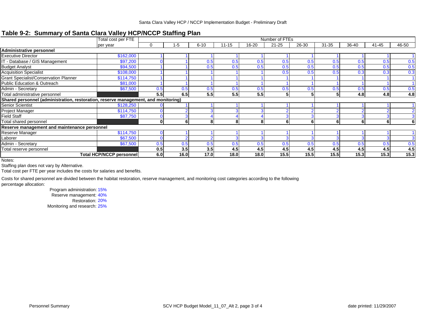## **Table 9-2: Summary of Santa Clara Valley HCP/NCCP Staffing Plan**

|                                                                                    | Total cost per FTE              |              |      |          |           |       | Number of FTEs |       |           |       |           |       |
|------------------------------------------------------------------------------------|---------------------------------|--------------|------|----------|-----------|-------|----------------|-------|-----------|-------|-----------|-------|
|                                                                                    | per year                        |              | 1-5  | $6 - 10$ | $11 - 15$ | 16-20 | $21 - 25$      | 26-30 | $31 - 35$ | 36-40 | $41 - 45$ | 46-50 |
| Administrative personnel                                                           |                                 |              |      |          |           |       |                |       |           |       |           |       |
| <b>Executive Director</b>                                                          | \$162,000                       |              |      |          |           |       |                |       |           |       |           |       |
| IT - Database / GIS Management                                                     | \$97,200                        |              |      | 0.5      | 0.5       | 0.5   | 0.5            | 0.5   | 0.5       | 0.5   | 0.5       | 0.5   |
| <b>Budget Analyst</b>                                                              | \$94,500                        |              |      | 0.5      | 0.5       | 0.5   | 0.5            | 0.5   | 0.5       | 0.5   | 0.5       | 0.5   |
| <b>Acquisition Specialist</b>                                                      | \$108,000                       |              |      |          |           |       |                | 0.5   | 0.5       |       | 0.3       | 0.3   |
| <b>Grant Specialist/Conservation Planner</b>                                       | \$114,750                       |              |      |          |           |       |                |       |           |       |           |       |
| <b>Public Education &amp; Outreach</b>                                             | \$81,000                        |              |      |          |           |       |                |       |           |       |           |       |
| Admin - Secretary                                                                  | \$67,500                        | 0.5          | 0.5  | 0.5      | 0.5       | 0.5   | 0.5            | 0.5   | 0.5       | 0.5   | 0.5       | 0.5   |
| Total administrative personnel                                                     |                                 | 5.5          | 6.5  | 5.5      | 5.5       | 5.5   | 5              | 5     |           | 4.8   | 4.8       | 4.8   |
| Shared personnel (administration, restoration, reserve management, and monitoring) |                                 |              |      |          |           |       |                |       |           |       |           |       |
| Senior Scientist                                                                   | \$128,250                       |              |      |          |           |       |                |       |           |       |           |       |
| Project Manager                                                                    | \$114,750                       |              |      |          |           |       |                |       |           |       |           |       |
| <b>Field Staff</b>                                                                 | \$87,750                        |              |      |          |           |       |                |       |           |       |           |       |
| Total shared personnel                                                             |                                 | $\mathbf{0}$ |      | 8        | 8         |       | 6              | 6     | 6         | 6     | 6         |       |
| Reserve management and maintenance personnel                                       |                                 |              |      |          |           |       |                |       |           |       |           |       |
| Reserve Manager                                                                    | \$114,750                       |              |      |          |           |       |                |       |           |       |           |       |
| Laborer                                                                            | \$67,500                        |              |      |          |           |       |                |       |           |       |           |       |
| Admin - Secretary                                                                  | \$67,500                        | 0.5          | 0.5  | 0.5      | 0.5       | 0.5   | 0.5            | 0.5   | 0.5       | 0.5   | 0.5       | 0.5   |
| Total reserve personnel                                                            |                                 | 0.5          | 3.5  | 3.5      | 4.5       | 4.5   | 4.5            | 4.5   | 4.5       | 4.5   | 4.5       | 4.5   |
|                                                                                    | <b>Total HCP/NCCP personnel</b> | 6.0          | 16.0 | 17.0     | 18.0      | 18.0  | 15.5           | 15.5  | 15.5      | 15.3  | 15.3      | 15.3  |

Notes:

Staffing plan does not vary by Alternative.

Total cost per FTE per year includes the costs for salaries and benefits.

Costs for shared personnel are divided between the habitat restoration, reserve management, and monitoring cost categories according to the following percentage allocation:

Program administration: 15%

Reserve management: 40%

Restoration: 20%

Monitoring and research: 25%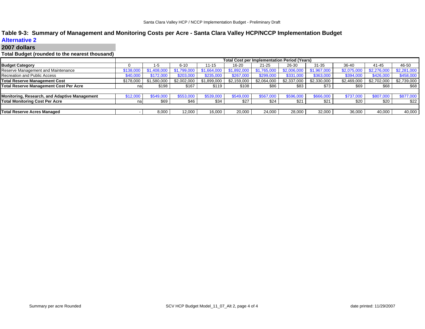## **Table 9-3: Summary of Management and Monitoring Costs per Acre - Santa Clara Valley HCP/NCCP Implementation Budget**

### **Alternative 2**

### **2007 dollars**

## **Total Budget (rounded to the nearest thousand)**

|                                               |           |             |             |             |             | <b>Total Cost per Implementation Period (Years)</b> |             |             |             |             |             |
|-----------------------------------------------|-----------|-------------|-------------|-------------|-------------|-----------------------------------------------------|-------------|-------------|-------------|-------------|-------------|
| <b>Budget Category</b>                        |           |             | $6 - 10$    | 11-15       | 16-20       | 21-25                                               | 26-30       | $31 - 35$   | 36-40       | 41-45       | 46-50       |
| Reserve Management and Maintenance            | \$138,000 | \$1,408,000 | \$1,799,000 | \$1,664,000 | \$1,892,000 | \$1,765,000                                         | \$2,006,000 | \$1,967,000 | \$2,075,000 | \$2,276,000 | \$2,281,000 |
| Recreation and Public Access                  | \$40,000  | \$172,000   | \$203,000   | \$235,000   | \$267,000   | \$299,000                                           | \$331,000   | \$363,000   | \$394,000   | \$426,000   | \$458,000   |
| <b>Total Reserve Management Cost</b>          | \$178,000 | \$1,580,000 | \$2,002,000 | \$1,899,000 | \$2,159,000 | \$2,064,000                                         | \$2,337,000 | \$2,330,000 | \$2,469,000 | \$2,702,000 | \$2,739,000 |
| Total Reserve Management Cost Per Acre        | nal       | \$198       | \$167       | \$119       | \$108       | \$86                                                | \$83        | \$73        | \$69        | \$68        | \$68        |
|                                               |           |             |             |             |             |                                                     |             |             |             |             |             |
| Monitoring, Research, and Adaptive Management | \$12,000  | \$549.000   | \$553,000   | \$539,000   | \$549,000   | \$567,000                                           | \$596,000   | \$666,000   | \$737.000   | \$807,000   | \$877,000   |
| <b>Total Monitoring Cost Per Acre</b>         | na        | \$69        | \$46        | \$34        | \$27        | \$24                                                | \$21        | \$21        | \$20        | \$20        | \$22        |
|                                               |           |             |             |             |             |                                                     |             |             |             |             |             |
| <b>Total Reserve Acres Managed</b>            |           | 8,000       | 12,000      | 16,000      | 20,000      | 24,000                                              | 28,000      | 32,000      | 36,000      | 40,000      | 40,000      |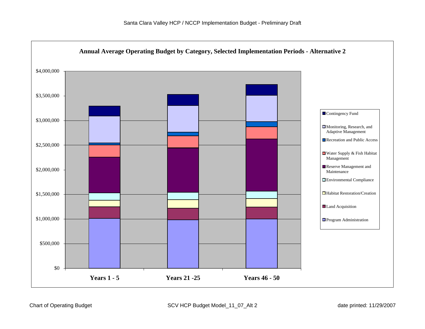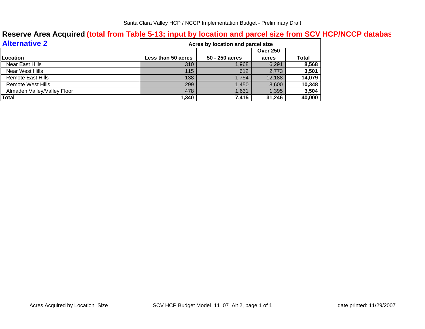## **Reserve Area Acquired (total from Table 5-13; input by location and parcel size from SCV HCP/NCCP databa s**

| <b>Alternative 2</b>        |                    | Acres by location and parcel size |                 |              |
|-----------------------------|--------------------|-----------------------------------|-----------------|--------------|
|                             |                    |                                   | <b>Over 250</b> |              |
| Location                    | Less than 50 acres | 50 - 250 acres                    | acres           | <b>Total</b> |
| Near East Hills             | 310                | 1,968                             | 6,291           | 8,568        |
| Near West Hills             | 115                | 612                               | 2,773           | 3,501        |
| <b>Remote East Hills</b>    | 138                | 1.754                             | 12,188          | 14,079       |
| Remote West Hills           | 299                | 1.450                             | 8,600           | 10,348       |
| Almaden Valley/Valley Floor | 478                | 1,631                             | 1,395           | 3,504        |
| Total                       | 1,340              | 7,415                             | 31,246          | 40,000       |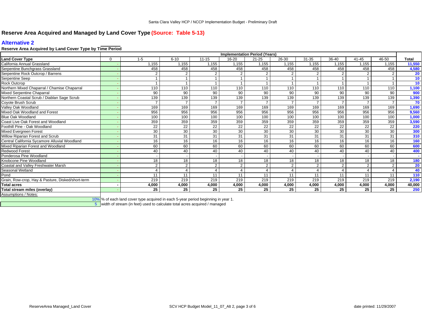## **Reserve Area Acquired and Managed by Land Cover Type (Source: Table 5-13)**

## **Alternative 2**

## **Reserve Area Acquired by Land Cover Type by Time Period**

|                                                   |          |                |                |           | <b>Implementation Period (Years)</b> |                 |                 |                 |               |                 |          |                 |
|---------------------------------------------------|----------|----------------|----------------|-----------|--------------------------------------|-----------------|-----------------|-----------------|---------------|-----------------|----------|-----------------|
| <b>Land Cover Type</b>                            | $\Omega$ | $1 - 5$        | $6 - 10$       | $11 - 15$ | $16 - 20$                            | $21 - 25$       | 26-30           | $31 - 35$       | 36-40         | $41 - 45$       | 46-50    | Total           |
| California Annual Grassland                       |          | .155           | 1,155          | 1,155     | 1,155                                | 1,155           | 1,155           | 1,155           | 1,155         | 1,155           | 1,155    | 11,550          |
| Serpentine Bunchgrass Grassland                   |          | 458            | 458            | 458       | 458                                  | 458             | 458             | 458             | 458           | 458             | 458      | 4,580           |
| Serpentine Rock Outcrop / Barrens                 |          | $\overline{2}$ | $\overline{2}$ |           | $\Omega$                             | $\mathfrak{p}$  |                 | 2               |               |                 |          | 20              |
| Serpentine Seep                                   |          |                |                |           |                                      |                 |                 |                 |               |                 |          | 10              |
| Rock Outcrop                                      |          |                |                |           |                                      |                 |                 |                 |               |                 |          | 10 <sub>1</sub> |
| Northern Mixed Chaparral / Chamise Chaparral      |          | 110            | 110            | 110       | 110                                  | 110             | 110             | 110             | 110           | 110             | 110      | 1,100           |
| Mixed Serpentine Chaparral                        |          | 90             | 90             | 90        | 90                                   | 90              | 90              | 90              | 90            | 90              | 90       | 900             |
| Northern Coastal Scrub / Diablan Sage Scrub       |          | 139            | 139            | 139       | 139                                  | 139             | 139             | 139             | 139           | 139             | 139      | 1,390           |
| Coyote Brush Scrub                                |          |                | $\overline{ }$ |           | $\overline{ }$                       |                 |                 |                 |               |                 |          | 70              |
| Valley Oak Woodland                               |          | 169            | 169            | 169       | 169                                  | 169             | 169             | 169             | 169           | 169             | 169      | 1,690           |
| Mixed Oak Woodland and Forest                     |          | 956            | 956            | 956       | 956                                  | 956             | 956             | 956             | 956           | 956             | 956      | 9,560           |
| <b>Blue Oak Woodland</b>                          |          | 100            | 100            | 100       | 100                                  | 100             | 100             | 100             | 100           | 100             | 100      | 1,000           |
| Coast Live Oak Forest and Woodland                |          | 359            | 359            | 359       | 359                                  | 359             | 359             | 359             | 359           | 359             | 359      | 3,590           |
| Foothill Pine - Oak Woodland                      |          | 22             | 22             | 22        | 22                                   | $\overline{22}$ | $\overline{22}$ | $\overline{22}$ | 22            | $\overline{22}$ | 22       | <b>220</b>      |
| Mixed Evergreen Forest                            |          | 30             | 30             | 30        | 30                                   | 30              | 30              | 30              | 30            | 30              | 30       | 300             |
| Willow Riparian Forest and Scrub                  |          | 31             | 31             | 31        | 31                                   | $\overline{31}$ | 31              | $\overline{31}$ | 31            | 31              | 31       | 310             |
| Central California Sycamore Alluvial Woodland     |          | 16             | 16             | 16        | 16                                   | 16              | 16              | 16              | 16            | 16              | 16       | 160             |
| Mixed Riparian Forest and Woodland                |          | 60             | 60             | 60        | 60                                   | 60              | 60              | 60              | 60            | 60              | 60       | 600             |
| <b>Redwood Forest</b>                             |          | 40             | 40             | 40        | 40                                   | 40              | 40              | 40              | 40            | 40              | 40       | 400             |
| Ponderosa Pine Woodland                           |          |                |                |           |                                      |                 |                 |                 |               |                 |          |                 |
| Knobcone Pine Woodland                            |          | 18             | 18             | 18        | 18                                   | 18              | 18              | 18              | 18            | 18              | 18       | 180             |
| Coastal and Valley Freshwater Marsh               |          | $\overline{2}$ | $\overline{2}$ | 2         | 2                                    | $\overline{2}$  | $\Omega$        | 2               | $\mathcal{P}$ | 2               | $\Omega$ | 20              |
| Seasonal Wetland                                  |          |                | 4              |           | 4                                    |                 |                 |                 |               |                 |          | 40              |
| Pond                                              |          | 11             | 11             | 11        | 11                                   | 11              | 11              | 11              | 11            | 11              | 11       | 110             |
| Grain, Row-crop, Hay & Pasture, Disked/short-term |          | 219            | 219            | 219       | 219                                  | 219             | 219             | 219             | 219           | 219             | 219      | 2,190           |
| <b>Total acres</b>                                |          | 4,000          | 4,000          | 4,000     | 4,000                                | 4,000           | 4,000           | 4,000           | 4,000         | 4,000           | 4.000    | 40,000          |
| Total stream miles (overlay)                      |          | 25             | 25             | 25        | 25                                   | 25              | 25              | 25              | 25            | 25              | 25       | 250             |
| Assumptions / Notes:                              |          |                |                |           |                                      |                 |                 |                 |               |                 |          |                 |

10%|% of each land cover type acquired in each 5-year period beginning in year 1.

 $5$  width of stream (in feet) used to calculate total acres acquired / managed  $5$  width of stream (in feet) used to calculate total acres acquired / managed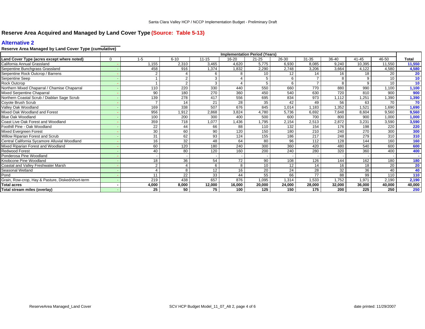## **Reserve Area Acquired and Managed by Land Cover Type (Source: Table 5-13)**

## **Alternative 2**

## **Reserve Area Managed by Land Cover Type (cumulative)**

|                                                   |          |                |                |           | <b>Implementation Period (Years)</b> |           |        |           |         |           |        |                 |
|---------------------------------------------------|----------|----------------|----------------|-----------|--------------------------------------|-----------|--------|-----------|---------|-----------|--------|-----------------|
| Land Cover Type (acres except where noted)        | $\Omega$ | $1 - 5$        | $6 - 10$       | $11 - 15$ | 16-20                                | $21 - 25$ | 26-30  | $31 - 35$ | $36-40$ | $41 - 45$ | 46-50  | Total           |
| California Annual Grassland                       |          | .155           | 2,310          | 3,465     | 4,620                                | 5,775     | 6,930  | 8,085     | 9.240   | 10.395    | 11,550 | 11,550          |
| Serpentine Bunchgrass Grassland                   |          | 458            | 916            | 1,374     | 1,832                                | 2,290     | 2,748  | 3,206     | 3,664   | 4,122     | 4,580  | 4,580           |
| Serpentine Rock Outcrop / Barrens                 |          |                |                | 6         |                                      | 10        | 12     | 14        | 16      | 18        | 20     | 20              |
| Serpentine Seep                                   |          |                | $\overline{2}$ | 3         |                                      | 5         |        |           | 8       | 9         | 10     | 10 <sub>1</sub> |
| <b>Rock Outcrop</b>                               |          |                | $\overline{2}$ | 3         | $\Delta$                             | 5         | 6      |           | 8       | 9         | 10     | 10 <sup>°</sup> |
| Northern Mixed Chaparral / Chamise Chaparral      |          | 110            | 220            | 330       | 440                                  | 550       | 660    | 770       | 880     | 990       | 1,100  | 1,100           |
| Mixed Serpentine Chaparral                        |          | 90             | 180            | 270       | 360                                  | 450       | 540    | 630       | 720     | 810       | 900    | 900             |
| Northern Coastal Scrub / Diablan Sage Scrub       |          | 139            | 278            | 417       | 556                                  | 695       | 834    | 973       | 1,112   | 1,251     | 1,390  | 1,390           |
| Coyote Brush Scrub                                |          |                | 14             | 21        | 28                                   | 35        | 42     | 49        | 56      | 63        | 70     | 70              |
| Valley Oak Woodland                               |          | 169            | 338            | 507       | 676                                  | 845       | 1,014  | 1,183     | 1,352   | 1,521     | 1,690  | 1,690           |
| Mixed Oak Woodland and Forest                     |          | 956            | 1,912          | 2,868     | 3,824                                | 4,780     | 5,736  | 6,692     | 7,648   | 8,604     | 9,560  | 9,560           |
| <b>Blue Oak Woodland</b>                          |          | 100            | 200            | 300       | 400                                  | 500       | 600    | 700       | 800     | 900       | 1,000  | 1,000           |
| Coast Live Oak Forest and Woodland                |          | 359            | 718            | 1.077     | .436                                 | 1,795     | 2,154  | 2,513     | 2,872   | 3,231     | 3,590  | 3,590           |
| Foothill Pine - Oak Woodland                      |          | 22             | 44             | 66        | 88                                   | 110       | 132    | 154       | 176     | 198       | 220    | 220             |
| Mixed Evergreen Forest                            |          | 30             | 60             | 90        | 120                                  | 150       | 180    | 210       | 240     | 270       | 300    | 300             |
| Willow Riparian Forest and Scrub                  |          | 31             | 62             | 93        | 124                                  | 155       | 186    | 217       | 248     | 279       | 310    | 310             |
| Central California Sycamore Alluvial Woodland     |          | 16             | 32             | 48        | 64                                   | 80        | 96     | 112       | 128     | 144       | 160    | 160             |
| Mixed Riparian Forest and Woodland                |          | 60             | 120            | 180       | 240                                  | 300       | 360    | 420       | 480     | 540       | 600    | 600             |
| <b>Redwood Forest</b>                             |          | 40             | 80             | 120       | 160                                  | 200       | 240    | 280       | 320     | 360       | 400    | 400             |
| Ponderosa Pine Woodland                           |          |                |                |           |                                      |           |        |           |         |           |        |                 |
| Knobcone Pine Woodland                            |          | 18             | 36             | 54        | 72                                   | 90        | 108    | 126       | 144     | 162       | 180    | 180             |
| Coastal and Valley Freshwater Marsh               |          | $\overline{2}$ |                | 6         | 8                                    | 10        | 12     | 14        | 16      | 18        | 20     | 20              |
| Seasonal Wetland                                  |          |                | 8              | 12        | 16                                   | 20        | 24     | 28        | 32      | 36        | 40     | 40              |
| Pond                                              |          |                | 22             | 33        | 44                                   | 55        | 66     | 77        | 88      | 99        | 110    | 110             |
| Grain, Row-crop, Hay & Pasture, Disked/short-term |          | 219            | 438            | 657       | 876                                  | 1.095     | 1.314  | 1,533     | 1,752   | 1.971     | 2,190  | 2,190           |
| <b>Total acres</b>                                |          | 4,000          | 8,000          | 12,000    | 16,000                               | 20,000    | 24,000 | 28,000    | 32,000  | 36,000    | 40,000 | 40,000          |
| Total stream miles (overlay)                      |          | 25             | 50             | 75        | 100                                  | 125       | 150    | 175       | 200     | 225       | 250    | 250             |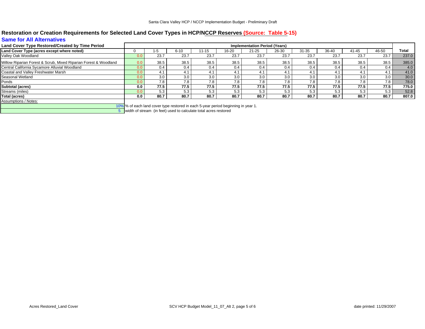## **Restoration or Creation Requirements for Selected Land Cover Types in HCP/NCCP Reserves (Source: Table 5-15) Same for All Alternatives**

| Land Cover Type Restored/Created by Time Period                  |     |      |          |       |       | <b>Implementation Period (Years)</b> |       |           |           |               |       |       |
|------------------------------------------------------------------|-----|------|----------|-------|-------|--------------------------------------|-------|-----------|-----------|---------------|-------|-------|
| Land Cover Type (acres except where noted)                       |     | 1-5  | $6 - 10$ | 11-15 | 16-20 | $21 - 25$                            | 26-30 | $31 - 35$ | $36 - 40$ | 41-45         | 46-50 | Total |
| Valley Oak Woodland                                              |     | 23.7 | 23.7     | 23.7  | 23.7  | 23.7                                 | 23.7  | 23.7      | 23.7      | 23.7          | 23.7  | 237.0 |
| Willow Riparian Forest & Scrub, Mixed Riparian Forest & Woodland | 0.0 | 38.5 | 38.5     | 38.5  | 38.5  | 38.5                                 | 38.5  | 38.5      | 38.5      | 38.5          | 38.5  | 385.0 |
| Central California Sycamore Alluvial Woodland                    |     | 0.4  | 0.4      | 0.4   | 0.4   | 0.4                                  | 0.4   | 0.4       | 0.4       | $0.4^{\circ}$ | 0.4   | 4.0   |
| Coastal and Valley Freshwater Marsh                              |     | 4.1  | 4.1      | 4.1   | 4.1   |                                      |       | 4.1       | 4.1       | 4.1           | 4.1   | 41.0  |
| Seasonal Wetland                                                 |     | 3.0  | 3.0      | 3.0   | 3.0   | 3.0                                  | 3.0   | 3.0       | 3.0       | 3.0           | 3.0   | 30.0  |
| Ponds                                                            |     | 7.8  | 7.8      | 7.8   | 7.8   | 7.8                                  | 7.8   | 7.8       | 7.8       | 7.8           | 7.8   | 78.0  |
| <b>Subtotal (acres)</b>                                          | 0.0 | 77.5 | 77.5     | 77.5  | 77.5  | 77.5                                 | 77.5  | 77.5      | 77.5      | 77.5          | 77.5  | 775.0 |
| Streams (miles)                                                  |     | 5.3  | 5.3      | 5.3   | 5.3   | 5.3                                  | 5.3   | 5.3       | 5.3       | 5.3           | 5.3   | 52.8  |
| Total (acres)                                                    | 0.0 | 80.7 | 80.7     | 80.7  | 80.7  | 80.7                                 | 80.7  | 80.7      | 80.7      | 80.7          | 80.7  | 807.0 |
| Assumptions / Notes:<br>$\sim$ $\sim$ $\sim$ $\sim$              |     |      |          |       |       |                                      |       |           |           |               |       |       |

10% % of each land cover type restored in each 5-year period beginning in year 1.

5 width of stream (in feet) used to calculate total acres restored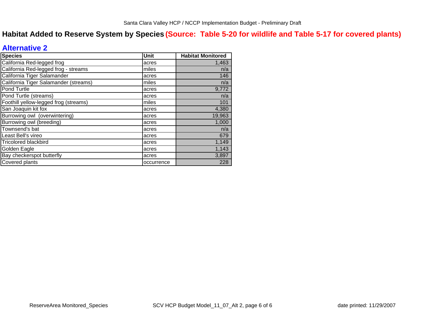## **Habitat Added to Reserve System by Species (Source: Table 5-20 for wildlife and Table 5-17 for covered plants)**

## **Alternative 2**

| <b>Species</b>                        | Unit       | <b>Habitat Monitored</b> |
|---------------------------------------|------------|--------------------------|
| California Red-legged frog            | acres      | 1,463                    |
| California Red-legged frog - streams  | miles      | n/a                      |
| California Tiger Salamander           | acres      | 146                      |
| California Tiger Salamander (streams) | miles      | n/a                      |
| Pond Turtle                           | acres      | 9,772                    |
| Pond Turtle (streams)                 | acres      | n/a                      |
| Foothill yellow-legged frog (streams) | miles      | 101                      |
| San Joaquin kit fox                   | acres      | 4,380                    |
| Burrowing owl (overwintering)         | acres      | 19,963                   |
| Burrowing owl (breeding)              | acres      | 1,000                    |
| Townsend's bat                        | acres      | n/a                      |
| Least Bell's vireo                    | acres      | 679                      |
| <b>Tricolored blackbird</b>           | acres      | 1,149                    |
| Golden Eagle                          | acres      | 1,143                    |
| Bay checkerspot butterfly             | acres      | 3,897                    |
| Covered plants                        | occurrence | 228                      |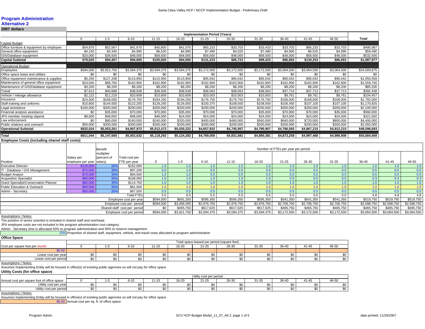### **Program Administration**

#### **Alternative 2**

#### **2007 dollars**

|                                          |           |             |             |             |             | <b>Implementation Period (Years)</b> |             |             |             |             |             |              |
|------------------------------------------|-----------|-------------|-------------|-------------|-------------|--------------------------------------|-------------|-------------|-------------|-------------|-------------|--------------|
|                                          |           | $1 - 5$     | $6 - 10$    | $11 - 15$   | 16-20       | $21 - 25$                            | 26-30       | 31-35       | 36-40       | $41 - 45$   | 46-50       | Total        |
| Capital Budget                           |           |             |             |             |             |                                      |             |             |             |             |             |              |
| Office furniture & equipment by employee | \$54,870  | \$52,567    | \$41,670    | \$40,800    | \$41,070    | \$65,233                             | \$33,703    | \$33,433    | \$33,703    | \$65,233    | \$33,703    | \$495,987    |
| General office equipment                 | \$4,150   | \$3,340     | \$4,990     | \$6,520     | \$4,990     | \$7,490                              | \$4,020     | \$7,490     | \$4,990     | \$6,520     | \$4,990     | \$59,490     |
| GIS/Database equipment                   | \$20,000  | \$38,500    | \$48,000    | \$58,500    | \$48,000    | \$58,500                             | \$48,000    | \$58,500    | \$48,000    | \$58,500    | \$48,000    | \$532,500    |
| <b>Capital Subtotal</b>                  | \$79,020  | \$94,407    | \$94,660    | \$105,820   | \$94,060    | \$131,223                            | \$85,723    | \$99,423    | \$86,693    | \$130,253   | \$86,693    | \$1,087,977  |
| <b>Operational Budget</b>                |           |             |             |             |             |                                      |             |             |             |             |             |              |
| Employees                                | \$594,000 | \$3,921,750 | \$3,594,375 | \$3,594,375 | \$3,594,375 | \$3,172,500                          | \$3,172,500 | \$3,172,500 | \$3,064,500 | \$3,064,500 | \$3,064,500 | \$34,009,875 |
| Office space lease and utilities         | \$0       | \$0         | \$0         | \$0         | \$0         | \$0                                  | \$0         | \$0         | \$0         | \$0         | \$0         | \$0          |
| Office equipment maintenance & supplies  | \$5,250   | \$127,208   | \$115,950   | \$115,950   | \$115,950   | \$95,042                             | \$95,042    | \$95,042    | \$95,042    | \$95,042    | \$95,042    | \$1,050,558  |
| Maintenance of general office equipment  | \$24,940  | \$68,700    | \$162,900   | \$162,900   | \$162,900   | \$162,900                            | \$162,900   | \$162,900   | \$162,900   | \$162,900   | \$162,900   | \$1,559,740  |
| Maintenance of GIS/Database equipment    | \$3,200   | \$8,200     | \$8,200     | \$8,200     | \$8,200     | \$8,200                              | \$8,200     | \$8,200     | \$8,200     | \$8,200     | \$8,200     | \$85,200     |
| Travel                                   | \$7,613   | \$40,688    | \$38,938    | \$38,938    | \$38,938    | \$38,063                             | \$38,063    | \$38,063    | \$37,713    | \$37,713    | \$37,713    | \$392,438    |
| Vehicle / mileage allowance              | \$2,122   | \$11,216    | \$10,609    | \$10,609    | \$10,609    | \$10,003                             | \$10,003    | \$10,003    | \$9,761     | \$9,761     | \$9,761     | \$104,457    |
| Insurance                                | \$24,500  | \$168,000   | \$176,750   | \$194,250   | \$194,250   | \$176,750                            | \$176,750   | \$176,750   | \$168,000   | \$168,000   | \$168,000   | \$1,792,000  |
| Staff training and uniforms              | \$10,800  | \$144.500   | \$122,250   | \$129,250   | \$126,000   | \$100,375                            | \$108,500   | \$108,500   | \$106,450   | \$107,100   | \$107,100   | \$1,170,825  |
| Legal assistance                         | \$100,000 | \$200,000   | \$200,000   | \$200,000   | \$200,000   | \$200,000                            | \$200,000   | \$200,000   | \$200,000   | \$200,000   | \$200,000   | \$2,100,000  |
| Financial analysis assistance            | \$0       | \$35,000    | \$70,000    | \$70,000    | \$35,000    | \$70,000                             | \$70,000    | \$35,000    | \$70,000    | \$70,000    | \$35,000    | \$560,000    |
| JPA member meeting stipend               | \$9,600   | \$48,000    | \$48,000    | \$48,000    | \$24,000    | \$24,000                             | \$24,000    | \$24,000    | \$24,000    | \$24,000    | \$24,000    | \$321,600    |
| Law enforcement                          | \$0       | \$80,000    | \$160,000   | \$240,000   | \$320,000   | \$400,000                            | \$480,000   | \$560,000   | \$640,000   | \$720,000   | \$800,000   | \$4,400,000  |
| Public relations and outreach            | \$50,000  | \$200,000   | \$200,000   | \$200,000   | \$200,000   | \$200,000                            | \$200,000   | \$200,000   | \$200,000   | \$200,000   | \$200,000   | \$2,050,000  |
| <b>Operational Subtotal</b>              | \$832,024 | \$5,053,261 | \$4,907,972 | \$5,012,472 | \$5,030,222 | \$4,657,832                          | \$4,745,957 | \$4,790,957 | \$4,786,565 | \$4,867,215 | \$4,912,215 | \$49,596,693 |
| Total                                    | \$911,044 | \$5,147,668 | \$5,002,632 | \$5,118,292 | \$5,124,282 | \$4,789,056                          | \$4,831,681 | \$4,890,381 | \$4,873,258 | \$4,997,468 | \$4,998,908 | \$50,684,669 |
|                                          |           |             |             |             |             |                                      |             |             |             |             |             |              |

#### **Employee Costs (including shared staff costs)**

|          | <b>Benefit</b>          |                                          |                                                    |                                                                                                                                                      |                  |             |                  |             |             |                                             |             |             |             |
|----------|-------------------------|------------------------------------------|----------------------------------------------------|------------------------------------------------------------------------------------------------------------------------------------------------------|------------------|-------------|------------------|-------------|-------------|---------------------------------------------|-------------|-------------|-------------|
|          | multiplier              |                                          |                                                    |                                                                                                                                                      |                  |             |                  |             |             |                                             |             |             |             |
|          |                         |                                          |                                                    |                                                                                                                                                      |                  |             |                  |             |             |                                             |             |             |             |
|          |                         |                                          |                                                    |                                                                                                                                                      |                  |             |                  |             |             |                                             |             |             | 46-50       |
|          |                         |                                          |                                                    |                                                                                                                                                      |                  |             |                  |             |             |                                             |             |             | 1.0         |
| \$72,000 | 35%                     | \$97,200                                 |                                                    | 1.0                                                                                                                                                  | 0.5              | 0.5         |                  | 0.5         | 0.5         | 0.5                                         | 0.5         | 0.5         | 0.5         |
| \$70,000 | 35 <sup>°</sup>         |                                          |                                                    | 1.0 <sup>1</sup>                                                                                                                                     | 0.5              | 0.5         |                  | 0.5         | 0.5         | 0.5                                         | 0.5         | 0.5         | 0.5         |
| \$80,000 | 35%                     |                                          |                                                    | 1.0                                                                                                                                                  | 1.0 <sub>1</sub> | 1.0         |                  | 0.5         | 0.5         | 0.5                                         | 0.3         | 0.3         | 0.3         |
| \$85,000 | 35%                     |                                          |                                                    | 1.0                                                                                                                                                  | $\overline{0}$ . | 1.0         |                  | 1.0         |             |                                             |             |             | 1.0         |
| \$60,000 | 35%                     | \$81,000                                 |                                                    |                                                                                                                                                      | 1.0              | 1.0         |                  | 1.0         |             |                                             |             | 1.0         | 1.0         |
| \$50,000 | 35%                     | \$67,500                                 |                                                    | 0.5                                                                                                                                                  | 0.5              | 0.5         |                  | 0.5         | 0.5         | 0.5                                         | 0.5         | 0.5         | 0.5         |
|          |                         | <b>Total FTEs</b>                        | 5.5                                                | 6.5                                                                                                                                                  | 5.5              | 5.5         | 5.5              | 5.0         | 5.0         | 5.0                                         | 4.8         | 4.8         | 4.8         |
|          |                         |                                          | \$594,000                                          | \$691,200                                                                                                                                            | \$595,350        | \$595,350   | \$595,350        | \$541,350   | \$541,350   | \$541,350                                   | \$519,750   | \$519,750   | \$519,750   |
|          |                         |                                          | \$594,000                                          | \$3,456,000                                                                                                                                          | \$2,976,750      | \$2,976,750 | \$2,976,750      | \$2,706,750 | \$2,706,750 | \$2,706,750                                 | \$2,598,750 | \$2,598,750 | \$2,598,750 |
|          |                         |                                          | \$0                                                | \$465,750                                                                                                                                            | \$617,625        | \$617,625   | \$617,625        | \$465,750   | \$465,750   | \$465,750                                   | \$465,750   | \$465,750   | \$465,750   |
|          |                         |                                          | \$594,000                                          | \$3,921,750                                                                                                                                          | \$3,594,375      | \$3,594,375 | \$3,594,375      | \$3,172,500 | \$3,172,500 | \$3,172,500                                 | \$3,064,500 | \$3,064,500 | \$3,064,500 |
|          | Salary per<br>\$120,000 | (percent of<br>employee per year salary) | Total cost per<br><b>FTE</b> per year<br>\$162,000 | \$94,500<br>\$108,000<br>\$114.750<br>Employee cost per year<br>Employee cost per period<br>Shared staff cost per period<br>Employee cost per period | 1-5              | $6 - 10$    | $11 - 15$<br>1.0 | 16-20       | $21 - 25$   | Number of FTEs per year per period<br>26-30 | $31 - 35$   | 36-40       | $41 - 45$   |

Assumptions / Notes:

The position of senior scientist is included in shared staff and overhead.

JPA employee costs are not included in the program administration cost category.

Admin - Secretary time is allocated 50% to program administration and 50% to reserve management.

15% Proportion of shared staff, equipment, vehicle, and travel costs allocated to program administration

#### **Office Space**

|                                | Total space leased per period (square feet)<br>16-20<br>26-30<br>46-50<br>$21 - 25$<br>36-40<br>41-45<br>31-35<br>6-10<br>$1 - 15$<br>$\uparrow$ |  |  |        |  |  |  |  |        |  |  |  |  |
|--------------------------------|--------------------------------------------------------------------------------------------------------------------------------------------------|--|--|--------|--|--|--|--|--------|--|--|--|--|
| Cost per square foot per month |                                                                                                                                                  |  |  |        |  |  |  |  |        |  |  |  |  |
| \$0.00                         |                                                                                                                                                  |  |  |        |  |  |  |  |        |  |  |  |  |
| Lease cost per year            |                                                                                                                                                  |  |  |        |  |  |  |  |        |  |  |  |  |
| Lease cost per period          |                                                                                                                                                  |  |  | $\sim$ |  |  |  |  | $\sim$ |  |  |  |  |

Assumptions / Notes:

Assumes Implementing Entity will be housed in office(s) of existing public agencies so will not pay for office space

### **Utility Costs (for office space)**

|                                             |     |                         |                               |           | Utility cost per period |       |                        |         |                         |                        |
|---------------------------------------------|-----|-------------------------|-------------------------------|-----------|-------------------------|-------|------------------------|---------|-------------------------|------------------------|
| Annual cost per square foot of office space |     | $\overline{a}$<br>.b-16 | $\overline{a}$<br>' 1 - 1 1 - | 16-20     | $21 - 25$               | 26-30 | $\sim$ $\sim$<br>31-35 | $36-40$ | $\overline{ }$<br>41-4. | $\sim$ $\sim$<br>46-51 |
| Utility cost per year                       | \$0 |                         |                               | ¢∩<br>שש  |                         |       |                        |         | $\sim$<br>ັບ            |                        |
| Utility cost per period                     | \$0 |                         |                               | <b>¢∩</b> |                         |       |                        |         | n.                      |                        |

Assumptions / Notes:

Assumes Implementing Entity will be housed in office(s) of existing public agencies so will not pay for office space

\$0.00 Annual cost per sq. ft. of office space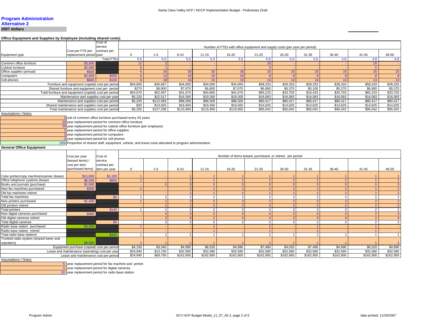# **Program Administration Alternative 2**

**2007 dollars**

#### **Office Equipment and Supplies by Employee (including shared costs)**

|                                            |                                                                                                          | Cost of<br>service |                      |                |           |                |                      | Number of FTEs with office equipment and supply costs (per year per period) |                |                |                |                |                |
|--------------------------------------------|----------------------------------------------------------------------------------------------------------|--------------------|----------------------|----------------|-----------|----------------|----------------------|-----------------------------------------------------------------------------|----------------|----------------|----------------|----------------|----------------|
|                                            | Cost per FTE per                                                                                         | contract per       |                      |                |           |                |                      |                                                                             |                |                |                |                |                |
| Equipment type                             | replacement period vear                                                                                  |                    | $\Omega$             | $1 - 5$        | $6 - 10$  | $11 - 15$      | 16-20                | $21 - 25$                                                                   | 26-30          | 31-35          | 36-40          | $41 - 45$      | 46-50          |
|                                            |                                                                                                          | <b>Total FTEs</b>  | 5.5                  | 6.5            | 5.5       | 5.5            | 5.5                  | 5.0                                                                         | 5.0            | 5.0            | 4.8            | 4.8            | 4.8            |
| Common office furniture                    | \$2,000                                                                                                  |                    | 12                   |                |           |                |                      | 10                                                                          |                |                |                | 10             |                |
| Cubicle furniture                          | \$2,000                                                                                                  |                    | 6                    |                |           |                |                      | $5\overline{5}$                                                             |                |                |                | 5 <sup>5</sup> |                |
| Office supplies (annual)                   | \$500                                                                                                    |                    | $6\phantom{1}$       | 35             | 30        | 30             | 30                   | 25                                                                          | 25             | 25             | 25             | 25             | 25             |
| Computers                                  | \$2,500                                                                                                  | \$250              | 6                    | 12             | 10        | 10             | 10                   | 8                                                                           | 8              | 8              | $\mathbf{R}$   | -8             | 8              |
| Cell phones                                | \$600                                                                                                    | \$120              | 6                    | 18             | 15        | 15             | 15                   | 13                                                                          | 13             | 13             | 13             | 13             | 13             |
|                                            | Furniture and equipment (capital) cost per period                                                        |                    | \$54,600             | \$45,667       | \$34,000  | \$34,000       | \$34,000             | \$58,333                                                                    | \$28,333       | \$28,333       | \$28,333       | \$58,333       | \$28,333       |
|                                            | Shared furniture and equipment cost per period                                                           |                    | \$270                | \$6,900        | \$7,670   | \$6,800        | \$7,070              | \$6,900                                                                     | \$5,370        | \$5,100        | \$5,370        | \$6,900        | \$5,370        |
|                                            | Total furniture and equipment (capital) cost per period                                                  |                    | \$54,870             | \$52.567       | \$41,670  | \$40,800       | \$41.070             | \$65,233                                                                    | \$33.703       | \$33,433       | \$33,703       | \$65,233       | \$33,703       |
|                                            | Maintenance and supplies cost per year                                                                   |                    | \$5,220              | \$22,517       | \$19,300  | \$19,300       | $\overline{$}19,300$ | \$16,083                                                                    | \$16,083       | \$16,083       | \$16,083       | \$16,083       | \$16,083       |
|                                            | Maintenance and supplies cost per period                                                                 |                    | \$5.220              | \$112.583      | \$96,500  | \$96,500       | \$96,500             | \$80.417                                                                    | \$80,417       | \$80,417       | \$80,417       | \$80.417       | \$80.417       |
|                                            | Shared maintenance and supplies cost per period                                                          |                    | \$30                 | \$14,625       | \$19,450  | \$19,450       | \$19,450             | \$14,625                                                                    | \$14,625       | \$14,625       | \$14,625       | \$14,625       | \$14,625       |
|                                            | Total maintenance and supplies cost per period                                                           |                    | \$5,250              | \$127,208      | \$115,950 | \$115,950      | \$115,950            | \$95,042                                                                    | \$95,042       | \$95,042       | \$95,042       | \$95,042       | \$95,042       |
| Assumptions / Notes:                       |                                                                                                          |                    |                      |                |           |                |                      |                                                                             |                |                |                |                |                |
|                                            | 2 unit of common office furniture purchased every 20 years                                               |                    |                      |                |           |                |                      |                                                                             |                |                |                |                |                |
|                                            | 20 year replacement period for common office furniture                                                   |                    |                      |                |           |                |                      |                                                                             |                |                |                |                |                |
|                                            | 20 year replacement period for cubicle office furniture (per employee)                                   |                    |                      |                |           |                |                      |                                                                             |                |                |                |                |                |
|                                            | year replacement period for office supplies                                                              |                    |                      |                |           |                |                      |                                                                             |                |                |                |                |                |
|                                            | year replacement period for computers                                                                    |                    |                      |                |           |                |                      |                                                                             |                |                |                |                |                |
|                                            | year replacement period for cell phones                                                                  |                    |                      |                |           |                |                      |                                                                             |                |                |                |                |                |
|                                            | 15% Proportion of shared staff, equipment, vehicle, and travel costs allocated to program administration |                    |                      |                |           |                |                      |                                                                             |                |                |                |                |                |
| <b>General Office Equipment</b>            |                                                                                                          |                    |                      |                |           |                |                      |                                                                             |                |                |                |                |                |
|                                            |                                                                                                          |                    |                      |                |           |                |                      |                                                                             |                |                |                |                |                |
|                                            | Cost per year                                                                                            | Cost of            |                      |                |           |                |                      | Number of items leased, purchased, or retired, per period                   |                |                |                |                |                |
|                                            | leased items) /                                                                                          | service            |                      |                |           |                |                      |                                                                             |                |                |                |                |                |
|                                            | cost per item                                                                                            | contract per       |                      |                |           |                |                      |                                                                             |                |                |                |                |                |
|                                            | (purchased items)                                                                                        | item per year      | $\mathbf{0}$         | $1 - 5$        | $6 - 10$  | $11 - 15$      | 16-20                | $21 - 25$                                                                   | 26-30          | 31-35          | 36-40          | $41 - 45$      | 46-50          |
|                                            |                                                                                                          |                    |                      |                |           |                |                      |                                                                             |                |                |                |                |                |
| Color printer/copy machine/scanner (lease) | \$11,000                                                                                                 | \$1,100            |                      |                |           |                |                      |                                                                             |                |                |                |                |                |
| Office telephone systems (lease)           | \$6,000                                                                                                  | \$600              |                      |                |           |                |                      |                                                                             |                |                |                |                |                |
| Books and journals (purchase)              | \$1,500                                                                                                  |                    |                      |                |           |                |                      | 5                                                                           | -5             |                |                |                | 5              |
| New fax machines purchased                 | \$250                                                                                                    |                    |                      |                |           |                |                      |                                                                             |                |                |                |                |                |
| Old fax machines retired                   |                                                                                                          |                    |                      |                |           |                |                      | $\overline{1}$                                                              | $\overline{1}$ |                |                |                | $\overline{1}$ |
| Total fax machines                         |                                                                                                          | \$0                | $\overline{1}$       |                |           | $\overline{1}$ |                      | $\mathbf{1}$                                                                | $\overline{1}$ | $\mathbf{1}$   | $\mathbf{1}$   | $\mathbf{1}$   | $\overline{1}$ |
| New printers purchased                     | \$1,400                                                                                                  |                    | $\blacktriangleleft$ |                |           | $\overline{2}$ |                      | $\overline{2}$                                                              | $\overline{2}$ | $\overline{2}$ | $\overline{2}$ | 2 <sup>2</sup> | $\overline{2}$ |
| Old printers retired                       |                                                                                                          |                    |                      |                |           |                |                      | $\overline{2}$                                                              | $\overline{2}$ |                |                |                | $\overline{2}$ |
| <b>Total printers</b>                      |                                                                                                          | \$140              | $\mathbf{1}$         |                |           | $\overline{2}$ |                      | $\overline{2}$                                                              | $\overline{2}$ | $\overline{2}$ | $\overline{2}$ | $\overline{2}$ | $\overline{2}$ |
| New digital cameras purchased              | \$485                                                                                                    |                    |                      | $\Delta$       |           | $\overline{2}$ |                      | $\overline{4}$                                                              | $\overline{2}$ |                |                | $\overline{2}$ | $\overline{4}$ |
| Old digital cameras retired                |                                                                                                          |                    |                      | $\mathcal{P}$  |           | $\overline{2}$ |                      | $\overline{4}$                                                              | $\overline{2}$ |                |                | $\overline{2}$ | $\overline{4}$ |
| Total digital cameras                      |                                                                                                          | \$0                |                      | $\overline{2}$ |           | $\overline{2}$ | $\overline{2}$       | $\overline{2}$                                                              | $\overline{2}$ | 2              | 2              | $\overline{2}$ | 2              |
| Radio base station purchased               | \$2,500                                                                                                  |                    |                      |                |           |                |                      |                                                                             |                |                |                |                |                |
| Radio base station retired                 |                                                                                                          |                    |                      |                |           |                |                      |                                                                             |                |                |                |                |                |
| Total radio base stations                  |                                                                                                          | \$100              | $\overline{1}$       |                |           |                |                      | $\mathbf{1}$                                                                |                |                |                |                | $\overline{1}$ |
| Trunked radio system (shared tower and     |                                                                                                          |                    |                      |                |           |                |                      |                                                                             |                |                |                |                |                |
| repeaters)                                 | \$6,000                                                                                                  |                    |                      |                |           |                |                      |                                                                             |                |                |                |                |                |
|                                            | Equipment purchase (capital) cost per period                                                             |                    | \$4,150              | \$3,340        | \$4,990   | \$6.520        | \$4.990              | \$7,490                                                                     | \$4.020        | \$7.490        | \$4,990        | \$6.520        | \$4,990        |
|                                            | Lease and maintenance (operating) cost per year                                                          |                    | \$24,940             | \$13.740       | \$32,580  | \$32.580       | \$32,580             | \$32,580                                                                    | \$32,580       | \$32.580       | \$32,580       | \$32.580       | \$32,580       |
|                                            | Lease and maintenance cost per period                                                                    |                    | \$24,940             | \$68,700       | \$162,900 | \$162,900      | \$162,900            | \$162,900                                                                   | \$162,900      | \$162,900      | \$162,900      | \$162,900      | \$162,900      |
| <b>Assumptions / Notes:</b>                |                                                                                                          |                    |                      |                |           |                |                      |                                                                             |                |                |                |                |                |

5 year replacement period for fax machine and printer.<br>3 year replacement period for digital cameras.

10 year replacement period for radio base station.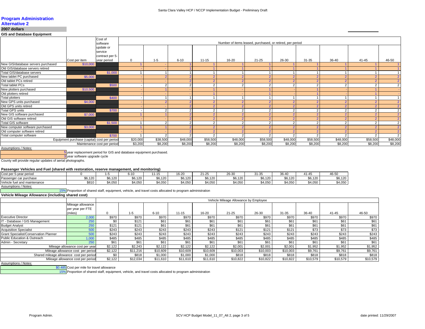## **Program Administration**

#### **Alternative 2**

#### **2007 dollars**

**GIS and Database Equipment**

|                                              |                             | Cost of<br>software        |              |          |          |           | Number of items leased, purchased, or retired, per period |                |                |          |          |                |                |
|----------------------------------------------|-----------------------------|----------------------------|--------------|----------|----------|-----------|-----------------------------------------------------------|----------------|----------------|----------|----------|----------------|----------------|
|                                              |                             | update or                  |              |          |          |           |                                                           |                |                |          |          |                |                |
|                                              |                             | service<br>contract per 5- |              |          |          |           |                                                           |                |                |          |          |                |                |
|                                              | Cost per item               | year period                | $\mathbf{0}$ | $1 - 5$  | $6 - 10$ | $11 - 15$ | 16-20                                                     | $21 - 25$      | 26-30          | 31-35    | 36-40    | 41-45          | 46-50          |
| New GIS/database servers purchased           | \$10,000                    |                            |              |          |          |           |                                                           |                |                |          |          |                |                |
| Old GIS/database servers retired             |                             |                            |              |          |          |           |                                                           |                |                |          |          |                |                |
| Total GIS/database servers                   |                             | \$1,000                    |              |          |          |           |                                                           |                |                |          |          |                | $\overline{4}$ |
| New tablet PC purchased                      | \$5,000                     |                            |              |          |          |           |                                                           |                |                |          |          | $\overline{2}$ | 2 <sup>1</sup> |
| Old tablet PCs retired                       |                             |                            |              |          |          |           |                                                           | $\sim$         |                |          |          | $\overline{2}$ | 2 <sup>1</sup> |
| <b>Total tablet PCs</b>                      |                             | \$500                      |              |          |          |           |                                                           | $\sim$         |                |          |          | 2              | $\overline{2}$ |
| New plotters purchased                       | \$10,500                    |                            |              |          |          |           |                                                           |                |                |          |          |                |                |
| Old plotters retired                         |                             |                            |              |          |          |           |                                                           |                |                |          |          |                |                |
| <b>Total plotters</b>                        |                             | \$400                      |              |          |          |           |                                                           |                |                |          |          |                | $\overline{A}$ |
| New GPS units purchased                      | \$4,000                     |                            |              |          |          |           |                                                           | $\overline{2}$ |                |          |          | $\overline{2}$ | 2 <sup>1</sup> |
| Old GPS units retired                        |                             |                            |              |          |          |           |                                                           | $\sqrt{2}$     |                |          |          | $\overline{2}$ | 2 <sup>1</sup> |
| <b>Total GPS units</b>                       |                             | \$700                      |              |          |          |           |                                                           | $\overline{2}$ | $\overline{ }$ |          |          | $\overline{2}$ | $\overline{2}$ |
| New GIS software purchased                   | \$7,000                     |                            |              |          |          |           |                                                           | $\Omega$       |                |          |          | 2 <sup>1</sup> | 2 <sup>1</sup> |
| Old GIS software retired                     |                             |                            |              |          |          |           |                                                           | $\overline{2}$ |                |          |          | 2 <sup>1</sup> | 2 <sup>1</sup> |
| <b>Total GIS software</b>                    |                             | \$1,500                    |              |          |          |           |                                                           | $\overline{2}$ | $\epsilon$     |          |          | 2              | $\overline{2}$ |
| New computer software purchased              | \$3,000                     |                            |              |          |          |           |                                                           | $\overline{2}$ |                |          |          | $\overline{2}$ | 2 <sup>1</sup> |
| Old computer software retired                |                             |                            |              |          |          |           |                                                           | $\sqrt{2}$     |                |          |          | $\overline{2}$ | 2 <sup>1</sup> |
| Total computer software                      |                             | \$700                      |              |          |          |           |                                                           | $\sim$         |                |          |          | 2              | $\overline{2}$ |
| Equipment purchase (capital) cost per period |                             | \$20,000                   | \$38,500     | \$48,000 | \$58,500 | \$48,000  | \$58,500                                                  | \$48,000       | \$58,500       | \$48,000 | \$58,500 | \$48,000       |                |
|                                              | Maintenance cost per period |                            | \$3,200      | \$8,200  | \$8,200  | \$8,200   | \$8,200                                                   | \$8,200        | \$8,200        | \$8,200  | \$8,200  | \$8,200        | \$8,200        |

Assumptions / Notes:

5 year replacement period for GIS and database equipment purchased.

3 year software upgrade cycle

County will provide regular updates of aerial photographs.

#### **Passenger Vehicles and Fuel (shared with restoration, reserve management, and monitoring)**

|                              |         |         |                  | . .                |         |                           |         |                        |         |         |         |
|------------------------------|---------|---------|------------------|--------------------|---------|---------------------------|---------|------------------------|---------|---------|---------|
| Cost per<br>5-year period    |         |         | $6 - 10$         | $1 - 15$           | 16-20   | $\sim$ $\sim$<br>・・・・・・・・ | 26-30   | $\sim$ $\sim$<br>31-35 | 36-40   | 41-45   | 46-50   |
| Passenger car purchase       | \$6,120 | \$6,120 | \$6,120          | 0.400<br>- 201…ن ب | \$6,120 | 0.000<br>50. IZU          | \$6,120 | \$6,120                | \$6,120 | \$6,120 | \$6,120 |
| Vehicle fuel and maintenance | \$810   | 4.050   | 0.1050<br>94.UOU | .050<br>יט.        | \$4.050 | 34.050                    | 4,050   | 4.050                  | \$4,050 | \$4,050 | \$4.050 |

Assumptions / Notes:

15% Proportion of shared staff, equipment, vehicle, and travel costs allocated to program administration

#### **Vehicle Mileage Allowance (including shared cost)**

|                                          | .                                 |         |          |          |          |          |                                       |          |           |          |          |          |  |  |
|------------------------------------------|-----------------------------------|---------|----------|----------|----------|----------|---------------------------------------|----------|-----------|----------|----------|----------|--|--|
|                                          |                                   |         |          |          |          |          | Vehicle Mileage Allowance by Employee |          |           |          |          |          |  |  |
|                                          | Mileage allowance                 |         |          |          |          |          |                                       |          |           |          |          |          |  |  |
|                                          | per year per FTE                  |         |          |          |          |          |                                       |          |           |          |          |          |  |  |
|                                          | (miles)                           |         | $1 - 5$  | $6 - 10$ | 11-15    | 16-20    | $21 - 25$                             | 26-30    | $31 - 35$ | 36-40    | 41-45    | 46-50    |  |  |
| <b>Executive Director</b>                | 2,000                             | \$970   | \$970    | \$970    | \$970    | \$970    | \$970                                 | \$970    | \$970     | \$970    | \$970    | \$970    |  |  |
| IT - Database / GIS Management           | 250                               | \$0     | \$121    | \$61     | \$61     | \$61     | \$61                                  | \$61     | \$61      | \$61     | \$61     | \$61     |  |  |
| <b>Budget Analyst</b>                    | 250                               | \$121   | \$121    | \$61     | \$61     | \$61     | \$61                                  | \$61     | \$61      | \$61     | \$61     | \$61     |  |  |
| <b>Acquisition Specialist</b>            | 500                               | \$243   | \$243    | \$243    | \$243    | \$243    | \$121                                 | \$121    | \$121     | \$73     | \$73     | \$73     |  |  |
| Grant Specialist/Conservation Planner    | 500                               | \$243   | \$243    | \$243    | \$243    | \$243    | \$243                                 | \$243    | \$243     | \$243    | \$243    | \$243    |  |  |
| Public Education & Outreach              | 1.000                             | \$485   | \$485    | \$485    | \$485    | \$485    | \$485                                 | \$485    | \$485     | \$485    | \$485    | \$485    |  |  |
| Admin - Secretary                        | 250                               | \$61    | \$61     | \$61     | \$61     | \$61     | \$61                                  | \$61     | \$61      | \$61     | \$61     | \$61     |  |  |
|                                          | Mileage allowance cost per year   | \$2,122 | \$2,243  | \$2.122  | \$2,122  | \$2.122  | \$2,001                               | \$2,001  | \$2.001   | \$1,952  | \$1,952  | \$1,952  |  |  |
|                                          | Mileage allowance cost per period | \$2,122 | \$11,216 | \$10,609 | \$10,609 | \$10,609 | \$10,003                              | \$10,003 | \$10,003  | \$9,761  | \$9,761  | \$9,761  |  |  |
| Shared mileage allowance cost per period |                                   | \$0     | \$818    | \$1,000  | \$1,000  | \$1,000  | \$818                                 | \$818    | \$818     | \$818    | \$818    | \$818    |  |  |
|                                          | Mileage allowance cost per period | \$2,122 | \$12,034 | \$11,610 | \$11,610 | \$11,610 | \$10,822                              | \$10,822 | \$10,822  | \$10,579 | \$10,579 | \$10,579 |  |  |

Assumptions / Notes:

\$0.485 Cost per mile for travel allowance

15% Proportion of shared staff, equipment, vehicle, and travel costs allocated to program administration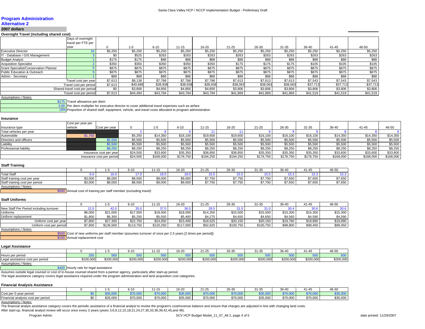#### **Program Administration**

#### **Alternative 2**

#### **2007 dollars**

**Overnight Travel (including shared cost)**

|                                        | Days of overnight             |              |          |          |           |          |           |          |          |          |           |          |  |
|----------------------------------------|-------------------------------|--------------|----------|----------|-----------|----------|-----------|----------|----------|----------|-----------|----------|--|
|                                        | travel per FTE per            |              |          |          |           |          |           |          |          |          |           |          |  |
|                                        | year                          | <sup>n</sup> | $-5$     | $6 - 10$ | $11 - 15$ | 16-20    | $21 - 25$ | 26-30    | 31-35    | 36-40    | $41 - 45$ | 46-50    |  |
| <b>Executive Director</b>              |                               | \$5,250      | \$5,250  | \$5,250  | \$5,250   | \$5,250  | \$5,250   | \$5,250  | \$5,250  | \$5,250  | \$5,250   | \$5,250  |  |
| IT - Database / GIS Management         |                               |              | \$525    | \$263    | \$263     | \$263    | \$263     | \$263    | \$263    | \$263    | \$263     | \$263    |  |
| <b>Budget Analyst</b>                  |                               | \$175        | \$175    | \$88     | \$88      | \$88     | \$88      | \$88     | \$88     | \$88     | \$88      | \$88     |  |
| <b>Acquisition Specialist</b>          |                               | \$350        | \$350    | \$350    | \$350     | \$350    | \$175     | \$175    | \$175    | \$105    | \$105     | \$105    |  |
| Grant Specialist/Conservation Planner  |                               | \$875        | \$875    | \$875    | \$875     | \$875    | \$875     | \$875    | \$875    | \$875    | \$875     | \$875    |  |
| <b>Public Education &amp; Outreach</b> |                               | \$875        | \$875    | \$875    | \$875     | \$875    | \$875     | \$875    | \$875    | \$875    | \$875     | \$875    |  |
| Admin - Secretary                      |                               | \$88         | \$88     | \$88     | \$88      | \$88     | \$88      | \$88     | \$88     | \$88     | \$88      | \$88     |  |
|                                        | Travel cost per year          | \$7,613      | \$8,138  | \$7,788  | \$7,788   | \$7,788  | \$7,613   | \$7,613  | \$7,613  | \$7,543  | \$7,543   | \$7,543  |  |
|                                        | Travel cost per period        | \$7,613      | \$40,688 | \$38,938 | \$38,938  | \$38,938 | \$38,063  | \$38,063 | \$38,063 | \$37,713 | \$37,713  | \$37,713 |  |
|                                        | Shared travel cost per period | \$0          | \$3,806  | \$4,856  | \$4,856   | \$4,856  | \$3,806   | \$3,806  | \$3,806  | \$3,806  | \$3,806   | \$3,806  |  |
|                                        | Travel cost per period        | \$7,613      | \$44.494 | \$43,794 | \$43,794  | \$43,794 | \$41,869  | \$41,869 | \$41,869 | \$41.519 | \$41,519  | \$41,519 |  |

#### Assumptions / Notes:

\$175 Travel allowance per diem 3.00

Per diem multiplier for executive director to cover additional travel expenses such as airfare

15% Proportion of shared staff, equipment, vehicle, and travel costs allocated to program administration

#### **Insurance**

|                         | Cost per year per |                           |          |           |           |           |           |           |           |           |           |           |           |
|-------------------------|-------------------|---------------------------|----------|-----------|-----------|-----------|-----------|-----------|-----------|-----------|-----------|-----------|-----------|
| Insurance type          | vehicle           | Cost per year             |          |           | $6 - 10$  | 11-15     | 16-20     | $21 - 25$ | 26-30     | $31 - 35$ | 36-40     | $41 - 45$ | 46-50     |
| Total vehicles per year |                   |                           |          |           |           |           |           |           |           |           |           |           |           |
| Automobile              | \$1,750           |                           | \$5,250  | \$14,350  | \$16,100  | \$19,600  | \$19,600  | \$16,100  | \$16,100  | \$16,100  | \$14,350  | \$14,350  | \$14,350  |
| Directors and officers  |                   | גב בח                     | \$5,500  | \$5,500   | \$5,500   | \$5,500   | \$5,500   | \$5,500   | \$5,500   | \$5,500   | \$5,500   | \$5,500   | \$5,500   |
| Liability               |                   | \$5,500                   | \$5,500  | \$5,500   | \$5,500   | \$5,500   | \$5,500   | \$5,500   | \$5,500   | \$5,500   | \$5,500   | \$5,500   | \$5,500   |
| Professional liability  |                   | \$8,250                   | \$8,250  | \$8,250   | \$8,250   | \$8,250   | \$8,250   | \$8,250   | \$8,250   | \$8,250   | \$8,250   | \$8,250   | \$8,250   |
| Insurance cost per year |                   | \$24,500                  | \$33,600 | \$35,350  | \$38,850  | \$38,850  | \$35,350  | \$35,350  | \$35,350  | \$33,600  | \$33,600  | \$33,600  |           |
|                         |                   | Insurance cost per period | \$24,500 | \$168,000 | \$176,750 | \$194,250 | \$194,250 | \$176,750 | \$176,750 | \$176,750 | \$168,000 | \$168,000 | \$168,000 |

#### **Staff Training**

| $6 - 10$                                       | $\sim$ $\sim$<br>1-15 | 16-20   | $21 - 25$         | 0000<br>26-31   | $31 - 35$     | --      | 1-45    | 46-50   |
|------------------------------------------------|-----------------------|---------|-------------------|-----------------|---------------|---------|---------|---------|
|                                                |                       |         |                   |                 |               | 10W     |         | . .     |
| \$8,000<br>$CD$ 500<br>vu.juu                  | \$9,000               | \$9,000 | 07750<br>ں بی ت   | \$7.750         | $\sim -$      | \$7,650 | \$7.650 | \$7,650 |
| $\uparrow$ 8.000<br>88.500<br>vu.juu<br>JU,UUC | \$9,000               | \$9,000 | 27750<br>97. I JU | 27750<br>ں ہیں۔ | 0.77<br>، ، ن | \$7,650 | \$7,650 | \$7,650 |
|                                                |                       |         |                   |                 |               |         |         |         |

Assumptions / Notes:

\$500 Annual cost of training per staff member (excluding travel)

#### **Staff Uniforms**

|                                                 |           | 6-10      | 11-15     | 16-20     | $21 - 25$ | 26-30     | 31-35     | 36-40    | 41-45    | 46-50    |
|-------------------------------------------------|-----------|-----------|-----------|-----------|-----------|-----------|-----------|----------|----------|----------|
| New Staff Per Period including turnover<br>.2.0 | 2.0       |           |           |           | 28.3      |           |           |          |          | 30.6     |
| \$6,000<br>Uniforms                             | \$21.000  | \$17,500  | \$18,500  | \$18,000  | \$14.250  | \$15,500  | \$15,500  | \$15,200 | \$15,300 | \$15,300 |
| \$1,800<br>Jniform replacement                  | \$6,300   | \$5,250   | \$5,550   | \$5,400   | \$4,275   | \$4,650   | \$4,650   | \$4,560  | \$4,590  | \$4,590  |
| \$7,800<br>Uniform cost per year                | \$27,300  | \$22,750  | \$24,050  | \$23,400  | \$18,525  | \$20,150  | \$20,150  | \$19,760 | \$19,890 | \$19,890 |
| \$7,800<br>Uniform cost per period              | \$136,500 | \$113.750 | \$120.250 | \$117.000 | \$92,625  | \$100,750 | \$100.750 | \$98,800 | \$99,450 | \$99,450 |

#### Assumptions / Notes:

\$500 Cost of new uniforms per staff member (assumes turnover of once per 2.5 years [2 times per period])

\$150 Annual replacement cost

#### **Legal Assistance**

|                                            |           |           | <b>3-10</b> | $1 - 15$  | $16 - 20$   | $\sim$ $\sim$<br>$-2$ | 26-30     | $31 - 35$ | 36-40     | $\overline{A}$ $\overline{A}$ $\overline{B}$<br>1-4 | 46-50     |
|--------------------------------------------|-----------|-----------|-------------|-----------|-------------|-----------------------|-----------|-----------|-----------|-----------------------------------------------------|-----------|
| Hours per period                           |           | 500       |             |           | mα.<br>JU J | - - -                 | $-00$     |           |           |                                                     |           |
| Legal ass<br>il assistance cost per period | \$100,000 | \$200,000 | \$200.000   | \$200,000 | \$200,000   | \$200,000             | \$200,000 | \$200,000 | \$200.000 | \$200,000                                           | \$200,000 |
| $A = 1$ , and $A = 1$ , $A = 1$ , $A = 1$  |           |           |             |           |             |                       |           |           |           |                                                     |           |

Assumptions / Notes:

\$400 Hourly rate for legal assistance

Assumes outside legal counsel or cost of in-house counsel shared from a partner agency, particularly after start-up period.

The legal assistance category covers legal assistance required under the program administration and land acquisition cost categories.

#### **Financial Analysis Assistance**

|                                    |          | 6-10     | $1 - 15$ | $16 - 20$ | 24.25<br>′1-∠⊾                 | 26-30    | $\sim$ $\sim$ $\sim$<br>:31-ئ | $\sim$ $\sim$<br>- 10-4.<br>־טכ | $\overline{AB}$  | 46-50    |
|------------------------------------|----------|----------|----------|-----------|--------------------------------|----------|-------------------------------|---------------------------------|------------------|----------|
| Cost per<br>5-year period          | .        | ---      | $\cdots$ | $50 - 00$ | $\sim$ $\sim$ $\sim$<br>$\sim$ |          | $S = S$                       | 70.000                          | 0.7000<br>67 U.U |          |
| Financial analvsis cost per period | \$35,000 | \$70,000 | \$70,000 | \$35,000  | \$70,000                       | \$70,000 | \$35,000                      | \$70,000                        | \$70,000         | \$35,000 |
| the control of the control of the  |          |          |          |           |                                |          |                               |                                 |                  |          |

Assumptions / Notes:

The financial analyis assistance category covers the periodic assistance of a financial analyst to review the program's cost/revenue balance and ensure that charges are adjusted in line with changing land costs. After start-up, financial analyst review will occur once every 3 years (years 3,6,9,12,15,18,21,24,27,30,33,36,39,42,45,and 48).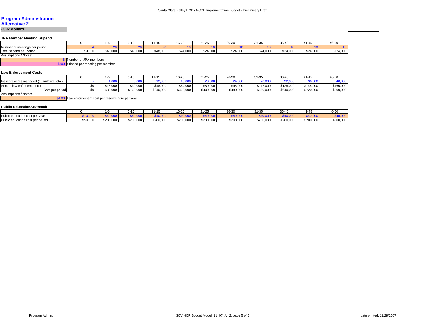# **Program Administration Alternative 2**

**2007 dollars**

#### **JPA Member Meeting Stipend**

|                                 |         |          | 6-10     | 71-TS.   | 10.00<br>16-20 | $21 - 25$ | 0000<br>26-30 | $\mathbf{A}$<br>ئۇ-1-ئ | 20.10<br>36-Δ. | 41-45    | $\sim$ $-$<br>46-56 |
|---------------------------------|---------|----------|----------|----------|----------------|-----------|---------------|------------------------|----------------|----------|---------------------|
| meetings per period<br>umber of |         | 20       |          |          |                |           |               |                        |                |          |                     |
| Total stipend per period        | \$9,600 | \$48,000 | \$48,000 | \$48,000 | \$24,000       | \$24,000  | \$24,000      | \$24,000               | \$24,000       | \$24,000 | 0.400<br>\$24,000   |
| $\cdots$                        |         |          |          |          |                |           |               |                        |                |          |                     |

Assumptions / Notes:

8 Number of JPA members

\$300 Stipend per meeting per member

#### **Law Enforcement Costs**

|                                          |          | $6 - 10$  | $11 - 15$ | $16 - 20$  | $21 - 25$       | 26-30     | 31-35     | 36-40     | 41-45     | 46-5 <sub>L</sub> |
|------------------------------------------|----------|-----------|-----------|------------|-----------------|-----------|-----------|-----------|-----------|-------------------|
| Reserve acres managed (cumulative total) | $\sim$   |           | .         | $\sim$ 000 | 20.000<br>∠∪,∪∪ | 24.00     | 28,000    | 32,000    | 36,000    |                   |
| Annual law enforcement cost              | \$16,000 | \$32,000  | \$48,000  | \$64,000   | \$80,000        | \$96,000  | \$112,000 | \$128,000 | \$144.000 | \$160,000         |
| Cost per period                          | \$80,000 | \$160,000 | \$240,000 | \$320,000  | \$400,000       | \$480,000 | \$560,000 | \$640,000 | \$720,000 | \$800,000         |
| <b>Assumptions / Notes:</b>              |          |           |           |            |                 |           |           |           |           |                   |

\$4.00 Law enforcement cost per reserve acre per year

#### **Public Education/Outreach**

|                                  |           |           | $\overline{10}$<br>טו-פ           |            | 16-20           | $21 - 25$ | 26-30     | $\sim$ $\sim$<br>31-35         | 36-40     | $\overline{a}$<br>$41 - 4$   | 46-5L                    |
|----------------------------------|-----------|-----------|-----------------------------------|------------|-----------------|-----------|-----------|--------------------------------|-----------|------------------------------|--------------------------|
| Public education cost per year   | \$10,000  | 40,000    | $\sim$ $\sim$ $\sim$<br>$v$ , $v$ | $-140,000$ | 10.000<br>+u,uu | \$40,000  | \$40,000  | $\sim$ $\sim$<br><b>AU,UUU</b> | \$40,000  | $R$ 40.000<br><b>JUU,UPG</b> | <b>ANO ONA</b><br>שט,ט+ט |
| Public education cost per period | $$50,000$ | \$200,000 | \$200,000                         | \$200,000  | \$200,000       | \$200,000 | \$200,000 | 0.000<br>\$200.000             | \$200,000 | \$200.000                    | \$200,000                |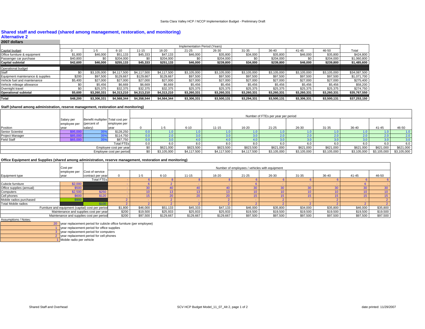#### **Shared staff and overhead (shared among management, restoration, and monitoring)**

#### **Alternative 2**

#### **2007 dollars**

|                                  |          | Implementation Period (Years) |             |             |             |             |             |             |             |             |             |              |  |
|----------------------------------|----------|-------------------------------|-------------|-------------|-------------|-------------|-------------|-------------|-------------|-------------|-------------|--------------|--|
| Capital budget                   |          | ה-ו                           | $6 - 10$    | $1 - 15$    | 16-20       | $21 - 25$   | $26 - 3C$   | $31 - 35$   | $36 - 40$   | 41-45       | 46-50       | Total        |  |
| Office furniture & equipment     | \$1,800  | \$46,000                      | \$51,133    | \$45.333    | \$47.133    | \$46,000    | \$35,800    | \$34,000    | \$35,800    | \$46,000    | \$35,800    | \$424,800    |  |
| Passenger car purchase           | \$40,800 | \$0                           | \$204.000   | \$0         | \$204.000   |             | \$204.000   | \$0         | \$204,000   | \$0         | \$204.000   | \$1,060,800  |  |
| Capital subtotal                 | \$42.600 | \$46,000                      | \$255.133   | \$45.333    | \$251.133   | \$46,000    | \$239.800   | \$34.000    | \$239,800   | \$46.000    | \$239.800   | \$1,485,600  |  |
| Operational budget               |          |                               |             |             |             |             |             |             |             |             |             |              |  |
| Staff                            | \$0      | \$3,105,000                   | \$4,117,500 | \$4,117,500 | \$4,117,500 | \$3,105,000 | \$3,105,000 | \$3,105,000 | \$3,105,000 | \$3,105,000 | \$3,105,000 | \$34,087,500 |  |
| Equipment maintenance & supplies | \$200    | \$97,500                      | \$129.667   | \$129,667   | \$129,667   | \$97,500    | \$97,500    | \$97,500    | \$97,500    | \$97,500    | \$97,500    | \$1,071,700  |  |
| Vehicle fuel and maintenance     | \$5,400  | \$27,000                      | \$27,000    | \$27.000    | \$27,000    | \$27,000    | \$27,000    | \$27,000    | \$27,000    | \$27,000    | \$27,000    | \$275,400    |  |
| Vehicle mileage allowance        | \$0      | \$5.456                       | \$6.669     | \$6.669     | \$6,669     | \$5,456     | \$5.456     | \$5,456     | \$5,456     | \$5,456     | \$5,456     | \$58,200     |  |
| Overnight travel                 |          | \$25,375                      | \$32,375    | \$32,375    | \$32,375    | \$25.375    | \$25,375    | \$25,375    | \$25,375    | \$25,375    | \$25,375    | \$274,750    |  |
| <b>Operational subtotal</b>      | \$5.600  | \$3.260.331                   | \$4,313,210 | \$4.313.210 | \$4,313,210 | \$3,260,331 | \$3,260,331 | \$3.260.331 | \$3.260.331 | \$3,260,331 | \$3.260.331 | \$35,767,550 |  |
| Total                            | \$48,200 | \$3.306.331                   | \$4,568,344 | \$4.358.544 | \$4,564,344 | \$3,306,331 | \$3,500,131 | \$3.294.331 | \$3,500,131 | \$3,306,331 | \$3,500,131 | \$37,253,150 |  |

#### **Staff (shared among administration, reserve management, restoration and monitoring)**

|                          |                        |                                   |              |           |             |             |             |             | Number of FTEs per year per period |             |             |             |               |             |
|--------------------------|------------------------|-----------------------------------|--------------|-----------|-------------|-------------|-------------|-------------|------------------------------------|-------------|-------------|-------------|---------------|-------------|
|                          | Salary per             | Benefit multiplier Total cost per |              |           |             |             |             |             |                                    |             |             |             |               |             |
| Position                 | employee per<br>year   | (percent of<br>salary)            | employee per |           |             | $6 - 10$    | $11 - 15$   | 16-20       | $21 - 25$                          | 26-30       | $31 - 35$   | 36-40       | $41 - 45$     | 46-50       |
| <b>Senior Scientist</b>  | \$95,00                |                                   | \$128,250    |           |             |             |             |             |                                    |             |             |             |               |             |
| Project Manager          | \$85,00                |                                   | \$114,750    | 0.0       |             |             |             |             |                                    | 2.0         |             |             | $2.0^{\circ}$ |             |
| <b>Field Staff</b>       | 665,00                 |                                   | \$87,750     |           |             |             |             |             |                                    |             |             |             |               |             |
|                          | <b>Total FTEs</b>      | 0.0                               | 6.0          |           |             |             |             | 6.0         | 6.0                                |             | 5.0         | 6.0         |               |             |
|                          | Employee cost per year |                                   | \$621,000    | \$823,500 | \$823,500   | \$823,500   | \$621,000   | \$621,000   | \$621,000                          | \$621,000   | \$621,000   | \$621,000   |               |             |
| Employee cost per period |                        |                                   |              |           | \$3,105,000 | \$4,117,500 | \$4,117,500 | \$4,117,500 | \$3,105,000                        | \$3,105,000 | \$3,105,000 | \$3,105,000 | \$3,105,000   | \$3,105,000 |

#### **Office Equipment and Supplies (shared among administration, reserve management, restoration and monitoring)**

|                          | Cost per                                          |                   | Number of employees / vehicles with equipment |                 |           |           |           |           |          |           |          |          |          |
|--------------------------|---------------------------------------------------|-------------------|-----------------------------------------------|-----------------|-----------|-----------|-----------|-----------|----------|-----------|----------|----------|----------|
|                          | employee per                                      | Cost of service   |                                               |                 |           |           |           |           |          |           |          |          |          |
| Equipment type           | year                                              | contract per year |                                               | $1-5$           | $6 - 10$  | $11 - 15$ | 16-20     | $21 - 25$ | 26-30    | $31 - 35$ | 36-40    | 41-45    | 46-50    |
|                          |                                                   | <b>Total FTEs</b> |                                               |                 |           |           |           |           |          |           |          |          |          |
| Cubicle furniture        | \$2,000                                           |                   |                                               |                 |           |           |           |           |          |           |          |          |          |
| Office supplies (annual) | \$500                                             |                   |                                               | 30 <sup>1</sup> | 4(        | 40        | 40        | 30        | 30       | 30        | 30       | 30       | 30       |
| Computers                | \$2,500                                           | \$250             |                                               |                 |           |           |           |           |          |           |          | 10       | 10       |
| Cell phones              | \$600                                             | \$120             |                                               |                 | 20        | 20        | 20        |           | 15       |           |          | 15       | 15       |
| Mobile radios purchased  | \$900                                             |                   |                                               |                 |           |           |           |           |          |           |          |          |          |
| Total Mobile radios      |                                                   | \$100             |                                               |                 |           |           |           |           |          |           |          |          |          |
|                          | Furniture and equipment (capital) cost per period |                   | \$1,800                                       | \$46,000        | \$51,133  | \$45,333  | \$47,133  | \$46,000  | \$35,800 | \$34,000  | \$35,800 | \$46,000 | \$35,800 |
|                          | Maintenance and supplies cost per year            |                   | \$200                                         | \$19,500        | \$25,933  | \$25,933  | \$25,933  | \$19,500  | \$19,500 | \$19,500  | \$19,500 | \$19,500 | \$19,500 |
|                          | Maintenance and supplies cost per period          |                   | \$200                                         | \$97.500        | \$129,667 | \$129.667 | \$129,667 | \$97,500  | \$97,500 | \$97,500  | \$97,500 | \$97,500 | \$97,500 |

#### Assumptions / Notes:



20 year replacement period for cubicle office furniture (per employee)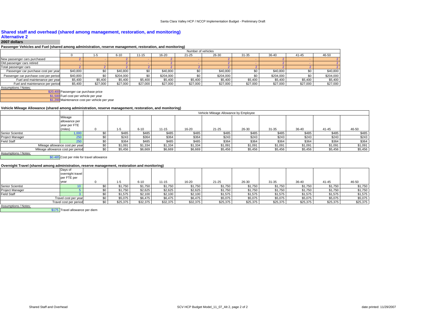#### **Shared staff and overhead (shared among management, restoration, and monitoring)**

#### **Alternative 2**

#### **2007 dollars**

#### **Passenger Vehicles and Fuel (shared among administration, reserve management, restoration, and monitoring)**

|                                        | Number of vehicles |          |           |           |           |           |           |           |           |          |           |  |  |  |
|----------------------------------------|--------------------|----------|-----------|-----------|-----------|-----------|-----------|-----------|-----------|----------|-----------|--|--|--|
|                                        |                    | $1 - t$  | $6 - 10$  | $11 - 15$ | 16-20     | $21 - 25$ | 26-30     | $31 - 35$ | 36-40     | 41-45    | 46-50     |  |  |  |
| New passenger cars purchased           |                    |          |           |           |           |           |           |           |           |          |           |  |  |  |
| Old passenger cars retired             |                    |          |           |           |           |           |           |           |           |          |           |  |  |  |
| Total passenger cars                   |                    |          |           |           |           |           |           |           |           |          |           |  |  |  |
| Passenger car purchase cost per year   | \$40,800           | \$0      | \$40,800  | \$0       | \$40,800  |           | \$40,800  |           | \$40,800  | \$0      | \$40,800  |  |  |  |
| Passenger car purchase cost per period | \$40,800           | \$0      | \$204,000 | \$0       | \$204,000 |           | \$204,000 |           | \$204,000 | \$0      | \$204,000 |  |  |  |
| Fuel and maintenance per year          | \$5,400            | \$5,400  | \$5,400   | \$5,400   | \$5,400   | \$5,400   | \$5,400   | \$5,400   | \$5,400   | \$5,400  | \$5,400   |  |  |  |
| Fuel and maintenance per period        | \$5,400            | \$27,000 | \$27,000  | \$27,000  | \$27,000  | \$27,000  | \$27,000  | \$27,000  | \$27,000  | \$27,000 | \$27,000  |  |  |  |

Assumptions / Notes:

\$20,400 Passenger car purchase price

\$1,500 Fuel cost per vehicle per year

\$1,200 Maintenance cost per vehicle per year

#### **Vehicle Mileage Allowance (shared among administration, reserve management, restoration, and monitoring)**

|                                   |               |         |          |         |         | Vehicle Mileage Allowance by Employee |         |           |         |         |         |
|-----------------------------------|---------------|---------|----------|---------|---------|---------------------------------------|---------|-----------|---------|---------|---------|
|                                   | Mileage       |         |          |         |         |                                       |         |           |         |         |         |
|                                   | allowance per |         |          |         |         |                                       |         |           |         |         |         |
|                                   | year per FTE  |         |          |         |         |                                       |         |           |         |         |         |
|                                   | (miles)       | $-5$    | $6 - 10$ | 11-15   | 16-20   | $21 - 25$                             | 26-30   | $31 - 35$ | 36-40   | 41-45   | 46-50   |
| Senior Scientist                  |               | \$485   | \$485    | \$485   | \$485   | \$485                                 | \$485   | \$485     | \$485   | \$485   | \$485   |
| <b>Project Manager</b>            |               | \$243   | \$364    | \$364   | \$364   | \$243                                 | \$243   | \$243     | \$243   | \$243   | \$243   |
| <b>Field Staff</b>                |               | \$364   | \$485    | \$485   | \$485   | \$364                                 | \$364   | \$364     | \$364   | \$364   | \$364   |
| Mileage allowance cost per year   | \$1,091       | \$1.334 | \$1,334  | \$1,334 | \$1,091 | \$1,091                               | \$1,091 | \$1,091   | \$1,091 | \$1,091 |         |
| Mileage allowance cost per period |               | \$5,456 | \$6,669  | \$6,669 | \$6,669 | \$5,456                               | \$5,456 | \$5,456   | \$5,456 | \$5,456 | \$5,456 |

Assumptions / Notes:

\$0.485 Cost per mile for travel allowance

#### **Overnight Travel (shared among administration, reserve management, restoration and monitoring)**

|                         | Days of<br>overnight travel<br>per FTE per |    |          |          |          |          |           |          |          |          |          |          |
|-------------------------|--------------------------------------------|----|----------|----------|----------|----------|-----------|----------|----------|----------|----------|----------|
|                         | year                                       |    | $1 - 5$  | $6 - 10$ | 11-15    | 16-20    | $21 - 25$ | 26-30    | 31-35    | 36-40    | 41-45    | 46-50    |
| <b>Senior Scientist</b> |                                            |    | \$1,750  | \$1,750  | \$1,750  | \$1,750  | \$1,750   | \$1,750  | \$1,750  | \$1,750  | \$1,750  | \$1,750  |
| <b>Project Manager</b>  |                                            |    | \$1,750  | \$2,625  | \$2,625  | \$2,625  | \$1,750   | \$1,750  | \$1,750  | \$1,750  | \$1,750  | \$1,750  |
| <b>Field Staff</b>      |                                            |    | \$1,575  | \$2,100  | \$2,100  | \$2,100  | \$1,575   | \$1,575  | \$1,575  | \$1,575  | \$1,575  | \$1,575  |
|                         | Travel cost per year                       |    | \$5,075  | \$6.475  | \$6,475  | \$6,475  | \$5,075   | \$5,075  | \$5,075  | \$5,075  | \$5,075  | \$5,075  |
|                         | Travel cost per period                     | ፍሰ | \$25,375 | \$32,375 | \$32,375 | \$32,375 | \$25,375  | \$25,375 | \$25,375 | \$25,375 | \$25,375 | \$25,375 |

Assumptions / Notes:

\$175 Travel allowance per diem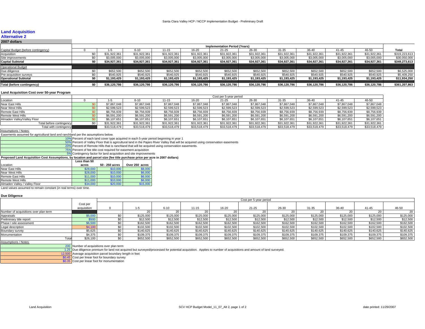## **Land Acquisition**

#### **Alternative 2 2007 dollars**

| LUVI YUIKIJ                         |     |              |              |              |              |                                      |              |              |              |              |              |               |
|-------------------------------------|-----|--------------|--------------|--------------|--------------|--------------------------------------|--------------|--------------|--------------|--------------|--------------|---------------|
|                                     |     |              |              |              |              | <b>Implementation Period (Years)</b> |              |              |              |              |              |               |
| Capital Budget (before contingency) |     |              | $6 - 10$     | $11 - 15$    | 16-20        | $21 - 25$                            | 26-30        | $31 - 35$    | $36 - 40$    | 41-45        | 46-50        | <b>Total</b>  |
| Acquisition                         |     | \$31.922.361 | \$31.922.361 | \$31,922,361 | \$31.922.361 | \$31.922.36                          | \$31.922.361 | \$31.922.361 | \$31.922.361 | \$31.922.361 | \$31.922.36  | \$319,223,613 |
| Site improvements                   |     | \$3,005,000  | \$3,005,000  | \$3,005,000  | \$3,005,000  | \$3,005,000                          | \$3,005,000  | \$3,005,000  | \$3,005,000  | \$3,005,000  | \$3,005,000  | \$30,050,000  |
| <b>Capital Subtotal</b>             | \$0 | \$34.927.361 | \$34.927.361 | \$34.927.361 | \$34.927.361 | \$34.927.361                         | \$34.927.361 | \$34.927.361 | \$34.927.361 | \$34.927.361 | \$34.927.361 | \$349,273,613 |
|                                     |     |              |              |              |              |                                      |              |              |              |              |              |               |
| <b>Operational Budget</b>           |     |              |              |              |              |                                      |              |              |              |              |              |               |
| Due diligence                       |     | \$652,500    | \$652,500    | \$652,500    | \$652,500    | \$652,500                            | \$652,500    | \$652,500    | \$652,500    | \$652,500    | \$652,500    | \$6,525,000   |
| Pre-acquisition surveys             |     | \$540,925    | \$540,925    | \$540,925    | \$540,925    | \$540.925                            | \$540,925    | \$540,925    | \$540,925    | \$540,925    | \$540,925    | \$5,409,250   |
| <b>Operational Subtotal</b>         |     | \$1.193.425  | \$1,193,425  | \$1,193,425  | \$1,193,425  | \$1,193,425                          | \$1,193,425  | \$1,193,425  | \$1,193,425  | \$1,193,425  | \$1,193,425  | \$11,934,250  |
|                                     |     |              |              |              |              |                                      |              |              |              |              |              |               |
| Total (before contingency)          | \$0 | \$36,120,786 | \$36.120.786 | \$36.120.786 | \$36,120,786 | \$36.120.786                         | \$36.120.786 | \$36.120.786 | \$36.120.786 | \$36,120,786 | \$36.120.786 | \$361,207,863 |

#### **Land Acquisition Cost over 50-year Program**

|                             | Cost per 5-year period |              |              |              |              |              |              |              |              |              |              |  |  |  |
|-----------------------------|------------------------|--------------|--------------|--------------|--------------|--------------|--------------|--------------|--------------|--------------|--------------|--|--|--|
| Location                    |                        |              | $6 - 10$     | $11 - 15$    | 16-20        | $21 - 25$    | 26-30        | $31 - 35$    | 36-40        | 41-45        | 46-50        |  |  |  |
| <b>Near East Hills</b>      |                        | \$7.867.048  | \$7,867,048  | \$7,867,048  | \$7,867,048  | \$7,867,048  | \$7,867,048  | \$7,867,048  | \$7,867,048  | \$7,867,048  | \$7,867,048  |  |  |  |
| Near West Hills             |                        | \$2,599,523  | \$2,599,523  | \$2,599,523  | \$2,599,523  | \$2,599,523  | \$2,599,523  | \$2,599,523  | \$2,599,523  | \$2,599,523  | \$2,599,523  |  |  |  |
| <b>Remote East Hills</b>    |                        | \$8,756,939  | \$8,756,939  | \$8,756,939  | \$8,756,939  | \$8,756,939  | \$8,756,939  | \$8,756,939  | \$8,756,939  | \$8,756,939  | \$8,756,939  |  |  |  |
| <b>Remote West Hills</b>    |                        | \$6,591,200  | \$6,591,200  | \$6,591,200  | \$6,591,200  | \$6,591,200  | \$6,591,200  | \$6,591,200  | \$6,591,200  | \$6,591,200  | \$6,591,200  |  |  |  |
| Almaden Vallev/Vallev Floor |                        | \$6,107,651  | \$6,107,651  | \$6,107,651  | \$6,107,651  | \$6,107,651  | \$6,107,651  | \$6,107,651  | \$6,107,651  | \$6,107,651  | \$6,107,651  |  |  |  |
| Total before contingency    |                        | \$31,922,361 | \$31,922,361 | \$31.922.361 | \$31.922.361 | \$31,922,361 | \$31,922,361 | \$31,922,361 | \$31,922,361 | \$31,922,361 | \$31,922,361 |  |  |  |
| Total with contingency      |                        | \$33.518.479 | \$33,518,479 | \$33,518,479 | \$33,518,479 | \$33,518,479 | \$33,518,479 | \$33,518,479 | \$33,518,479 | \$33,518,479 | \$33,518,479 |  |  |  |

#### Assumptions / Notes:

Easements assumed for agricultural land and ranchland per the assumptions below.

10% Percent of each land cover type acquired in each 5-year period beginning in year 1

50%Percent of Valley Floor that is agricultural land in the Pajaro River Valley that will be acquired using conservation easements

20% Percent of Remote Hills that is ranchland that will be acquired using conservation easements.

75%Percent of fee title cost required for easement acquisition

5% Contingency factor for land acquisition and site improvements

**Proposed Land Acquisition Cost Assumptions, by location and parcel size (fee title purchase price per acre in 2007 dollars)**

|                                                                   | Less than 50 |                |                |  |  |  |  |  |  |  |  |  |
|-------------------------------------------------------------------|--------------|----------------|----------------|--|--|--|--|--|--|--|--|--|
| Location                                                          | acres        | 50 - 250 acres | Over 250 acres |  |  |  |  |  |  |  |  |  |
| Near East Hills                                                   | \$28,000     | \$10,000       | \$8,000        |  |  |  |  |  |  |  |  |  |
| Near West Hills                                                   | \$28,000     | \$10,000       | \$6,000        |  |  |  |  |  |  |  |  |  |
| Remote East Hills                                                 | \$11,000     | \$10,000       | \$6,000        |  |  |  |  |  |  |  |  |  |
| Remote West Hills                                                 | \$11,000     | \$10,000       | \$6,000        |  |  |  |  |  |  |  |  |  |
| Almaden Valley / Valley Floor                                     | \$34,000     | \$20,000       | \$15,000       |  |  |  |  |  |  |  |  |  |
| Land values assumed to remain constant (in real terms) over time. |              |                |                |  |  |  |  |  |  |  |  |  |

#### **Due Diligence**

|                                       |             | Cost per 5-year period |           |           |           |           |           |           |           |           |           |  |  |  |  |
|---------------------------------------|-------------|------------------------|-----------|-----------|-----------|-----------|-----------|-----------|-----------|-----------|-----------|--|--|--|--|
|                                       | Cost per    |                        |           |           |           |           |           |           |           |           |           |  |  |  |  |
|                                       | acquisition |                        | $6 - 10$  | $11 - 15$ | 16-20     | $21 - 25$ | 26-30     | $31 - 35$ | 36-40     | $41 - 45$ | 46-50     |  |  |  |  |
| Number of acquisitions over plan term |             |                        |           |           | ۷L        |           |           | ZU.       |           |           |           |  |  |  |  |
| Appraisals                            |             | \$125.000              | \$125,000 | \$125,000 | \$125,000 | \$125,000 | \$125,000 | \$125,000 | \$125,000 | \$125,000 | \$125,000 |  |  |  |  |
| Preliminary title report              |             | \$12,500               | \$12,500  | \$12,500  | \$12,500  | \$12,500  | \$12,500  | \$12,500  | \$12,500  | \$12,500  | \$12,500  |  |  |  |  |
| Phase I site assessment               | \$6,50      | \$162.500              | \$162,500 | \$162,500 | \$162,500 | \$162,500 | \$162,500 | \$162,500 | \$162,500 | \$162,500 | \$162,500 |  |  |  |  |
| Legal description                     | \$4,100     | \$102.500              | \$102.500 | \$102,500 | \$102,500 | \$102,500 | \$102,500 | \$102,500 | \$102.500 | \$102,500 | \$102,500 |  |  |  |  |
| Boundary survey                       | \$5,625     | \$140,625              | \$140,625 | \$140,625 | \$140,625 | \$140.625 | \$140,625 | \$140.625 | \$140.625 | \$140,625 | \$140,625 |  |  |  |  |
| Monumentation                         | \$4,375     | \$109,375              | \$109,375 | \$109,375 | \$109,375 | \$109,375 | \$109,375 | \$109,375 | \$109,375 | \$109,375 | \$109,375 |  |  |  |  |
| `otal                                 | \$26,100    | \$652,500              | \$652,500 | \$652,500 | \$652,500 | \$652,500 | \$652,500 | \$652,500 | \$652,500 | \$652,500 | \$652,500 |  |  |  |  |
|                                       |             |                        |           |           |           |           |           |           |           |           |           |  |  |  |  |

Assumptions / Notes:

200Number of acquisitions over plan term

Due diligence premium for land not acquired but surveyed/processed for potential acquisition. Applies to number of acquisitions and amount of land surveyed.

 $\frac{1.25}{12,500}$ Average acquisition parcel boundary length in feet

\$0.45 Cost per linear foot for boundary survey

\$0.35 Cost per linear foot for monumentation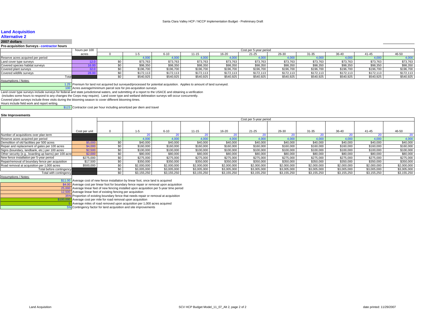#### **Land Acquisition**

#### **Alternative 2**

**2007 dollars**

#### **Pre-acquisition Surveys - contractor hours**

|                                   | hours per 100 |           |           |           |           | Cost per 5-year period |           |           |           |           |           |
|-----------------------------------|---------------|-----------|-----------|-----------|-----------|------------------------|-----------|-----------|-----------|-----------|-----------|
|                                   | acres         |           |           | $11 - 15$ | 16-20     | $21 - 25$              | $26 - 30$ | $31 - 35$ | 36-40     |           | 46-50     |
| Reserve acres acquired per period |               |           |           |           |           |                        |           |           |           |           | 4.000     |
| Land cover type surveys           |               | \$73,763  | \$73,763  | \$73,763  | \$73,763  | \$73,763               | \$73,763  | \$73,763  | \$73,763  | \$73,763  | \$73,763  |
| Covered species habitat survevs   |               | \$98,350  | \$98,350  | \$98,350  | \$98,350  | \$98,350               | \$98,350  | \$98,350  | \$98,350  | \$98,350  | \$98,350  |
| Covered plant surveys             |               | \$196,700 | \$196,700 | \$196,700 | \$196,700 | \$196.700              | \$196,700 | \$196,700 | \$196,700 | \$196,700 | \$196,700 |
| Covered wildlife surveys          |               | \$172,113 | \$172.113 | \$172,113 | \$172,113 | \$172,113              | \$172,113 | \$172.113 | \$172,113 | \$172,113 | \$172,113 |
| Total                             |               | \$540,925 | \$540.925 | \$540,925 | \$540,925 | \$540,925              | \$540,925 | \$540,925 | \$540.925 | \$540,925 | \$540,925 |

#### Assumptions / Notes:

Premium for land not acquired but surveyed/processed for potential acquisition. Applies to amount of land surveyed.

100 Acres average/minimum parcel size for pre-acquisition surveys

Land cover type surveys include surveys for federal and state jurisdictional waters, and submitting of a report to the USACE and obtaining a verification

(includes some hours to respond to any changes the Corps may require). Land cover type and wetland delineation surveys will occur concurrently.

Covered plant surveys include three visits during the blooming season to cover different blooming times.

1.25

Hours include field work and report writing.

\$123 Contractor cost per hour including amortized per diem and travel

#### **Site Improvements**

|                                                       |               |     | Cost per 5-year period |             |             |             |             |             |             |             |             |             |  |  |  |  |
|-------------------------------------------------------|---------------|-----|------------------------|-------------|-------------|-------------|-------------|-------------|-------------|-------------|-------------|-------------|--|--|--|--|
|                                                       |               |     |                        |             |             |             |             |             |             |             |             |             |  |  |  |  |
|                                                       | Cost per unit |     | $1 - 5$                | $6 - 10$    | $11 - 15$   | 16-20       | $21 - 25$   | 26-30       | $31 - 35$   | 36-40       | $41 - 45$   | 46-50       |  |  |  |  |
| Number of acquisitions over plan term                 |               |     |                        |             |             |             |             |             |             |             |             |             |  |  |  |  |
| Reserve acres acquired per period                     |               |     | 4,000                  | 4.000       | 4.000       | 4,000       | 4.000       | 4.000       | 4.000       | 4.000       | 4.00        | 4.000       |  |  |  |  |
| Demolition of old facilities per 500 acres            | \$5,000       | \$0 | \$40,000               | \$40,000    | \$40,000    | \$40,000    | \$40,000    | \$40,000    | \$40,000    | \$40,000    | \$40,000    | \$40,000    |  |  |  |  |
| Repair and replacement of gates per 100 acres         | \$4,000       | \$0 | \$160,000              | \$160,000   | \$160,000   | \$160,000   | \$160,000   | \$160,000   | \$160,000   | \$160,000   | \$160,000   | \$160,000   |  |  |  |  |
| Signs (boundary, landbank, etc.) per 100 acres        | \$2,500       | \$0 | \$100,000              | \$100,000   | \$100,000   | \$100,000   | \$100,000   | \$100,000   | \$100,000   | \$100,000   | \$100,000   | \$100,000   |  |  |  |  |
| Other security (e.g., boarding up barns) per 100 acre | \$2,000       | \$0 | \$80,000               | \$80,000    | \$80,000    | \$80,000    | \$80,000    | \$80,000    | \$80,000    | \$80,000    | \$80,000    | \$80,000    |  |  |  |  |
| New fence installation per 5-year period              | \$275,000     | \$0 | \$275,000              | \$275,000   | \$275,000   | \$275,000   | \$275,000   | \$275,000   | \$275,000   | \$275,000   | \$275,000   | \$275,000   |  |  |  |  |
| Repair/removal of boundary fence per acquisition      | \$17,500      | \$0 | \$350,000              | \$350,000   | \$350,000   | \$350,000   | \$350,000   | \$350,000   | \$350,000   | \$350,000   | \$350,000   | \$350,000   |  |  |  |  |
| Road removal at acquisition per 1,000 acres           | \$500,000     | \$0 | \$2,000,000            | \$2,000,000 | \$2,000,000 | \$2,000,000 | \$2,000,000 | \$2,000,000 | \$2,000,000 | \$2,000,000 | \$2,000,000 | \$2,000,000 |  |  |  |  |
| Total before contingency                              |               | \$0 | \$3,005,000            | \$3,005,000 | \$3,005,000 | \$3,005,000 | \$3,005,000 | \$3,005,000 | \$3,005,000 | \$3,005,000 | \$3,005,000 | \$3,005,000 |  |  |  |  |
| Total with contingency                                |               | \$0 | \$3,155,250            | \$3,155,250 | \$3,155,250 | \$3,155,250 | \$3,155,250 | \$3,155,250 | \$3,155,250 | \$3,155,250 | \$3,155,250 | \$3,155,250 |  |  |  |  |
| Assumptions / Notes:                                  |               |     |                        |             |             |             |             |             |             |             |             |             |  |  |  |  |

5

\$11.00 Average cost of new fence installation by linear foot, once land is acquired<br>\$4.00 Average cost per linear foot for boundary fence repair or removal upon acquisition

25,000 Average linear feet of new fencing installed upon acquisition per 5-year time period<br>12,500 Average linear feet of existing fencing per acquisition

Average linear feet of existing fencing per acquisition

35%**Proportion of existing boundary fence that needs repair or removal at acquisition**<br> **\$100,000** Average cost per mile for road removal upon acquisition

Average cost per mile for road removal upon acquisition

Average miles of road removed upon acquisition per 1,000 acres acquired

5% Contingency factor for land acquisition and site improvements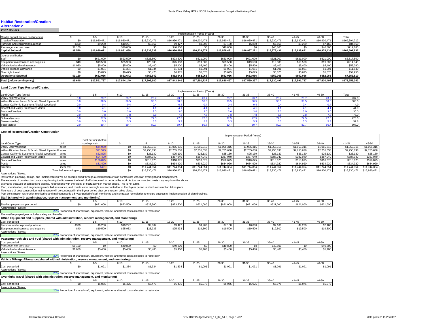#### **Habitat Restoration/Creation Alternative 2**

|                                     | Implementation Period (Years) |              |              |              |              |              |              |              |              |              |              |               |  |  |  |
|-------------------------------------|-------------------------------|--------------|--------------|--------------|--------------|--------------|--------------|--------------|--------------|--------------|--------------|---------------|--|--|--|
| Capital budget (before contingency) |                               |              | $6 - 10$     |              | $16 - 20$    | $21 - 25$    | 26-30        | 31-35        | $36 - 4$     | 41-45        | 46-50        | Total         |  |  |  |
| Creation/Restoration                |                               | \$16,930,471 | \$16,930,471 | \$16,930,471 | \$16,930,471 | \$16,930.471 | \$16,930,471 | \$16,930,471 | \$16,930,471 | \$16,930,471 | \$16,930,47  | \$169,304,712 |  |  |  |
| urniture and equipment purchase-    | \$360                         | \$9,200      | \$10,227     | \$9,067      | \$9,427      | \$9,200      | \$7,160      | \$6,800      | \$7,160      | \$9,200      | \$7,160      | \$84,960      |  |  |  |
| Passenger car purchase              | \$8,160                       | \$0          | \$40,800     |              | \$40,800     | \$0          | \$40,800     |              | \$40,800     |              | \$40,800     | \$212,160     |  |  |  |
| <b>Capital Subtotal</b>             | \$8,520                       | \$16.939.671 | \$16.981.498 | \$16,939,538 | \$16,980,698 | \$16.939.671 | \$16.978.431 | \$16.937.271 | \$16.978.431 | \$16.939.671 | \$16.978.431 | \$169,601,832 |  |  |  |
| Operational budget                  |                               |              |              |              |              |              |              |              |              |              |              |               |  |  |  |
|                                     |                               | \$621,000    | \$823,500    | \$823,500    | \$823,500    | \$621,000    | \$621,000    | \$621,000    | \$621.000    | \$621,000    | \$621.000    | \$6,817,500   |  |  |  |
| Equipment maintenance and supplies  | \$40                          | \$19,500     | \$25,933     | \$25,933     | \$25,933     | \$19,500     | \$19,500     | \$19,500     | \$19,500     | \$19,500     | \$19,500     | \$214,340     |  |  |  |
| Vehicle fuel and maintenance        | \$1,080                       | \$5,400      | \$5,400      | \$5,400      | \$5,400      | \$5,400      | \$5.400      | \$5,400      | \$5,400      | \$5,400      | \$5,400      | \$55,080      |  |  |  |
| Vehicle mileage allowance           |                               | \$1,091      | \$1,334      | \$1,334      | \$1,334      | \$1,091      | \$1.091      | \$1,091      | \$1,091      | \$1.09'      | \$1,091      | \$11,640      |  |  |  |
| Overnight travel                    |                               | \$5,075      | \$6.475      | \$6,475      | \$6,475      | \$5,075      | \$5,075      | \$5,075      | \$5,075      | \$5.075      | \$5.075      | \$54,950      |  |  |  |
| Operational Subtotal                | \$1,120                       | \$652.066    | \$862,642    | \$862,642    | \$862.642    | \$652,066    | \$652,066    | \$652.066    | \$652,066    | \$652.066    | \$652,066    | \$7,153,510   |  |  |  |
| Total (before contingency)          | \$9.640                       | \$17.591.737 | \$17.844.140 | \$17.802.180 | \$17,843,340 | \$17.591.737 | \$17.630.497 | \$17.589.337 | \$17.630.497 | \$17.591.737 | \$17.630.497 | \$176,755,342 |  |  |  |

#### **Land Cover Type Restored/Created**

|                                                  | Implementation Period (Years) |            |          |             |        |           |       |                 |            |           |             |       |  |  |
|--------------------------------------------------|-------------------------------|------------|----------|-------------|--------|-----------|-------|-----------------|------------|-----------|-------------|-------|--|--|
| Land Cover Type (acres)                          |                               |            | $6 - 10$ | $11 - 15$   | 16-20  | $21 - 25$ | 26-30 | $31 - 35$       | 36-40      | $41 - 45$ | 46-50       | Total |  |  |
| Valley Oak Woodland                              |                               |            | 23.7     | 23.7        |        | 23.7      |       | 23.7            |            |           | 23.7        | 237.0 |  |  |
| Willow Riparian Forest & Scrub, Mixed Riparian F |                               | 38.5       | 38.5     | <b>20 L</b> | 38.5   | 38.5      | 38.5  | 38.5            | 90.<br>ခား |           | 38.5        | 385.0 |  |  |
| Central California Sycamore Alluvial Woodland    |                               |            |          |             |        |           |       |                 |            |           |             |       |  |  |
| Coastal and Valley Freshwater Marsh              |                               |            |          |             |        |           |       |                 |            |           |             | 41.0  |  |  |
| Seasonal Wetland                                 |                               |            |          |             |        |           |       |                 |            |           |             | 30.0  |  |  |
| Ponds                                            |                               |            |          |             |        |           |       |                 |            |           |             | 78.0  |  |  |
| Subtotal (acres)                                 |                               |            | כ. ז     |             |        | --        |       |                 |            |           | 77.<br>77.5 | 775.0 |  |  |
| Streams (miles)                                  |                               |            |          |             |        |           |       |                 |            |           |             | 52.8  |  |  |
| Total (acres)                                    |                               | $\sim$ $-$ |          | ד מפ        | $\sim$ | 80.7      |       | RO <sub>1</sub> | 80.        |           | nn -        | 807.0 |  |  |

#### **Cost of Restoration/Creation Construction**

|                                                        |                          |                       |              |              |              |              | Implementation Period (Years) |              |              |              |             |              |
|--------------------------------------------------------|--------------------------|-----------------------|--------------|--------------|--------------|--------------|-------------------------------|--------------|--------------|--------------|-------------|--------------|
|                                                        |                          | Cost per unit (before |              |              |              |              |                               |              |              |              |             |              |
| Land Cover Type                                        | Unit                     | contingency)          | 1-5          | $6 - 10$     | $11 - 15$    | 16-20        | $21 - 25$                     | 26-30        | $31 - 35$    | $36 - 40$    | $41 - 45$   | 46-50        |
| Valley Oak Woodland                                    | acres                    | \$44,950              | \$1,065,315  | \$1,065,315  | \$1,065,315  | \$1,065,315  | \$1,065,315                   | \$1,065,315  | \$1,065,315  | \$1,065,315  | \$1,065,315 | \$1,065,315  |
| Willow Riparian Forest & Scrub, Mixed Riparian Flacres |                          | \$71,575              | \$2,755,638  | \$2,755,638  | \$2,755,638  | \$2,755,638  | \$2,755,638                   | \$2,755,638  | \$2,755,638  | \$2,755,638  | \$2,755,638 | \$2,755,638  |
| Central California Sycamore Alluvial Woodland          | lacres                   | \$62,825              | \$25,130     | \$25,130     | \$25,130     | \$25,130     | \$25,130                      | \$25,130     | \$25,130     | \$25,130     | \$25,130    | \$25,130     |
| Coastal and Valley Freshwater Marsh                    | acres                    | \$94,400              | \$387,040    | \$387,040    | \$387,040    | \$387,040    | \$387,040                     | \$387,040    | \$387,040    | \$387,040    | \$387,040   | \$387,040    |
| Seasonal Wetland                                       | acres                    | \$106,025             | \$318,075    | \$318,075    | \$318,075    | \$318,075    | \$318,075                     | \$318,075    | \$318,075    | \$318,075    | \$318,075   | \$318,075    |
| Ponds                                                  | acres                    | \$81,400              | \$634.920    | \$634,920    | \$634.920    | \$634.920    | \$634.920                     | \$634.920    | \$634.920    | \$634,920    | \$634,920   | \$634,920    |
| Streams                                                | linear feet              | \$421                 | \$11,744,354 | \$11,744,354 | \$11,744,354 | \$11,744,354 | \$11.744.354                  | \$11,744,354 | \$11,744,354 | \$11.744.354 | \$11,744,35 | \$11,744,354 |
|                                                        | Total before contingency |                       | \$16,930,471 | \$16,930,471 | \$16,930,471 | \$16.930.471 | \$16,930.47                   | \$16,930,471 | \$16.930.471 | \$16,930,471 | \$16,930.4  | \$16,930,471 |

#### Assumptions / Notes:

Restoration planning, design, and implementation will be accomplished through a combination of staff contractors with staff oversight and management.<br>The estimate of construction costs is a planning tool to assess the leve

estimates because of competitive bidding, negotiations with the client, or fluctuations in market prices. This is not a bid.

Plan, specification, and engineering work, bid assistance, and construction oversight are accounted for in the 5-year period in which construction takes place.

Five years of post-construction maintenance will be conducted in the 5-year period after construction takes place.

Post-construction restoration monitoring and maintenance is a 5-year period of staff monitoring and contractor remediation to ensure successful implementation of plan drawings,

#### **Staff (shared with administration, reserve management, and monitoring)**

|                                    |               | .         | $1 - 15$  | $\sim$ 00<br>0-20 | 24.25<br>-1-25 | 26-30     | .<br>n - k    | 20.40     |           | 46-50     |
|------------------------------------|---------------|-----------|-----------|-------------------|----------------|-----------|---------------|-----------|-----------|-----------|
| Total employee cost per period     | 000.1<br>እክ 2 | \$823,500 | \$823,500 | \$823,500         | \$621,000      | \$621,000 | \$621<br>---- | \$621,000 | \$621,000 | \$621,000 |
| Assumptions / Notes<br>™ / INOtes. |               |           |           |                   |                |           |               |           |           |           |

20% Proportion of shared staff, equipment, vehicle, and travel costs allocated to restoration

#### The cost/employee/year includes salary and benefits. **Office Equipment and Supplies (shared with administration, reserve management, and monitoring)**

| <u>, and a determinism and addition form on mm adminisment reading management and monitoring t</u> |              |          |          |          |          |                |                      |                                      |          |                  |          |
|----------------------------------------------------------------------------------------------------|--------------|----------|----------|----------|----------|----------------|----------------------|--------------------------------------|----------|------------------|----------|
| Cost per period                                                                                    |              |          | $6 - 10$ | $1 - 15$ | 16-20    | $\sim$<br>21-2 | 0000<br>26-30        | $\sim$ $\sim$                        | 36-40    | 41-41            | 46-50    |
| Furniture and equipment purchase                                                                   | coco<br>აახს | \$9,200  | \$10.227 | \$9.067  | \$9.427  | \$9,200        | \$7,160              | <b>CG ROO</b><br>50.OUL              | \$7,160  | CO OOO<br>39.200 | 07400    |
| Equipment maintenance and supplies                                                                 | ©⊿∩<br>טדע   | \$19,500 | \$25,933 | \$25,933 | \$25,933 | \$19,500       | \$19,500<br>ມ ເອ.ບບບ | $^{\sim}$ 10.500 $^{\circ}$<br>13,00 | \$19,500 | \$19,500         | \$19,500 |
| Assumptions / Notes:                                                                               |              |          |          |          |          |                |                      |                                      |          |                  |          |

20% Proportion of shared staff, equipment, vehicle, and travel costs allocated to restoration

| Passenger Vehicles and Fuel (shared with administration, reserve management, and monitoring) |
|----------------------------------------------------------------------------------------------|
|                                                                                              |

| Cost per period              |                  |                 | $6 - 10$            | $11 - 15$                      | 16-20                     | $\sim$<br>21-2 | 26-30    | 24.25<br>- 13   | $36 - 40$              | .          | 46-50             |
|------------------------------|------------------|-----------------|---------------------|--------------------------------|---------------------------|----------------|----------|-----------------|------------------------|------------|-------------------|
| Passenger car purchase       | 00100<br>90. IOU |                 | 0.40.900<br>940,000 |                                | 0.40.00<br><b>JHU.UUU</b> | $\sim$         | \$40,800 |                 | $QAD$ $QCD$<br>140.80C |            | \$40,800          |
| Vehicle fuel and maintenance | 0.4000<br>1.UO1  | $-200$<br>55.4U | \$5,400             | 0 <sub>0</sub><br><b>JUHUL</b> | 35.4U                     | - ---<br>30.4U | \$5,400  | $- - -$<br>35,4 | \$5,400                | .<br>\$5.4 | $- - -$<br>ა5,4/* |
| Assumptions / Notes:         |                  |                 |                     |                                |                           |                |          |                 |                        |            |                   |

#### 20% Proportion of shared staff, equipment, vehicle, and travel costs allocated to restoration

|                 | Vehicle Mileage Allowance (shared with administration, reserve management, and monitoring) |                      |         |           |           |                   |                          |         |               |                 |         |  |  |  |
|-----------------|--------------------------------------------------------------------------------------------|----------------------|---------|-----------|-----------|-------------------|--------------------------|---------|---------------|-----------------|---------|--|--|--|
|                 |                                                                                            |                      |         |           | $16 - 20$ | ---<br>ے۔ ا       | 0 <sup>0</sup><br>-26-30 |         |               | $\cdot$ $\cdot$ |         |  |  |  |
| Cost per period |                                                                                            | \$1.091<br>ں ں ، ، ر | \$1,334 | .<br>∪∪,י | \$1,334   | 0.400A<br>ו שט.וי | \$1,091                  | \$1,091 | ----<br>71,U. | 0.100<br>ن ټلې  | \$1.091 |  |  |  |

Assumptions / Notes:

20% Proportion of shared staff, equipment, vehicle, and travel costs allocated to restoration

| Overnight Travel (shared with administration, reserve management, and monitoring) |  |
|-----------------------------------------------------------------------------------|--|
|                                                                                   |  |

|                                 |         | .                              |       | $16 - 2$ | -1-2    | $20 - 30$                 | 67 – A  | $\cdots$ |         | $AC$ $E$ |
|---------------------------------|---------|--------------------------------|-------|----------|---------|---------------------------|---------|----------|---------|----------|
| Cost per period                 | \$5,075 | <b>CC 474</b><br>. .<br>ּיד, ש | 00.47 | \$6,475  | \$5,075 | $- - -$<br>5.011<br>ww.u. | \$5,075 | \$5,075  | \$5,075 | \$5,075  |
| $\sqrt{N}$<br><b>Assumption</b> |         |                                |       |          |         |                           |         |          |         |          |

20% Proportion of shared staff, equipment, vehicle, and travel costs allocated to restoration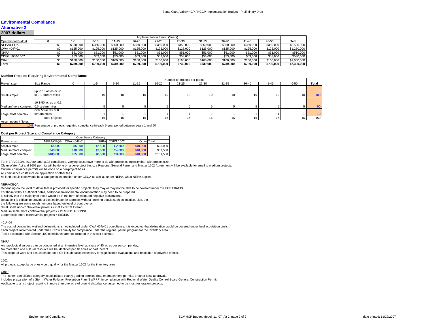#### **Environmental Compliance**

## **Alternative 2**

#### **2007 dollars**

|                           | Implementation Period (Years) |           |           |           |           |           |           |           |           |           |           |             |  |  |
|---------------------------|-------------------------------|-----------|-----------|-----------|-----------|-----------|-----------|-----------|-----------|-----------|-----------|-------------|--|--|
| <b>Operational Budget</b> |                               | 1-5       | 6-10      | $1 - 15$  | 16-20     | $21 - 25$ | 26-30     | 31-35     | 36-40     | 41-45     | 46-50     | Total       |  |  |
| NEPA/CEQA                 | 50                            | \$350,000 | \$350,000 | \$350,000 | \$350,000 | \$350.000 | \$350,000 | \$350,000 | \$350,000 | \$350,000 | \$350,000 | \$3,500,000 |  |  |
| CWA 404/401               | \$0                           | \$125,000 | \$125,000 | \$125,000 | \$125,000 | \$125.000 | \$125.000 | \$125,000 | \$125,000 | \$125,000 | \$125,000 | \$1,250,000 |  |  |
| <b>NHPA</b>               | \$0                           | \$51,000  | \$51,000  | \$51,000  | \$51,000  | \$51,000  | \$51,000  | \$51,000  | \$51,000  | \$51,000  | \$51,000  | \$510,000   |  |  |
| CDFG 1600-1607            |                               | \$53,000  | \$53,000  | \$53,000  | \$53,000  | \$53,000  | \$53,000  | \$53,000  | \$53,000  | \$53,000  | \$53,000  | \$530,000   |  |  |
| Other                     | \$0                           | \$160,000 | \$160.000 | \$160,000 | \$160,000 | \$160,000 | \$160,000 | \$160,000 | \$160,000 | \$160,000 | \$160,000 | \$1,600,000 |  |  |
| Total                     | \$0                           | \$739.000 | \$739.000 | \$739.000 | \$739.000 | \$739.000 | \$739.000 | \$739.000 | \$739.000 | \$739.000 | \$739,000 | \$7,390,000 |  |  |

#### **Number Projects Requiring Environmental Compliance**

|                                      |                                                               | Number of projects per period |                 |           |       |           |       |                 |                 |           |                 |                        |
|--------------------------------------|---------------------------------------------------------------|-------------------------------|-----------------|-----------|-------|-----------|-------|-----------------|-----------------|-----------|-----------------|------------------------|
| Project size                         | Size Range                                                    | -5                            | $6 - 10$        | $11 - 15$ | 16-20 | $21 - 25$ | 26-30 | 31-35           | 36-40           | $41 - 45$ | 46-50           | Total                  |
| Small/simple                         | up to 10 acres or up<br>to 0.1 stream miles                   | 10                            | 10              | 10        | 10    | 10        | 10    | 10 <sub>1</sub> | 10 <sup>1</sup> | 10        | 10 <sub>1</sub> | 100                    |
| Medium/more complex 0.5 stream miles | 10.1-50 acres or 0.1                                          |                               |                 |           |       |           |       |                 |                 |           |                 | 50                     |
| Large/most complex                   | over 50 acres or 0.5<br>stream miles<br><b>Total projects</b> | 16 <sub>1</sub>               | 16 <sub>1</sub> | 16        | 16    |           | 16    | 16              | 16              | 16        | 16              | 10 <sub>1</sub><br>160 |

Assumptions / Notes:

10% Percentage of projects requiring compliance in each 5-year period between years 1 and 50

#### **Cost per Project Size and Compliance Category**

|                     |           | Compliance Category |             |                  |             |           |  |  |  |  |  |  |
|---------------------|-----------|---------------------|-------------|------------------|-------------|-----------|--|--|--|--|--|--|
| Project size        | NEPA/CEQA | CWA 404/401         | <b>NHPA</b> | <b>CDFG 1602</b> | Other Total |           |  |  |  |  |  |  |
| Small/simple        | \$5,000   | \$5,000             | \$2,500     | \$2,500          | \$10,000    | \$25,000  |  |  |  |  |  |  |
| Medium/more complex | \$40,000  | \$10,000            | \$3,500     | \$4,000          | \$10,000    | \$67,500  |  |  |  |  |  |  |
| Large/most complex  | \$100,000 | \$25,000            | \$8,500     | \$8,000          | \$10,000    | \$151.500 |  |  |  |  |  |  |

For NEPA/CEQA, 401/404 and 1602 compliance, varying costs have more to do with project complexity than with project size.

Clean Water Act and 1602 permits will be done on a per-project basis; a Regional General Permit and Master 1602 Agreement will be available for small to medium projects.

Cultural compliance permits will be done on a per-project basis.

All compliance costs include application or other fees

All land acquisitions would be a categorical exemption under CEQA as well as under NEPA, when NEPA applies.

#### NEPA/CEQA

Depending on the level of detail that is provided for specific projects, they may or may not be able to be covered under the HCP EIR/EIS.

For those without sufficient detail, additional environmental documentation may need to be prepared.

It is likely that the majority of those would be in the form of mitigated negative declarations.

Because it is difficult to provide a cost estimate for a project without knowing details such as location, size, etc.,

the following are some rough numbers based on level of controversy:

Small scale non-controversial projects = Cat Excl/Cat Exemp

Medium scale more controversial projects = IS MND/EA FONSI

Larger scale more controversial projects = EIR/EIS

#### 401/404

 The cost of conducting wetland delineations is not included under CWA 404/401 compliance; it is expected that delineation would be covered under land acquisition costs. Each project implemented under the HCP will qualify for compliance under the regional permit program for the inventory area Tasks associated with Section 402 compliance are not included in this cost estimate.

#### NHPA

Archaeological surveys can be conducted at an intensive level at a rate of 40 acres per person per day. No more than one cultural resource will be identified per 40 acres or part thereof. This scope of work and cost estimate does not include tasks necessary for significance evaluations and resolution of adverse effects.

#### 1602

All projects except large ones would qualify for the Master 1602 for the inventory area

#### **Other**

 The "other" compliance category could include county grading permits, road encroachment permits, or other local approvals. Includes preparation of a Storm Water Pollution Prevention Plan (SWPPP) in compliance with Regional Water Quality Control Board General Construction Permit. Applicable to any project resulting in more than one acre of ground disturbance, assumed to be most restoration projects.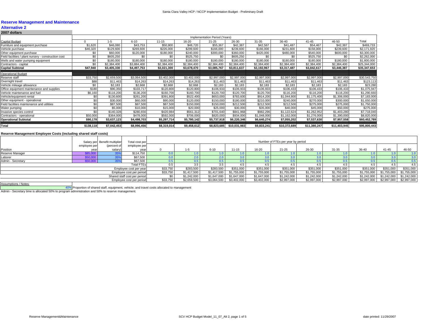## **Alternative 2 2007 dollars**

|                                                      | Implementation Period (Years) |             |             |             |             |             |              |             |              |              |              |              |
|------------------------------------------------------|-------------------------------|-------------|-------------|-------------|-------------|-------------|--------------|-------------|--------------|--------------|--------------|--------------|
| Capital Budget                                       |                               | $1 - 5$     | $6 - 10$    | $11 - 15$   | 16-20       | $21 - 25$   | 26-30        | $31 - 35$   | 36-40        | $41 - 45$    | 46-50        | Total        |
| Furniture and equipment purchase                     | \$1,620                       | \$46,080    | \$43,753    | \$50,900    | \$48,720    | \$55,367    | \$42,387     | \$42.567    | \$41,487     | \$54.467     | \$42,387     | \$469,733    |
| Vehicle purchase                                     | \$46,320                      | \$129,600   | \$269,600   | \$226,000   | \$299,600   | \$166,000   | \$239,600    | \$166,000   | \$231,600    | \$158,000    | \$239,600    | \$2,171,920  |
| Other equipment purchase                             | \$0                           | \$60,000    | \$120,000   | \$180,000   | \$240,000   | \$300,000   | \$360,000    | \$420,000   | \$480,000    | \$540,000    | \$600,000    | \$3,300,000  |
| Field facilities / plant nursery - construction cost | \$0                           | \$605,250   | \$0         | \$0         | \$525,750   | \$0         | \$605,250    | \$0         | \$0          | \$525,750    | \$0          | \$2,262,000  |
| Wells and water pumping equipment                    | \$0                           | \$180,000   | \$180,000   | \$180,000   | \$180,000   | \$180,000   | \$180,000    | \$180,000   | \$180,000    | \$180,000    | \$180,000    | \$1,800,000  |
| Contractors - capital                                | \$0                           | \$2,384,400 | \$3,884,400 | \$2,384,400 | \$2,384,400 | \$2,384,400 | \$2,384,400  | \$2,384,400 | \$2,384,400  | \$2,384,400  | \$2,384,400  | \$25,344,000 |
| <b>Capital Subtotal</b>                              | \$47,940                      | \$3,405,330 | \$4,497,753 | \$3,021,300 | \$3,678,470 | \$3,085,767 | \$3,811,637  | \$3,192,967 | \$3,317,487  | \$3,842,617  | \$3,446,387  | \$35,347,653 |
| <b>Operational Budget</b>                            |                               |             |             |             |             |             |              |             |              |              |              |              |
| Reserve staff                                        | \$33,750                      | \$2,659,500 | \$3,064,500 | \$3,402,000 | \$3,402,000 | \$2,997,000 | \$2,997,000  | \$2,997,000 | \$2,997,000  | \$2,997,000  | \$2,997,000  | \$30,543,750 |
| Overnight travel                                     | \$88                          | \$11,463    | \$14,263    | \$14,263    | \$14,263    | \$11,463    | \$11,463     | \$11,463    | \$11,463     | \$11,463     | \$11,463     | \$123,113    |
| Vehicle mileage allowance                            | \$0                           | \$2,183     | \$2,668     | \$2,668     | \$2,668     | \$2,183     | \$2,183      | \$2,183     | \$2,183      | \$2,183      | \$2,183      | \$23,280     |
| Office equipment maintenance and supplies            | \$180                         | \$90,350    | \$103,717   | \$120,800   | \$120,800   | \$106,933   | \$106,933    | \$106,933   | \$106,433    | \$106,433    | \$106,433    | \$1,075,947  |
| Vehicle maintenance and fuel                         | \$6,160                       | \$116,200   | \$136,200   | \$160,700   | \$160,700   | \$120,700   | \$120,700    | \$120,700   | \$116,200    | \$116,200    | \$116,200    | \$1,290,660  |
| Vehicle/equipment rental                             | \$0                           | \$130,600   | \$261,200   | \$391,800   | \$522,400   | \$653,000   | \$783,600    | \$914,200   | \$1,044,800  | \$1,175,400  | \$1,306,000  | \$7,183,000  |
| Other equipment - operational                        | \$0                           | \$30,000    | \$60,000    | \$90,000    | \$120,000   | \$150,000   | \$180,000    | \$210,000   | \$240,000    | \$270,000    | \$300,000    | \$1,650,000  |
| Field facilities maintenance and utilities           | \$0                           | \$87,500    | \$87,500    | \$87,500    | \$150,000   | \$150,000   | \$212,500    | \$212,500   | \$212,500    | \$275,000    | \$275,000    | \$1,750,000  |
| Water pumping                                        | \$0                           | \$5,000     | \$10,000    | \$15,000    | \$20,000    | \$25,000    | \$30,000     | \$35,000    | \$40,000     | \$45,000     | \$50,000     | \$275,000    |
| Invasive species control                             | \$0                           | \$140,328   | \$280,656   | \$420,984   | \$561,312   | \$701,640   | \$841,968    | \$982,296   | \$1,122,624  | \$1,262,952  | \$1,403,280  | \$7,718,040  |
| Contractors - operational                            | \$50,000                      | \$364,000   | \$478,000   | \$592,000   | \$706,000   | \$820,000   | \$934,000    | \$1,048,000 | \$1,162,000  | \$1,276,000  | \$1,390,000  | \$8,820,000  |
| <b>Operational Subtotal</b>                          | \$90,178                      | \$3,637,123 | \$4,498,703 | \$5,297,714 | \$5,780,142 | \$5,737,918 | \$6,220,346  | \$6,640,274 | \$7,055,202  | \$7,537,630  | \$7,957,558  | \$60,452,789 |
| <b>Total</b>                                         | \$138,118                     | \$7,042,453 | \$8,996,456 | \$8,319,014 | \$9,458,612 | \$8,823,685 | \$10,031,983 | \$9,833,241 | \$10,372,689 | \$11,380,247 | \$11,403,945 | \$95,800,443 |
|                                                      |                               |             |             |             |             |             |              |             |              |              |              |              |

#### **Reserve Management Employee Costs (including shared staff costs)**

|                   | employee per | Salary per Benefit multiplier<br>(percent of | Total cost per<br>employee per |          |             |             |             |             | Number of FTEs per year by period |             |             |             |                         |             |
|-------------------|--------------|----------------------------------------------|--------------------------------|----------|-------------|-------------|-------------|-------------|-----------------------------------|-------------|-------------|-------------|-------------------------|-------------|
| Position          | yea          | salary)                                      | year                           |          | 1-5         | $6 - 10$    | $11 - 15$   | 16-20       | $21 - 25$                         | 26-30       | $31 - 35$   | 36-40       | $41 - 45$               | 46-50       |
| Reserve Manager   | \$85,00      |                                              | \$114,750                      |          |             |             |             |             |                                   |             |             |             |                         |             |
| Laborer           | \$50,000     |                                              | \$67,500                       |          |             |             |             |             |                                   |             |             |             |                         |             |
| Admin - Secretary | \$50,00      |                                              | \$67,500                       |          |             |             |             |             |                                   |             |             |             |                         |             |
|                   |              |                                              | <b>Total FTEs</b>              | 0.5      |             | 3.5         |             |             | 4.5                               |             | 4.5         | 4.5         | 4.5                     | 4.5         |
|                   |              |                                              | Employee cost per year         | \$33,750 | \$283,500   | \$283,500   | \$351,000   | \$351,000   | \$351,000                         | \$351,000   | \$351,000   | \$351,000   | \$351,000               | \$351,000   |
|                   |              |                                              | Employee cost per period       | \$33,750 | \$1,417,500 | \$1,417,500 | \$1,755,000 | \$1,755,000 | \$1,755,000                       | \$1,755,000 | \$1,755,000 | \$1,755,000 | \$1,755,000             | \$1,755,000 |
|                   |              |                                              | Shared staff cost per period   |          | \$1,242,000 | \$1,647,000 | \$1,647,000 | \$1,647,000 | \$1,242,000                       | \$1,242,000 | \$1,242,000 | \$1,242,000 | \$1,242,000             | \$1,242,000 |
|                   |              |                                              | Employee cost per period       | \$33,750 | \$2,659,500 | \$3,064,500 | \$3,402,000 | \$3,402,000 | \$2,997,000                       | \$2,997,000 | \$2,997,000 | \$2,997,000 | \$2,997,000 \$2,997,000 |             |
| $A = 1$           |              |                                              |                                |          |             |             |             |             |                                   |             |             |             |                         |             |

ssumptions / Notes

40% Proportion of shared staff, equipment, vehicle, and travel costs allocated to management Admin - Secretary time is allocated 50% to program administration and 50% to reserve management.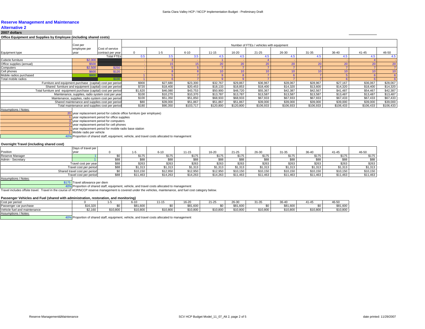### **Alternative 2**

**2007 dollars**

#### **Office Equipment and Supplies by Employee (including shared costs)**

| Office Equipment and Supplies by Employee (including shared costs) |                                                     |                                                          |         |          |           |           |                 |                                          |           |                  |           |           |           |
|--------------------------------------------------------------------|-----------------------------------------------------|----------------------------------------------------------|---------|----------|-----------|-----------|-----------------|------------------------------------------|-----------|------------------|-----------|-----------|-----------|
|                                                                    | Cost per                                            |                                                          |         |          |           |           |                 | Number of FTEs / vehicles with equipment |           |                  |           |           |           |
|                                                                    | employee per                                        | Cost of service                                          |         |          |           |           |                 |                                          |           |                  |           |           |           |
| Equipment type                                                     | vear                                                | contract per year                                        |         | $1 - 5$  | $6 - 10$  | $11 - 15$ | 16-20           | $21 - 25$                                | 26-30     | $31 - 35$        | $36-40$   | $41 - 45$ | 46-50     |
|                                                                    |                                                     | <b>Total FTEs</b>                                        | 0.5     | 3.5      | 3.5       |           |                 |                                          |           |                  |           |           |           |
| Cubicle furniture                                                  | \$2,000                                             |                                                          |         |          |           |           |                 |                                          |           |                  |           |           |           |
| Office supplies (annual)                                           | \$500                                               |                                                          |         |          |           | 20        | 20 <sup>1</sup> | 20                                       | 20        | $\overline{2}$ C | 20        | 20        | 20        |
| Computers                                                          | \$2,500                                             | \$250                                                    |         |          |           |           |                 |                                          |           |                  |           |           |           |
| Cell phones                                                        | \$600                                               | \$120                                                    |         |          |           |           |                 |                                          |           |                  |           |           | 10        |
| Mobile radios purchased                                            | \$900                                               |                                                          |         |          |           |           |                 |                                          |           |                  |           |           |           |
| Total mobile radios                                                |                                                     |                                                          |         |          |           |           |                 |                                          |           |                  |           |           |           |
| Furniture and equipment purchase (capital) cost per period         |                                                     |                                                          | \$900   | \$27.680 | \$23,300  | \$32,767  | \$29,867        | \$36,967                                 | \$28.067  | \$28.967         | \$27,167  | \$36,067  | \$28,067  |
|                                                                    |                                                     | Shared furniture and equipment (capital) cost per period | \$720   | \$18,400 | \$20,453  | \$18,133  | \$18,853        | \$18,400                                 | \$14,320  | \$13,600         | \$14,320  | \$18,400  | \$14,320  |
| Total furniture and equipment purchase (capital) cost per period   |                                                     |                                                          | \$1,620 | \$46,080 | \$43,753  | \$50,900  | \$48,720        | \$55,367                                 | \$42,387  | \$42,567         | \$41,487  | \$54,467  | \$42,387  |
|                                                                    |                                                     | Maintenance, supplies, radio system cost per year        | \$100   | \$10,270 | \$10,370  | \$13,787  | \$13,787        | \$13,587                                 | \$13,587  | \$13,587         | \$13,487  | \$13,487  | \$13,487  |
|                                                                    | Maintenance, supplies, radio system cost per period |                                                          | \$100   | \$51,350 | \$51,850  | \$68,933  | \$68,933        | \$67.933                                 | \$67.933  | \$67.933         | \$67,433  | \$67,433  | \$67,433  |
|                                                                    |                                                     | Shared maintenance and supplies cost per period          | \$80    | \$39,000 | \$51,867  | \$51,867  | \$51,867        | \$39,000                                 | \$39,000  | \$39,000         | \$39,000  | \$39,000  | \$39,000  |
|                                                                    |                                                     | Total maintenance and supplies cost per period           | \$180   | \$90,350 | \$103,717 | \$120,800 | \$120,800       | \$106,933                                | \$106,933 | \$106,933        | \$106,433 | \$106,433 | \$106,433 |
| Assumptions / Notes:                                               |                                                     |                                                          |         |          |           |           |                 |                                          |           |                  |           |           |           |

#### Assumptions / Notes:

 20 year replacement period for cubicle office furniture (per employee) year replacement period for office supplies 3 year replacement period for computers 2 year replacement period for cell phones 1 year replacement period for mobile radio base station

 $\overline{1}$ 

Mobile radio per vehicle

40% Proportion of shared staff, equipment, vehicle, and travel costs allocated to management

#### **Overnight Travel (including shared cost)**

|                      | Days of travel per            |      |          |          |           |          |           |          |           |          |           |          |
|----------------------|-------------------------------|------|----------|----------|-----------|----------|-----------|----------|-----------|----------|-----------|----------|
| Position             | vear                          |      |          | $6 - 10$ | $11 - 15$ | 16-20    | $21 - 25$ | 26-30    | $31 - 35$ | 36-40    | $41 - 45$ | 46-50    |
| Reserve Manager      |                               |      | \$175    | \$175    | \$175     | \$175    | \$175     | \$175    | \$175     | \$175    | \$175     | \$175    |
| Admin - Secretary    |                               |      | \$88     | \$88     | \$88      | \$88     | \$88      | \$88     | \$88      | \$88     | \$88      | \$88     |
|                      | Travel cost per year          | \$88 | \$263    | \$263    | \$263     | \$263    | \$263     | \$263    | \$263     | \$263    | \$263     | \$263    |
|                      | Travel cost per period        | \$88 | \$1,313  | \$1,313  | \$1,313   | \$1,313  | \$1,313   | \$1,313  | \$1,313   | \$1,313  | \$1,313   | \$1,313  |
|                      | Shared travel cost per period |      | \$10,150 | \$12,950 | \$12,950  | \$12,950 | \$10,150  | \$10,150 | \$10,150  | \$10,150 | \$10,150  | \$10,150 |
|                      | Travel cost per period        | \$88 | \$11,463 | \$14,263 | \$14,263  | \$14.263 | \$11,463  | \$11,463 | \$11,463  | \$11.463 | \$11,463  | \$11,463 |
| Assumptions / Notes: |                               |      |          |          |           |          |           |          |           |          |           |          |

\$175 Travel allowance per diem

40% Proportion of shared staff, equipment, vehicle, and travel costs allocated to management

Travel includes offsite travel. Travel in the course of HCP/NCCP reserve management is covered under the vehicles, maintenance, and fuel cost category below.

#### **Passenger Vehicles and Fuel (shared with administration, restoration, and monitoring)**

| Cost per period                   |                         |          |          | 1 - L    | $\sim$ $\sim$<br>16-2) | $-10-1$<br>: 1-20 | 0000<br>26-31      | $\sim$ $\sim$<br>11-3. | 26.40    | 1 – 4    | 10 F                                    |
|-----------------------------------|-------------------------|----------|----------|----------|------------------------|-------------------|--------------------|------------------------|----------|----------|-----------------------------------------|
| Passenger car purchase            | \$16,320                |          | \$81,600 |          | \$8160<br>JUU, I UU    | ΦO.               | 0.0100<br>000. ا د |                        | \$81,600 |          | $\sim$ $\sim$ $\sim$<br>ጦባብ<br>טט, ו טי |
| Vehicle fuel and maintenance      | .<br>1 L I V<br>z. i ou | \$10,800 | \$10,800 | \$10,800 | \$10,800               | \$10,800          | \$10,800           | \$10,800               | \$10,800 | \$10,800 | 0.0000<br>.                             |
| the company's company's company's |                         |          |          |          |                        |                   |                    |                        |          |          |                                         |

Assumptions / Notes:

40% Proportion of shared staff, equipment, vehicle, and travel costs allocated to management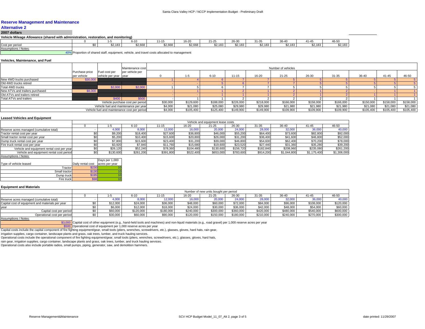### **Alternative 2**

#### **2007 dollars**

#### **Vehicle Mileage Allowance (shared with administration, restoration, and monitoring)**

|                 |         | $6 - 10$ | 11-15   | 16-20   | $\sim$ $\sim$<br>$1 - \epsilon$ | 26-30   | 04.05<br>-31-31          | 36-40   | 41-45             | 46-50                |
|-----------------|---------|----------|---------|---------|---------------------------------|---------|--------------------------|---------|-------------------|----------------------|
| Cost per period | \$2,183 | \$2,668  | \$2,668 | \$2,668 | 00000<br>,∟ب                    | \$2,183 | 0.100<br><b>JAN 1992</b> | \$2,183 | @2402<br>94. I OC | 0010<br>۰ تک ۲۰۰۰ تا |
|                 |         |          |         |         |                                 |         |                          |         |                   |                      |

Assumptions / Notes:

40%Proportion of shared staff, equipment, vehicle, and travel costs allocated to management

#### **Vehicles, Maintenance, and Fuel**

|                                 |                |                       | Maintenance cost                             |          | Number of vehicles |           |           |           |           |           |           |           |           |           |
|---------------------------------|----------------|-----------------------|----------------------------------------------|----------|--------------------|-----------|-----------|-----------|-----------|-----------|-----------|-----------|-----------|-----------|
|                                 | Purchase price | Fuel cost per         | per vehicle per                              |          |                    |           |           |           |           |           |           |           |           |           |
|                                 | per vehicle    | vehicle per year year |                                              |          | 1-5                | $6 - 10$  | $11 - 15$ | 16-20     | $21 - 25$ | 26-30     | $31 - 35$ | 36-40     | $41 - 45$ | 46-50     |
| New 4WD trucks purchased        | \$30,000       |                       |                                              |          |                    |           |           |           |           |           |           |           |           |           |
| Old 4WD trucks retired          |                |                       |                                              |          |                    |           |           |           |           |           |           |           |           |           |
| Total 4WD trucks                |                | \$2,000               | \$2,000                                      |          |                    |           |           |           |           |           |           |           |           |           |
| New ATVs and trailers purchased | \$8,000        |                       |                                              |          |                    |           |           |           |           |           |           |           |           |           |
| Old ATVs and trailers retired   |                |                       |                                              |          |                    |           |           |           |           |           |           |           |           |           |
| Total ATVs and trailers         |                | \$400                 | \$500                                        |          |                    |           |           |           |           |           |           |           |           |           |
|                                 |                |                       | Vehicle purchase cost per period             | \$30,000 | \$129,600          | \$188,000 | \$226,000 | \$218,000 | \$166,000 | \$158,000 | \$166,000 | \$150,000 | \$158,000 | \$158,000 |
|                                 |                |                       | Vehicle fuel and maintenance per year        | \$4,000  | \$21,080           | \$25,080  | \$29,980  | \$29.980  | \$21,980  | \$21,980  | \$21,980  | \$21,080  | \$21,080  | \$21,080  |
|                                 |                |                       | Vehicle fuel and maintenance cost per period | \$4,000  | \$105,400          | \$125,400 | \$149,900 | \$149,900 | \$109,900 | \$109,900 | \$109,900 | \$105,400 | \$105,400 | \$105,400 |

#### **Leased Vehicles and Equipment**

|                                            |           |           |           |           | Vehicle and equipment lease costs |           |           |             |             |             |
|--------------------------------------------|-----------|-----------|-----------|-----------|-----------------------------------|-----------|-----------|-------------|-------------|-------------|
|                                            |           | $6 - 10$  | $11 - 15$ | 16-20     | 21-25                             | 26-30     | $31 - 35$ | 36-40       | $41 - 45$   | 46-50       |
| Reserve acres managed (cumulative total)   |           | 9,000     | 12,000    | 6,000     | 20,000                            | 24,000    | 28,000    | 32,000      | 36,000      | 40,000      |
| Tractor rental cost per year               | \$9,200   | \$18,400  | \$27,600  | \$36,800  | \$46,000                          | \$55,200  | \$64,400  | \$73,600    | \$82,800    | \$92,000    |
| Small tractor rental cost per year         | \$5,200   | \$10,400  | \$15,600  | \$20,800  | \$26,000                          | \$31,200  | \$36,400  | \$41,600    | \$46,800    | \$52,000    |
| Dump truck rental cost per year            | \$7,800   | \$15,600  | \$23,400  | \$31,200  | \$39,000                          | \$46,800  | \$54,600  | \$62,400    | \$70,200    | \$78,000    |
| Fire truck rental cost per year            | \$3,920   | \$7,840   | \$11,760  | \$15,680  | \$19,600                          | \$23,520  | \$27,440  | \$31,360    | \$35,280    | \$39,200    |
| Vehicle and equipment rental cost per year | \$26,120  | \$52,240  | \$78,360  | \$104,480 | \$130,600                         | \$156,720 | \$182,840 | \$208,960   | \$235,080   | \$261,200   |
| Vehicle and equipment rental cost period   | \$130,600 | \$261,200 | \$391,800 | \$522,400 | \$653,000                         | \$783,600 | \$914,200 | \$1,044,800 | \$1,175,400 | \$1,306,000 |
| Accumptione / Notae:                       |           |           |           |           |                                   |           |           |             |             |             |

|                        |                   | Days per 1,000 |
|------------------------|-------------------|----------------|
| Type of vehicle leased | Daily rental cost | acres per vear |
| Tractor                | \$230             |                |
| Small tractor          | \$130             |                |
| Dump truck             | \$195             |                |
| Fire truck             | \$98              |                |

#### **Equipment and Materials**

|                                                  | Number of new units bought per period |           |           |           |           |           |           |           |           |           |  |  |
|--------------------------------------------------|---------------------------------------|-----------|-----------|-----------|-----------|-----------|-----------|-----------|-----------|-----------|--|--|
|                                                  | -၁                                    | $6 - 10$  | 11-15     | 16-20     | $21 - 25$ | $26 - 30$ | $31 - 35$ | 36-40     | $41 - 45$ | 46-50     |  |  |
| Reserve acres managed (cumulative total)         |                                       |           | 12,000    |           | 20,000    | 24.000    | 28,000    | 32,000    | 36,000    | 40,000    |  |  |
| Capital cost of equipment and materials per year | \$12,000                              | \$24,000  | \$36,000  | \$48,000  | \$60,000  | \$72,000  | \$84,000  | \$96,000  | \$108,000 | \$120,000 |  |  |
| year                                             | \$6,000                               | \$12,000  | \$18,000  | \$24,000  | \$30,000  | \$36,000  | \$42,000  | \$48,000  | \$54,000  | \$60,000  |  |  |
| Capital cost per period                          | \$60,000                              | \$120,000 | \$180,000 | \$240,000 | \$300,000 | \$360,000 | \$420,000 | \$480,000 | \$540,000 | \$600,000 |  |  |
| Operational cost per period                      | \$30,000                              | \$60,000  | \$90,000  | \$120,000 | \$150,000 | \$180,000 | \$210,000 | \$240,000 | \$270,000 | \$300,000 |  |  |
| Assumptions / Notes:                             |                                       |           |           |           |           |           |           |           |           |           |  |  |

\$3,000 Capital cost of other equipment (e.g., hand-held tools and machines) and non-liquid materials (e.g., road gravel) per 1,000 reserve acres per year

\$500 Operational cost of equipment per 1,000 reserve acres per year

Capital costs include the capital component of fire fighting equipment/gear, small tools (pliers, wrenches, screwdrivers, etc.), glasses, gloves, hard hats, rain gear,

irrigation supplies, cargo container, landscape plants and grass, oak trees, lumber, and truck hauling services.

Operational costs include the operational component of fire fighting equipment/gear, small tools (pliers, wrenches, screwdrivers, etc.), glasses, gloves, hard hats,

rain gear, irrigation supplies, cargo container, landscape plants and grass, oak trees, lumber, and truck hauling services.

Operational costs also include portable radios, small pumps, piping, generator, saw, and demolition hammers.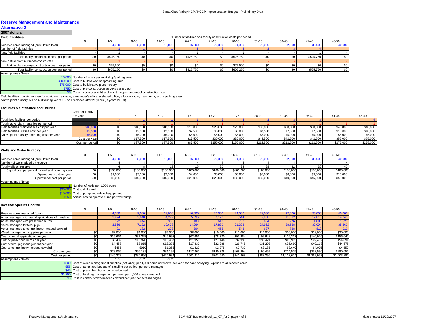#### **Alternative 22007 dollars**

| LUVI UVIIUIJ                                     |           |          |           |           |                                                                 |           |           |           |           |        |
|--------------------------------------------------|-----------|----------|-----------|-----------|-----------------------------------------------------------------|-----------|-----------|-----------|-----------|--------|
| <b>Field Facilities</b>                          |           |          |           |           | Number of facilities and facility construction costs per period |           |           |           |           |        |
|                                                  |           | $6 - 10$ | $11 - 15$ | 16-20     | $21 - 25$                                                       | 26-30     | $31 - 35$ | $36 - 40$ | $41 - 45$ | 46-50  |
| Reserve acres managed (cumulative total)         |           | 8,000    | 12,000    | 16,000    | 20,000                                                          | 24,000    | 28,000    | 32,000    | 36,000    | 40,000 |
| Number of field facilities                       |           |          |           |           |                                                                 |           |           |           |           |        |
| New field facilities                             |           |          |           |           |                                                                 |           |           |           |           |        |
| Field faciliy construction cost per period       | \$525.750 | \$0      | \$0       | \$525,750 | \$0                                                             | \$525,750 |           |           | \$525,750 | \$0    |
| New native plant nurseries constructed           |           |          |           |           |                                                                 |           |           |           |           |        |
| Native plant nurery construction cost per period | \$79,500  |          |           |           |                                                                 | \$79,500  |           |           |           |        |
| Total facility construction cost per period      | \$605,250 |          |           | \$525,750 |                                                                 | \$605,250 |           |           | \$525,750 | \$0    |

Assumptions / Notes:

10,000 Number of acres per workshop/parking area

\$500,000 Cost to build a workshop/parking area

\$75,000 Cost to build native plant nursery

\$750 Cost of pre-construction surveys per project

5% Construction oversight and monitoring as percent of construction cost

Field facilities contain an area for equipment storage, a manager's office, a shared office, a locker room, restrooms, and a parking area.

Native plant nursery will be built during years 1-5 and replaced after 25 years (in years 26-30)

#### **Facilities Maintenance and Utilities**

|                                              | Cost per facility |          |          |           |           |           |           |           |           |           |           |
|----------------------------------------------|-------------------|----------|----------|-----------|-----------|-----------|-----------|-----------|-----------|-----------|-----------|
|                                              | per year          | 1-5      | $6 - 10$ | $11 - 15$ | 16-20     | $21 - 25$ | $26 - 30$ | $31 - 35$ | 36-40     | $41 - 45$ | 46-50     |
| Total field facilities per period            |                   |          |          |           |           |           |           |           |           |           |           |
| Total native plant nurseries per period      |                   |          |          |           |           |           |           |           |           |           |           |
| Field facilities maintenance cost per year   | \$10,000          | \$10,000 | \$10,000 | \$10,000  | \$20,000  | \$20,000  | \$30,000  | \$30,000  | \$30,000  | \$40,000  | \$40,000  |
| Field facilities utilities cost per year     | \$2,500           | \$2,500  | \$2,500  | \$2,500   | \$5.000   | \$5,000   | \$7,500   | \$7,500   | \$7,500   | \$10,000  | \$10,000  |
| Native plant nursery operating cost per year | \$5,000           | \$5,000  | \$5,000  | \$5,000   | \$5.000   | \$5.000   | \$5,000   | \$5.000   | \$5,000   | \$5,000   | \$5,000   |
|                                              | Cost per year     | \$17,500 | \$17,500 | \$17,500  | \$30,000  | \$30,000  | \$42,500  | \$42,500  | \$42,500  | \$55,000  | \$55,000  |
|                                              | Cost per period   | \$87,500 | \$87,500 | \$87,500  | \$150,000 | \$150,000 | \$212,500 | \$212,500 | \$212,500 | \$275,000 | \$275,000 |

#### **Wells and Water Pumping**

|                                                  |           | $6 - 10$  | $11 - 15$ | 16-20     | $21 - 25$ | 26-30     | 31-35     | $36 - 40$ | $41 - 45$ | 46-50     |
|--------------------------------------------------|-----------|-----------|-----------|-----------|-----------|-----------|-----------|-----------|-----------|-----------|
| Reserve acres managed (cumulative total)         |           | 8,000     | 12,000    | 6.00      | 20,000    | 24.00     | 28,00     | 32,000    |           | 10,000    |
| Number of wells added on reserve                 |           |           |           |           |           |           |           |           |           |           |
| Total wells on reserve                           |           |           |           |           |           |           |           |           |           | 40        |
| Capital cost per period for well and pump system | \$180.000 | \$180,000 | \$180,000 | \$180,000 | \$180,000 | \$180,000 | \$180,000 | \$180,000 | \$180,000 | \$180,000 |
| Operational cost per vear                        | 1,000     | \$2,000   | \$3,000   | \$4,000   | \$5,000   | \$6,000   | \$7,000   | \$8,000   | \$9,000   | \$10,000  |
| Operational cost per period                      | \$5,000   | \$10,000  | \$15.000  | \$20,000  | \$25,000  | \$30,000  | \$35,000  | \$40,000  | \$45,000  | \$50,000  |

Assumptions / Notes:

11 Number of wells per 1,000 acres<br>\$30,000 Cost to drill a well

Cost to drill a well

\$15,000 Cost of pump and related equipment

\$250 Annual cost to operate pump per well/pump.

#### **Invasive Species Control**

|                                                     | 1-5       | $6 - 10$  | $11 - 15$ | 16-20     | $21 - 25$ | 26-30     | 31-35     | 36-40       | $41 - 45$   | 46-50       |
|-----------------------------------------------------|-----------|-----------|-----------|-----------|-----------|-----------|-----------|-------------|-------------|-------------|
| Reserve acres managed (total)                       | 4.000     | 8,000     | 12,000    | 16,000    | 20.000    | 24,000    | 28.000    | 32,000      | 36,000      | 40,000      |
| Acres managed with aerial applications of transline | 1.424     | 2,848     | 4,272     | 5,696     | 7,120     | 8.544     | 9,968     | 11,392      | 12,816      | 14,240      |
| Acres managed with prescribed burns                 | 122       | 244       | 366       | 488       | 610       | 732       | 854       | 976         | 1,098       | 1,220       |
| Acres managed for feral pigs                        | 3.566     | 7,132     | 10.698    | 14,264    | 17.830    | 21,396    | 24,962    | 28,528      | 32,094      | 35,660      |
| Acres managed to control brown-headed cowbird       | 91        | 182       | 273       | 364       | 455       | 546       | 637       | 728         | 819         | 910         |
| Weed management supplies per year                   | \$2,000   | \$4,000   | \$6,000   | \$8,000   | \$10,000  | \$12,000  | \$14,000  | \$16,000    | \$18,000    | \$20,000    |
| Cost of aerial applications per year                | \$15.664  | \$31,328  | \$46,992  | \$62,656  | \$78,320  | \$93.984  | \$109.648 | \$125,312   | \$140,976   | \$156,640   |
| Cost of prescribed burns per year                   | \$5.489   | \$10,978  | \$16,467  | \$21,956  | \$27.446  | \$32,935  | \$38.424  | \$43,913    | \$49,402    | \$54,891    |
| Cost of feral pig management per year               | \$4,458   | \$8,915   | \$13,373  | \$17,830  | \$22,288  | \$26,745  | \$31,203  | \$35,660    | \$40,118    | \$44,575    |
| Cost to control brown headed cowbird                | \$455     | \$910     | \$1,365   | \$1,820   | \$2,275   | \$2,730   | \$3.185   | \$3,640     | \$4,095     | \$4,550     |
| Cost per year                                       | \$28,066  | \$56,131  | \$84.197  | \$112.262 | \$140.328 | \$168,394 | \$196.459 | \$224.525   | \$252,590   | \$280,656   |
| Cost per period                                     | \$140.328 | \$280.656 | \$420.984 | \$561.312 | \$701.640 | \$841.968 | \$982.296 | \$1.122.624 | \$1,262,952 | \$1,403,280 |

Assumptions / Notes: 7.02 7.02 7.02 7.02

\$500 Cost of weed management supplies (not labor) per 1,000 acres of reserve per year, for hand spraying. Applies to all reserve acres \$55 Cost of aerial applications of transline per period per acre managed

\$45 Cost of prescribed burns per acre burned

\$1,250 Cost of feral pig management per year per 1,000 acres managed \$5 Cost to control brown-headed cowbird per year per acre managed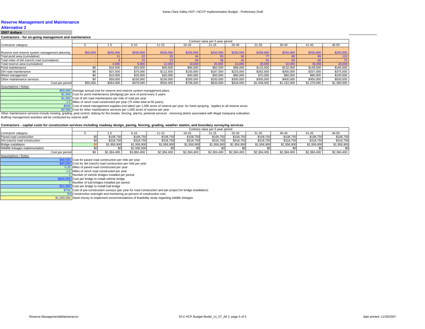### **Alternative 2**

#### **2007 dollars**

#### **Contractors - for on-going management and maintenance**

|                                                | Contract value per 5-year period |           |           |           |                 |           |           |             |             |             |             |  |  |
|------------------------------------------------|----------------------------------|-----------|-----------|-----------|-----------------|-----------|-----------|-------------|-------------|-------------|-------------|--|--|
| Contractor category                            |                                  |           | $6 - 10$  | $11 - 15$ | 16-20           | $21 - 25$ | $26 - 30$ | $31 - 35$   | 36-40       | $41 - 45$   | 46-50       |  |  |
|                                                |                                  |           |           |           |                 |           |           |             |             |             |             |  |  |
| Reserve and reserve system management planning | \$50,000                         | \$250,000 | \$250,000 | \$250,000 | \$250,000       | \$250,000 | \$250,000 | \$250,000   | \$250,000   | \$250,000   | \$250,000   |  |  |
| Total pond area (cumulative)                   |                                  |           | 22        | 33        |                 |           |           |             | 88          | 99          | 110         |  |  |
| Total miles of dirt (ranch) road (cumulative)  |                                  |           | 15        | 23        | 30 <sub>0</sub> | 38        | 45        | 53          | 60          | 68          |             |  |  |
| Total reserve area (cumulative)                |                                  | 4.000     | 8,000     | 12,000    | 16,000          | 20,000    | 24,000    | 28.000      | 32,000      | 36,000      | 40,000      |  |  |
| Pond maintenance                               | \$0                              | \$16,500  | \$33,000  | \$49,500  | \$66,000        | \$82,500  | \$99,000  | \$115,500   | \$132,000   | \$148,500   | \$165,000   |  |  |
| Dirt road maintenance                          | \$0                              | \$37,500  | \$75,000  | \$112,500 | \$150,000       | \$187,500 | \$225,000 | \$262,500   | \$300,000   | \$337,500   | \$375,000   |  |  |
| Weed management                                | \$0                              | \$10,000  | \$20,000  | \$30,000  | \$40,000        | \$50,000  | \$60,000  | \$70,000    | \$80,000    | \$90,000    | \$100,000   |  |  |
| Other maintenance services                     | \$0                              | \$50,000  | \$100,000 | \$150,000 | \$200,000       | \$250,000 | \$300,000 | \$350,000   | \$400,000   | \$450,000   | \$500,000   |  |  |
| Cost per period                                | \$50,000                         | \$364,000 | \$478,000 | \$592,000 | \$706.000       | \$820,000 | \$934.000 | \$1,048,000 | \$1,162,000 | \$1,276,000 | \$1,390,000 |  |  |

Assumptions / Notes:

| \$50,000 Average annual cost for reserve and reserve system management plans                                                            |
|-----------------------------------------------------------------------------------------------------------------------------------------|
| \$1,500 Cost for pond maintenance (dredging) per acre of pond every 5 years                                                             |
| \$1,000 Cost of dirt road maintenance per mile of road per year                                                                         |
| 1.5 Miles of ranch road constructed per year (75 miles total at 50 years)                                                               |
| \$500 Cost of weed management supplies (not labor) per 1,000 acres of reserve per year, for hand spraying. Applies to all reserve acres |

\$2,500 Cost for other maintenance services per 1,000 acres of reserve per year

Other maintenance services include mowing, grading, pest control, disking for fire breaks, fencing, alarms, janitorial services , removing debris associated with illegal marijuana cultivation.

Bullfrog management activities will be conducted by reserve staff.

#### **Contractors - capital costs for construction services including roadway design, paving, fencing, grading, weather station, and boundary surveying services**

|                                  |             |             |             |             | Contract value per 5-year period |             |             |             |             |             |
|----------------------------------|-------------|-------------|-------------|-------------|----------------------------------|-------------|-------------|-------------|-------------|-------------|
| Contractor category              |             | $6 - 10$    |             | 16-20       | $21 - 25$                        | 26-30       | $31 - 35$   | 36-40       | 41-45       | 46-50       |
| Paved road construction          | \$108,750   | \$108,750   | \$108,750   | \$108,750   | \$108,750                        | \$108,750   | \$108,750   | \$108,750   | \$108,750   | \$108,750   |
| Dirt (ranch) road construction   | \$318,750   | \$318.750   | \$318,750   | \$318.750   | \$318,750                        | \$318.750   | \$318,750   | \$318.750   | \$318,750   | \$318,750   |
| Bridge installation              | \$1,956,900 | \$1,956,900 | \$1,956,900 | \$1,956,900 | \$1.956.900                      | \$1.956.900 | \$1.956.900 | \$1,956,900 | \$1,956,900 | \$1,956,900 |
| Wildlife linkages implementation |             | \$1,500,000 |             |             |                                  |             |             |             |             |             |
| Cost per period                  | \$2,384,400 | \$3,884,400 | \$2,384,400 | \$2,384,400 | \$2,384,400                      | \$2,384,400 | \$2,384,400 | \$2,384,400 | \$2,384,400 | \$2,384,400 |
| $\cdots$                         |             |             |             |             |                                  |             |             |             |             |             |

| <b>MOOULING IS A LIGAL</b> |                                                                                                                 |
|----------------------------|-----------------------------------------------------------------------------------------------------------------|
|                            | \$80,000 Cost for paved road construction per mile per year                                                     |
|                            | \$40,000 Cost for dirt (ranch) road construction per mile per year                                              |
|                            | 0.25 Miles of paved road constructed per year                                                                   |
|                            | 1.5 Miles of ranch road constructed per year                                                                    |
|                            | 3 Number of vehicle bridges installed per period                                                                |
|                            | \$600,000 Cost per bridge to install vehicle bridge                                                             |
|                            | 3 Number of trail bridges installed per period                                                                  |
|                            | \$21,000 Cost per bridge to install trail bridge                                                                |
|                            | \$750 Cost of pre-construction surveys (per year for road construction and per project for bridge installation) |
|                            |                                                                                                                 |

5% Construction oversight and monitoring as percent of construction cost \$1,500,000 Seed money to implement recommendations of feasibility study regarding wildlife linkages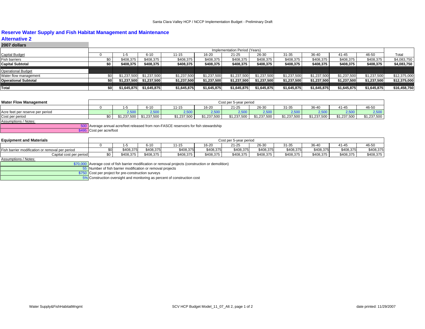## **Reserve Water Supply and Fish Habitat Management and Maintenance**

### **Alternative 2**

| 2007 dollars                |     |             |             |             |             |                               |             |             |             |             |             |              |
|-----------------------------|-----|-------------|-------------|-------------|-------------|-------------------------------|-------------|-------------|-------------|-------------|-------------|--------------|
|                             |     |             |             |             |             | Implementation Period (Years) |             |             |             |             |             |              |
| Capital Budget              |     | -5          | $6 - 10$    | 11-15       | 16-20       | $21 - 25$                     | 26-30       | $31 - 35$   | 36-40       | 41-45       | 46-50       | Total        |
| Fish barriers               |     | \$408,375   | \$408,375   | \$408,375   | \$408,375   | \$408,375                     | \$408,375   | \$408,375   | \$408.375   | \$408,375   | \$408,375   | \$4,083,750  |
| <b>Capital Subtotal</b>     | \$0 | \$408,375   | \$408,375   | \$408.375   | \$408.375   | \$408,375                     | \$408,375   | \$408,375   | \$408.375   | \$408.375   | \$408.375   | \$4,083,750  |
|                             |     |             |             |             |             |                               |             |             |             |             |             |              |
| Operational Budget          |     |             |             |             |             |                               |             |             |             |             |             |              |
| Water flow management       |     | \$1.237.500 | \$1,237,500 | \$1,237,500 | \$1,237,500 | \$1,237,500                   | \$1,237,500 | \$1,237,500 | \$1,237,500 | \$1,237,500 | \$1,237,500 | \$12,375,000 |
| <b>Operational Subtotal</b> |     | \$1,237,500 | \$1,237,500 | \$1,237,500 | \$1,237,500 | \$1,237,500                   | \$1.237.500 | \$1,237,500 | \$1,237,500 | \$1,237,500 | \$1,237,500 | \$12,375,000 |
|                             |     |             |             |             |             |                               |             |             |             |             |             |              |
| Total                       | \$0 | \$1,645,875 | \$1,645,875 | \$1,645,875 | \$1,645,875 | \$1,645,875                   | \$1.645.875 | \$1,645,875 | \$1.645.875 | \$1,645,875 | \$1,645,875 | \$16,458,750 |

| Water Flow Management            | Cost per 5-year period |             |                                                                                  |             |             |             |             |             |             |             |  |  |
|----------------------------------|------------------------|-------------|----------------------------------------------------------------------------------|-------------|-------------|-------------|-------------|-------------|-------------|-------------|--|--|
|                                  |                        | $6 - 10$    | 11-15                                                                            | 16-20       | 21-25       | 26-30       | 31-35       | 36-40       | 41-45       | 46-50       |  |  |
| Acre feet per reserve per period | 2.500                  | 2,500       | 2,500                                                                            | 2,500       | 2,500       | 2,500       | 2,500       | 2,500       | 2,500       | 2,500       |  |  |
| Cost per period                  | \$1.237.500            | \$1.237.500 | \$1,237,500                                                                      | \$1.237.500 | \$1.237.500 | \$1,237,500 | \$1.237.500 | \$1,237,500 | \$1,237,500 | \$1,237,500 |  |  |
| Assumptions / Notes:             |                        |             |                                                                                  |             |             |             |             |             |             |             |  |  |
|                                  |                        |             | Average annual acre/feet released from non-FASCE reservoirs for fish stewardship |             |             |             |             |             |             |             |  |  |

\$495 Cost per acre/foot

| <b>Equipment and Materials</b>                  |     |           |           |           |           | Cost per 5-year period |           |           |           |           |           |
|-------------------------------------------------|-----|-----------|-----------|-----------|-----------|------------------------|-----------|-----------|-----------|-----------|-----------|
|                                                 |     |           | 6-10      | 11-15     | 16-20     | $21 - 25$              | $26 - 30$ | 31-35     | 36-40     | $41 - 45$ | 46-50     |
| Fish barrier modification or removal per period |     | \$408,375 | \$408,375 | \$408,375 | \$408,375 | \$408,375              | \$408,375 | \$408,375 | \$408,375 | \$408,375 | \$408,375 |
| Capital cost per period                         | \$0 | \$408,375 | \$408,375 | \$408,375 | \$408,375 | \$408,375              | \$408,375 | \$408,375 | \$408,375 | \$408,375 | \$408,375 |
| .                                               |     |           |           |           |           |                        |           |           |           |           |           |

Assumptions / Notes:

\$70,000 Average cost of fish barrier modification or removal projects (construction or demolition)

55 Number of fish barrier modification or removal projects

\$750 Cost per project for pre-construction surveys 5% Construction oversight and monitoring as percent of construction cost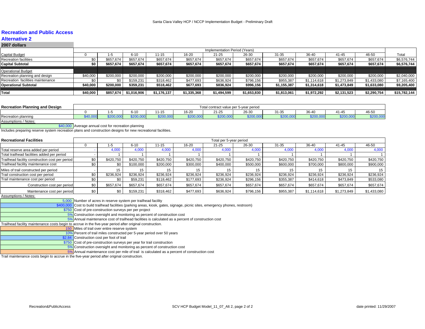## **Recreation and Public Access**

#### **Alternative 22007 dollars**

|          | 1-5       | $6 - 10$    | $11 - 15$   | 16-20       | $21 - 25$   | 26-30       | $31 - 35$                     | 36-40       | 41-45       | 46-50       | Total        |
|----------|-----------|-------------|-------------|-------------|-------------|-------------|-------------------------------|-------------|-------------|-------------|--------------|
|          | \$657,674 | \$657.674   | \$657,674   | \$657,674   | \$657,674   | \$657,674   | \$657.674                     | \$657,674   | \$657,674   | \$657,674   | \$6,576,744  |
| \$0      | \$657.674 | \$657.674   | \$657,674   | \$657,674   | \$657,674   | \$657,674   | \$657,674                     | \$657,674   | \$657,674   | \$657,674   | \$6,576,744  |
|          |           |             |             |             |             |             |                               |             |             |             |              |
|          |           |             |             |             |             |             |                               |             |             |             |              |
| \$40,000 | \$200,000 | \$200,000   | \$200.000   | \$200,000   | \$200,000   | \$200,000   | \$200,000                     | \$200,000   | \$200,000   | \$200,000   | \$2,040,000  |
|          |           | \$159,231   | \$318.462   | \$477,693   | \$636,924   | \$796,156   | \$955,387                     | \$1.114.618 | \$1,273,849 | \$1,433,080 | \$7,165,400  |
| \$40.000 | \$200,000 | \$359.231   | \$518.462   | \$677.693   | \$836,924   | \$996.156   | \$1,155,387                   | \$1,314,618 | \$1,473,849 | \$1,633,080 | \$9,205,400  |
|          |           |             |             |             |             |             |                               |             |             |             |              |
| \$40,000 | \$857.674 | \$1,016,906 | \$1,176,137 | \$1,335,368 | \$1,494,599 | \$1,653,830 | \$1,813,061                   | \$1,972,292 | \$2,131,523 | \$2,290,754 | \$15,782,144 |
|          |           |             |             |             |             |             | Implementation Period (Years) |             |             |             |              |

| <b>Recreation Planning and Design</b> |  |                           |           |           | Total contract value per 5-year period |       |                 |       |           |                     |
|---------------------------------------|--|---------------------------|-----------|-----------|----------------------------------------|-------|-----------------|-------|-----------|---------------------|
|                                       |  | $6 - 10$                  | $11 - 15$ | $16 - 20$ | 24.25<br>21-25                         | 26-30 | 24.21<br>-31-3. | 36-40 | $41 - 4F$ | $\sqrt{2}$<br>46-50 |
| Recreation planning                   |  | .<br>$\sim$ $\sim$ $\sim$ |           |           | $\sim$<br>$ -$                         | .     |                 |       | .         | .                   |
| <b>Assumptions / Notes:</b>           |  |                           |           |           |                                        |       |                 |       |           |                     |

\$40,000 Average annual cost for recreation planning

Includes preparing reserve system recreation plans and construction designs for new recreational facilities.

| <b>Recreational Facilities</b>                  |           |           |           |           | Total per 5-year period |           |           |             |             |             |
|-------------------------------------------------|-----------|-----------|-----------|-----------|-------------------------|-----------|-----------|-------------|-------------|-------------|
|                                                 | ה-ו       | $6 - 10$  | $11 - 15$ | 16-20     | 21-25                   | 26-30     | $31 - 35$ | 36-40       | $41 - 45$   | 46-50       |
| Total reserve area added per period             | 4,000     | 4,000     | 4,000     | 4,000     | 4,000                   | 4,000     | 4,000     | 4,000       | 4,000       | 4,000       |
| Total trailhead facilities added per period     |           |           |           |           |                         |           |           |             |             |             |
| Trailhead facility construction cost per period | \$420.750 | \$420.750 | \$420.750 | \$420.750 | \$420,750               | \$420.750 | \$420.750 | \$420.750   | \$420.750   | \$420,750   |
| Trailhead facility maintenance cost             | \$0       | \$100,000 | \$200,000 | \$300,000 | \$400,000               | \$500,000 | \$600,000 | \$700,000   | \$800,000   | \$900,000   |
| Miles of trail constructed per period           | 15        |           |           | 15        | 15                      | 15        |           |             | 15          | 15          |
| Trail construction cost per period              | \$236.924 | \$236.924 | \$236,924 | \$236.924 | \$236.924               | \$236,924 | \$236.924 | \$236.924   | \$236.924   | \$236,924   |
| Trail maintenance cost per period               | \$0       | \$59,231  | \$118.462 | \$177,693 | \$236,924               | \$296,156 | \$355,387 | \$414,618   | \$473,849   | \$533,080   |
| Construction cost per period                    | \$657,674 | \$657,674 | \$657,674 | \$657,674 | \$657,674               | \$657,674 | \$657,674 | \$657,674   | \$657,674   | \$657,674   |
| Maintenance cost per period                     | \$0       | \$159,231 | \$318.462 | \$477,693 | \$636,924               | \$796,156 | \$955,387 | \$1,114,618 | \$1,273,849 | \$1,433,080 |

Assumptions / Notes:

|           | 5,000 Number of acres in reserve system per trailhead facility                                                      |
|-----------|---------------------------------------------------------------------------------------------------------------------|
| \$400,000 | Cost to build trailhead facilities (parking areas, kiosk, gates, signage, picnic sites, emergency phones, restroom) |
|           | \$750 Cost of pre-construction surveys per per project                                                              |
|           | 5% Construction oversight and monitoring as percent of construction cost                                            |
|           | 5% Annual maintenance cost of trailhead facilities is calculated as a percent of construction cost                  |
|           | Trailhead facility maintenance costs begin to accrue in the five-year period after original construction.           |
|           | 150 Miles of trail over entire reserve system                                                                       |
|           | 10% Percent of trail miles constructed per 5-year period over 50 years                                              |
|           | \$2.84 Construction cost per foot of trail                                                                          |
|           | \$750 Cost of pre-construction surveys per year for trail construction                                              |
|           | 5% Construction oversight and monitoring as percent of construction cost                                            |
|           | 5% Annual maintenance cost per mile of trail is calculated as a percent of construction cost                        |

Trail maintenance costs begin to accrue in the five-year period after original construction.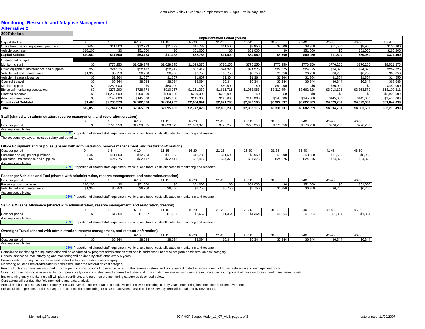#### **Monitoring, Research, and Adaptive Management**

### **Alternative 2**

| 2007 dollars                              |          |             |             |             |             |                                      |             |             |             |             |             |              |
|-------------------------------------------|----------|-------------|-------------|-------------|-------------|--------------------------------------|-------------|-------------|-------------|-------------|-------------|--------------|
|                                           |          |             |             |             |             | <b>Implementation Period (Years)</b> |             |             |             |             |             |              |
| Capital Budget                            |          | 1-5         | $6 - 10$    | 11-15       | 16-20       | $21 - 25$                            | 26-30       | $31 - 35$   | 36-40       | $41 - 45$   | 46-50       | Total        |
| Office furniture and equipment purchase   | \$450    | \$11,500    | \$12,783    | \$11,333    | \$11,783    | \$11,500                             | \$8,950     | \$8,500     | \$8,950     | \$11,500    | \$8,950     | \$106,200    |
| Vehicle purchase                          | \$10,200 |             | \$51,000    | \$0         | \$51,000    | \$0                                  | \$51,000    | \$0         | \$51,000    |             | \$51,000    | \$265,200    |
| Capital Subtotal                          | \$10,650 | \$11,500    | \$63,783    | \$11,333    | \$62,783    | \$11,500                             | \$59,950    | \$8,500     | \$59,950    | \$11,500    | \$59,950    | \$371,400    |
| <b>Operational Budget</b>                 |          |             |             |             |             |                                      |             |             |             |             |             |              |
| Monitoring staff                          | \$0      | \$776,250   | \$1,029,375 | \$1,029,375 | \$1,029,375 | \$776,250                            | \$776,250   | \$776,250   | \$776,250   | \$776,250   | \$776,250   | \$8,521,875  |
| Office equipment maintenance and supplies | \$50     | \$24,375    | \$32,417    | \$32,417    | \$32,417    | \$24,375                             | \$24,375    | \$24,375    | \$24,375    | \$24,375    | \$24,375    | \$267,925    |
| Vehicle fuel and maintenance              | \$1,350  | \$6,750     | \$6,750     | \$6,750     | \$6,750     | \$6,750                              | \$6,750     | \$6,750     | \$6,750     | \$6,750     | \$6,750     | \$68,850     |
| Vehicle mileage allowance                 |          | \$1,364     | \$1,667     | \$1,667     | \$1,667     | \$1,364                              | \$1,364     | \$1,364     | \$1,364     | \$1,364     | \$1,364     | \$14,550     |
| Overnight travel                          | \$0      | \$6,344     | \$8,094     | \$8,094     | \$8,094     | \$6,344                              | \$6,344     | \$6,344     | \$6,344     | \$6,344     | \$6,344     | \$68,688     |
| Monitoring plan                           | \$0      | \$250,000   | \$0         | \$50,000    |             | \$50,000                             | \$0         | \$50,000    |             | \$50,000    | \$0         | \$450,000    |
| Biological monitoring contractors         | \$0      | \$273,290   | \$728,774   | \$910,967   | \$1,261,339 | \$1,611,711                          | \$1,962,083 | \$2,312,454 | \$2,662,826 | \$3,013,198 | \$3,363,570 | \$18,100,211 |
| Directed research                         | \$0      | \$1,250,000 | \$750,000   | \$500,000   | \$200,000   | \$200,000                            | \$0         | \$0         | \$C         |             |             | \$2,900,000  |
| Adaptive management                       | \$0      | \$145,000   | \$145,000   | \$145,000   | \$145,000   | \$145,000                            | \$145,000   | \$145,000   | \$145,000   | \$145,000   | \$145,000   | \$1,450,000  |
| <b>Operational Subtotal</b>               | \$1,400  | \$2,733,373 | \$2,702,076 | \$2,684,269 | \$2,684,641 | \$2,821,793                          | \$2,922,165 | \$3,322,537 | \$3,622,909 | \$4,023,281 | \$4,323,653 | \$31,842,099 |
| Total                                     | \$12,050 | \$2,744,873 | \$2,765,859 | \$2,695,603 | \$2,747,425 | \$2,833,293                          | \$2,982,115 | \$3,331,037 | \$3,682,859 | \$4,034,781 | \$4,383,603 | \$32,213,499 |

#### **Staff (shared with administration, reserve management, and restoration/creation)**

|                 |    |                  | $6 - 10$ | $1 - 15$          | 0.000<br>ו⊿-פו | $21 - 2!$           | $26-30$   | 34.05<br>−∪⊾ | <b>20 10</b><br>$\cdot$ | $\sim$ 1.4 $\sim$                                | 46-50                |
|-----------------|----|------------------|----------|-------------------|----------------|---------------------|-----------|--------------|-------------------------|--------------------------------------------------|----------------------|
| Cost per perioc | ¢٢ | ີ 25∩<br>. U.ZJU | 375<br>. | $^{\sim}$ 029,375 | \$1,029,375    | 0770000<br>ა//6.250 | \$776.25∩ | \$776,250    | 0770000<br>\$1/6,250    | <b>4776</b><br>$\sim$ $\sim$ $\sim$<br>\$776.250 | $\cdots$<br>3770.ZOU |
| .               |    |                  |          |                   |                |                     |           |              |                         |                                                  |                      |

Assumptions / Notes:

25% Proportion of shared staff, equipment, vehicle, and travel costs allocated to monitoring and research

The cost/employee/year includes salary and benefits.

#### **Office Equipment and Supplies (shared with administration, reserve management, and restoration/creation)**

| Cost per period                    |       |                                   | 6-10     | $1 - 15$ | 16.21         | 24.25<br>1-∠- | 26-30    | 31-35    | 20.40            | $11 - 4$ | 46-50    |
|------------------------------------|-------|-----------------------------------|----------|----------|---------------|---------------|----------|----------|------------------|----------|----------|
| Furniture and equipment purchase   | \$450 | $Q$ <sub>11</sub> $E$ 00<br>1,JUV | \$12,783 | \$11,333 | <b>11.783</b> | \$11,500      | \$8,950  | \$8,500  | es arn<br>ψυ,∋∪υ | \$11,500 | \$8,950  |
| Equipment maintenance and supplies | \$50  | \$24,375                          | \$32,417 | \$32.417 | \$32.417      | \$24,375      | \$24,375 | \$24.375 | \$24.375         | \$24,375 | \$24,375 |
| Assumptions / Notes:               |       |                                   |          |          |               |               |          |          |                  |          |          |

25% Proportion of shared staff, equipment, vehicle, and travel costs allocated to monitoring and research

#### **Passenger Vehicles and Fuel (shared with administration, reserve management, and restoration/creation)**

| per period<br>Cost per              |         |                   | 6-10                | $1 - 15$         | $\sim$<br>n-2               | 24.2<br>1-2 | 26-30         | 34.05                 | 20.40             | 1.Z                      | 46-50                           |
|-------------------------------------|---------|-------------------|---------------------|------------------|-----------------------------|-------------|---------------|-----------------------|-------------------|--------------------------|---------------------------------|
| Passenger car purchase              | 10,200  |                   | 51,000              |                  | \$51,000                    |             | \$51,000      |                       | 0.5400<br>טטטוויט |                          | $A = 4.000$<br><b>UUU, I GG</b> |
| I and maintenance<br>Vehicle fuel i | \$1.350 | $\sim - -$<br>טט. | $ER$ 750<br>⊎ບ,≀ ບບ | $\sim$ 750 $\pm$ | $\sim -$<br><b>JU, I JU</b> | 20.75       | 0077<br>১৮.75 | 0.75<br><b>JU.IJU</b> | .<br>50. I JU     | <b>CG 750</b><br>⊎ບ,≀ ບບ | 0 <sub>0</sub><br>טט ווט        |

Assumptions / Notes:

25% Proportion of shared staff, equipment, vehicle, and travel costs allocated to monitoring and research

#### **Vehicle Mileage Allowance (shared with administration, reserve management, and restoration/creation)**

|                      |          | 0.40<br><b>0-10</b> | 44 AF<br>ا دا - ا | $16 - 20$ | $21 - 25$ | 26-30         | 04.05<br>-51-55 | 36-40             | $41 - 4'$ | 46-50              |
|----------------------|----------|---------------------|-------------------|-----------|-----------|---------------|-----------------|-------------------|-----------|--------------------|
| Cost per period      | $*1.364$ | $A$ $CZ$<br>1.007   | \$1,667           | \$1,667   | \$1,364   | <b>A1 364</b> | 0.4001          | $A$ $A$<br>ა1,364 | \$1,364   | $A$ $A$<br>\$1,304 |
| Assumptions / Notes: |          |                     |                   |           |           |               |                 |                   |           |                    |

25% Proportion of shared staff, equipment, vehicle, and travel costs allocated to monitoring and research

#### **Overnight Travel (shared with administration, reserve management, and restoration/creation)**

|                 |                  | - - -   | $\cdots$<br>$11 - 1$ | 16-20   | 21-25   | 0000<br>20-37 | 0.400<br>∵د-اد.                                 | $\sim$ $\sim$<br>36-4 | .       | $\sim$ $ -$<br>46-5⊾ |
|-----------------|------------------|---------|----------------------|---------|---------|---------------|-------------------------------------------------|-----------------------|---------|----------------------|
| Cost per period | \$6.344<br>Ψ∪, ∪ | \$8,094 | \$8,094              | \$8,094 | \$6,344 | \$6,344       | $\sim$ $\sim$ $\sim$ $\sim$<br>SK 34.<br>+יט, ט | \$6,344               | \$6,344 | \$6,344              |
|                 |                  |         |                      |         |         |               |                                                 |                       |         |                      |

Assumptions / Notes:

25% Proportion of shared staff, equipment, vehicle, and travel costs allocated to monitoring and research

Compliance monitoring for implementation will be conducted by program administration staff and is addressed under the program administration cost category.

General landscape level surveying and monitoring will be done by staff, once every 5 years.

Pre-acquisition survey costs are covered under the land acquisition cost category.

Monitoring on lands restored/created is addressed under the restoration cost category.

Preconstruction surveys are assumed to occur prior to construction of covered activites on the reserve sustem. and costs are estimated as a component of those restoration and management costs.

Construction monitoring is assumed to occur periodically during construction of covered activities and conservation measures, and costs are estimated as a component of those restoration and management costs.

Implementing entity monitoring staff will plan, coordinate, and report on the monitoring categories described below.

Contractors will conduct the field monitoring and data analysis.

Annual monitoring costs assumed roughly constant over the implementation period. More intensive monitoring in early years; monitoring becomes more efficient over time.

Pre-acquisition, preconstruction surveys, and construction monitoring for covered activities outside of the reserve system will be paid for by developers.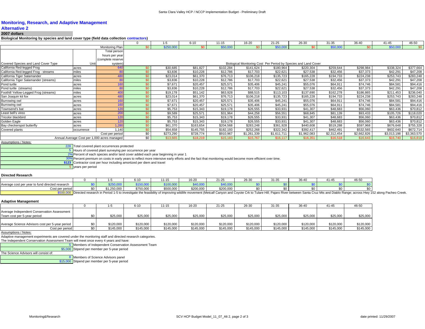#### **Monitoring, Research, and Adaptive Management**

## **Alternative 2**

#### **2007 dollars**

**Biological Monitoring by species and land cover type (field data collection contractors)**

|                                       |            |                                             |      | $1 - 5$   | $6 - 10$  | $11 - 15$ | 16-20       | $21 - 25$   | 26-30                                                           | $31 - 35$   | 36-40       | $41 - 45$   | 46-50       |
|---------------------------------------|------------|---------------------------------------------|------|-----------|-----------|-----------|-------------|-------------|-----------------------------------------------------------------|-------------|-------------|-------------|-------------|
|                                       |            | Monitoring Plan                             | \$0  | \$250,000 | \$0       | \$50,000  |             | \$50,000    | \$0                                                             | \$50,000    | \$0         | \$50,000    | \$0         |
|                                       |            | Total person                                |      |           |           |           |             |             |                                                                 |             |             |             |             |
|                                       |            | hours per year                              |      |           |           |           |             |             |                                                                 |             |             |             |             |
|                                       |            | (complete reserve                           |      |           |           |           |             |             |                                                                 |             |             |             |             |
| Covered Species and Land Cover Type   | Unit       | system                                      |      |           |           |           |             |             | Biological Monitoring Cost Per Period by Species and Land Cover |             |             |             |             |
| California Red-legged Frog            | acres      | 640                                         |      | \$30,685  | \$81,827  | \$102,284 | \$141,624   | \$180,964   | \$220,304                                                       | \$259,644   | \$298,984   | \$338,324   | \$377,664   |
| California Red-legged Frog - streams  | miles      | 80                                          |      | \$3,836   | \$10,228  | \$12,786  | \$17,703    | \$22,621    | \$27,538                                                        | \$32,456    | \$37,373    | \$42,291    | \$47,208    |
| California Tiger Salamander           | acres      | 480                                         |      | \$23,014  | \$61,370  | \$76,713  | \$106,218   | \$135,723   | \$165,228                                                       | \$194,733   | \$224,238   | \$253,743   | \$283,248   |
| California Tiger Salamander (streams) | miles      | R(                                          | ື    | \$3,836   | \$10,228  | \$12,786  | \$17,703    | \$22,621    | \$27,538                                                        | \$32,456    | \$37,373    | \$42,291    | \$47,208    |
| Pond turtle                           | acres      | 160                                         | . ደበ | \$7,671   | \$20,457  | \$25,571  | \$35,406    | \$45,241    | \$55,076                                                        | \$64,911    | \$74,746    | \$84,581    | \$94,416    |
| Pond turtle (streams)                 | miles      | 80                                          | \$በ  | \$3,836   | \$10,228  | \$12,786  | \$17,703    | \$22,621    | \$27,538                                                        | \$32,456    | \$37,373    | \$42,291    | \$47,208    |
| Foothill Yellow-Legged Frog (streams) | miles      | <b>400</b>                                  |      | \$19,178  | \$51,142  | \$63,928  | \$88,515    | \$113,103   | \$137,690                                                       | \$162,278   | \$186,865   | \$211,453   | \$236,040   |
| San Joaquin kit fox                   | acres      | 480                                         |      | \$23,014  | \$61,370  | \$76,713  | \$106,218   | \$135,723   | \$165,228                                                       | \$194,733   | \$224,238   | \$253,743   | \$283,248   |
| Burrowing owl                         | acres      | 160                                         | \$0  | \$7,671   | \$20,457  | \$25,571  | \$35,406    | \$45,241    | \$55,076                                                        | \$64,911    | \$74,746    | \$84,581    | \$94,416    |
| Burrowing owl                         | acres      | 160                                         | \$0  | \$7,671   | \$20,457  | \$25,571  | \$35,406    | \$45,241    | \$55,076                                                        | \$64,911    | \$74,746    | \$84,581    | \$94,416    |
| Townsend's bat                        | acres      | 120                                         | \$0  | \$5,753   | \$15,343  | \$19,178  | \$26,555    | \$33,931    | \$41,307                                                        | \$48,683    | \$56,060    | \$63,436    | \$70,812    |
| Least bell's vireo                    | acres      | 20 <sub>C</sub>                             |      | \$9,589   | \$25,571  | \$31,964  | \$44,258    | \$56,551    | \$68,845                                                        | \$81,139    | \$93,433    | \$105,726   | \$118,020   |
| Tricolor blackbird                    | acres      | 120                                         |      | \$5,753   | \$15,343  | \$19,178  | \$26,555    | \$33,931    | \$41,307                                                        | \$48,683    | \$56,060    | \$63,436    | \$70,812    |
| Golden Eagle                          | acres      | 120                                         |      | \$5,753   | \$15,343  | \$19,178  | \$26,555    | \$33,931    | \$41,307                                                        | \$48,683    | \$56,060    | \$63,436    | \$70,812    |
| Bay checkerspot butterfly             | acres      | 1.280                                       |      | \$61,370  | \$163,654 | \$204,568 | \$283,248   | \$361,928   | \$440,608                                                       | \$519,288   | \$597,968   | \$676,648   | \$755,328   |
| Covered plants                        | occurrence | 1.140                                       | \$0  | \$54,658  | \$145,755 | \$182,193 | \$252,268   | \$322,342   | \$392,417                                                       | \$462,491   | \$532,565   | \$602,640   | \$672,714   |
|                                       |            | Cost per period                             | \$0  | \$273,290 | \$728,774 | \$910,967 | \$1,261,339 | \$1,611,711 | \$1,962,083                                                     | \$2,312,454 | \$2,662,826 | \$3,013,198 | \$3,363,570 |
|                                       |            | Annual Average Cost per 1,000 acres managed | \$0  | \$13,665  | \$18,219  | \$15.183  | \$15,767    | \$16.117    | \$16,351                                                        | \$16,518    | \$16,643    | \$16.740    | \$16,818    |
| Accumptions / Notes                   |            |                                             |      |           |           |           |             |             |                                                                 |             |             |             |             |

Assumptions / Notes:

228 Total covered plant occurrences protected

5 Hours of covered plant surveying per occurrence per year

2% Percent of each species and/or land cover added each year beginning in year 1

30% Percent premium on costs in early years to reflect more intensive early efforts and the fact that monitoring would become more efficient over time.

**\$123** Contractor cost per hour including amortized per diem and travel

5 years per period

#### **Directed Research**

|                                                      |    |                           |                                              | .                               | $16 - 20$ | $\sim$ $\sim$<br>11-∠≎ | 26-30 | $\sim$ | $36 - 40$<br>־ש | 41-4. | ס-פי |
|------------------------------------------------------|----|---------------------------|----------------------------------------------|---------------------------------|-----------|------------------------|-------|--------|-----------------|-------|------|
| e cost per year to fund directed research<br>Average |    | .                         | <b>Contract Contract Contract</b><br>$- - -$ | . <u>. .</u><br>) ( )(<br>יש,טי | 10.000    | . <i>. .</i>           |       |        |                 |       |      |
| Cost per period                                      | ¢∩ | 0.0000<br>' ∪ت∠…<br>⊃.∪∪∪ | \$750,000<br>$\sim -$                        | \$500,000                       | \$200,000 | \$200,000              |       |        |                 |       |      |

\$500,000 Directed research in Period 1-5 to investigate the feasibility of improving wildlife movement (Metcalf Canyon and Coyote Crk to Tulare Hill; Pajaro River between Santa Cruz Mts and Diablo Range; across Hwy 152 alo

#### **Adaptive Management**

|                                                                            |     |           | $6 - 10$  | $11 - 15$ | 16-20     | $21 - 25$ | 26-30     | 31-35     | $36 - 40$ | 41-45     | 46-50     |
|----------------------------------------------------------------------------|-----|-----------|-----------|-----------|-----------|-----------|-----------|-----------|-----------|-----------|-----------|
| Average Independent Conservation Assessment<br>Team cost per 5-year period | \$0 | \$25,000  | \$25,000  | \$25,000  | \$25,000  | \$25,000  | \$25,000  | \$25,000  | \$25,000  | \$25,000  | \$25,000  |
|                                                                            |     |           |           |           |           |           |           |           |           |           |           |
| Average Science Advisors cost per 5-year period                            | \$0 | \$120,000 | \$120,000 | \$120,000 | \$120,000 | \$120,000 | \$120,000 | \$120,000 | \$120,000 | \$120,000 | \$120,000 |
| Cost per period                                                            | \$0 | \$145,000 | \$145,000 | \$145,000 | \$145,000 | \$145,000 | \$145,000 | \$145,000 | \$145,000 | \$145,000 | \$145,000 |

Assumptions / Notes:

Adaptive management experiments are covered under the monitoring staff and directed research categories.

The Independent Conservation Assessment Team will meet once every 4 years and have:

5 Members of Independent Conservation Assessment Team

\$5,000 Stipend per member per 5-year period

The Science Advisors will consist of:

8 Members of Science Advisors panel \$15,000 Stipend per member per 5-year period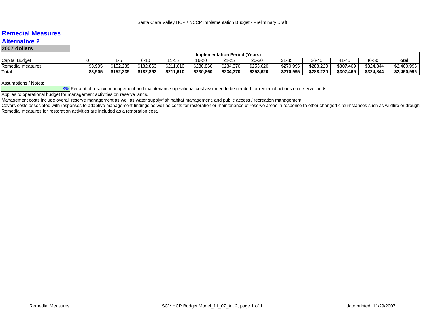## **Remedial MeasuresAlternative 2**

## **2007 dollars**

|                       | <b>Implementation Period (Years)</b> |                |           |           |           |           |           |                       |                 |           |           |             |
|-----------------------|--------------------------------------|----------------|-----------|-----------|-----------|-----------|-----------|-----------------------|-----------------|-----------|-----------|-------------|
| <b>Capital Budget</b> |                                      |                | $6 - 10$  | $11 - 15$ | 16-20     | 21-25     | 26-30     | <b>04.0E</b><br>31-35 | 36-40<br>$\sim$ | 41-45     | 46-50     | Total       |
| Remedial measures     | \$3,905                              | .239<br>\$152. | \$182,863 | \$211,610 | \$230,860 | \$234,370 | \$253,620 | \$270,995             | \$288,220       | \$307,469 | \$324,844 | \$2,460,996 |
| Total                 | \$3.905                              | \$152.239      | \$182,863 | \$211,610 | \$230,860 | \$234,370 | \$253,620 | \$270,995             | \$288,220       | \$307,469 | \$324,844 | \$2,460,996 |

Assumptions / Notes:

3% Percent of reserve management and maintenance operational cost assumed to be needed for remedial actions on reserve lands.

Applies to operational budget for management activities on reserve lands.

Management costs include overall reserve management as well as water supply/fish habitat management, and public access / recreation management.

Covers costs associated with responses to adaptive management findings as well as costs for restoration or maintenance of reserve areas in response to other changed circumstances such as wildfire or drough Remedial measures for restoration activities are included as a restoration cost.